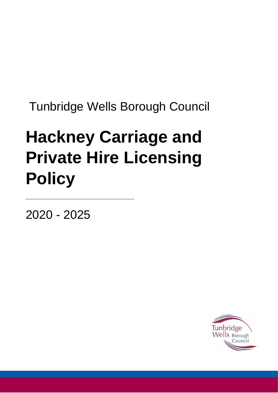Tunbridge Wells Borough Council

# **Hackney Carriage and Private Hire Licensing Policy**

2020 - 2025

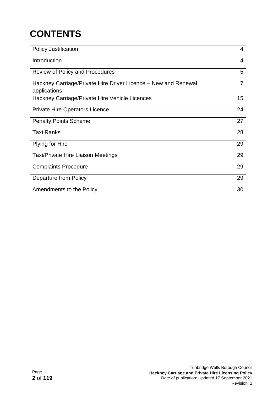# **CONTENTS**

| <b>Policy Justification</b>                                                    | 4  |
|--------------------------------------------------------------------------------|----|
| Introduction                                                                   | 4  |
| <b>Review of Policy and Procedures</b>                                         | 5  |
| Hackney Carriage/Private Hire Driver Licence – New and Renewal<br>applications | 7  |
| Hackney Carriage/Private Hire Vehicle Licences                                 | 15 |
| <b>Private Hire Operators Licence</b>                                          | 24 |
| <b>Penalty Points Scheme</b>                                                   | 27 |
| <b>Taxi Ranks</b>                                                              | 28 |
| Plying for Hire                                                                | 29 |
| <b>Taxi/Private Hire Liaison Meetings</b>                                      | 29 |
| <b>Complaints Procedure</b>                                                    | 29 |
| <b>Departure from Policy</b>                                                   | 29 |
| Amendments to the Policy                                                       | 30 |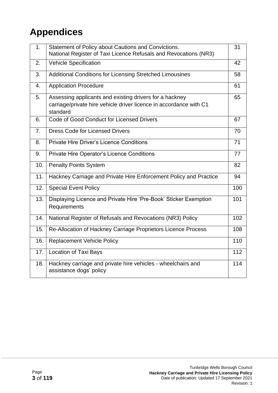# **Appendices**

| 1 <sub>1</sub> | Statement of Policy about Cautions and Convictions.<br>National Register of Taxi Licence Refusals and Revocations (NR3)                   | 31  |
|----------------|-------------------------------------------------------------------------------------------------------------------------------------------|-----|
| 2.             | <b>Vehicle Specification</b>                                                                                                              | 42  |
| 3.             | <b>Additional Conditions for Licensing Stretched Limousines</b>                                                                           | 58  |
| 4.             | <b>Application Procedure</b>                                                                                                              | 61  |
| 5.             | Assessing applicants and existing drivers for a hackney<br>carriage/private hire vehicle driver licence in accordance with C1<br>standard | 65  |
| 6.             | Code of Good Conduct for Licensed Drivers                                                                                                 | 67  |
| 7.             | <b>Dress Code for Licensed Drivers</b>                                                                                                    | 70  |
| 8.             | <b>Private Hire Driver's Licence Conditions</b>                                                                                           | 71  |
| 9.             | Private Hire Operator's Licence Conditions                                                                                                | 77  |
| 10.            | <b>Penalty Points System</b>                                                                                                              | 82  |
| 11.            | Hackney Carriage and Private Hire Enforcement Policy and Practice                                                                         | 94  |
| 12.            | <b>Special Event Policy</b>                                                                                                               | 100 |
| 13.            | Displaying Licence and Private Hire 'Pre-Book' Sticker Exemption<br>Requirements                                                          | 101 |
| 14.            | National Register of Refusals and Revocations (NR3) Policy                                                                                | 102 |
| 15.            | Re-Allocation of Hackney Carriage Proprietors Licence Process                                                                             | 108 |
| 16.            | <b>Replacement Vehicle Policy</b>                                                                                                         | 110 |
| 17.            | <b>Location of Taxi Bays</b>                                                                                                              | 112 |
| 18.            | Hackney carriage and private hire vehicles - wheelchairs and<br>assistance dogs' policy                                                   | 114 |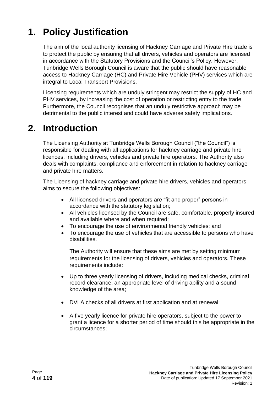# **1. Policy Justification**

The aim of the local authority licensing of Hackney Carriage and Private Hire trade is to protect the public by ensuring that all drivers, vehicles and operators are licensed in accordance with the Statutory Provisions and the Council's Policy. However, Tunbridge Wells Borough Council is aware that the public should have reasonable access to Hackney Carriage (HC) and Private Hire Vehicle (PHV) services which are integral to Local Transport Provisions.

Licensing requirements which are unduly stringent may restrict the supply of HC and PHV services, by increasing the cost of operation or restricting entry to the trade. Furthermore, the Council recognises that an unduly restrictive approach may be detrimental to the public interest and could have adverse safety implications.

#### **2. Introduction**

The Licensing Authority at Tunbridge Wells Borough Council ("the Council") is responsible for dealing with all applications for hackney carriage and private hire licences, including drivers, vehicles and private hire operators. The Authority also deals with complaints, compliance and enforcement in relation to hackney carriage and private hire matters.

The Licensing of hackney carriage and private hire drivers, vehicles and operators aims to secure the following objectives:

- All licensed drivers and operators are "fit and proper" persons in accordance with the statutory legislation;
- All vehicles licensed by the Council are safe, comfortable, properly insured and available where and when required;
- To encourage the use of environmental friendly vehicles; and
- To encourage the use of vehicles that are accessible to persons who have disabilities.

The Authority will ensure that these aims are met by setting minimum requirements for the licensing of drivers, vehicles and operators. These requirements include:

- Up to three yearly licensing of drivers, including medical checks, criminal record clearance, an appropriate level of driving ability and a sound knowledge of the area;
- DVLA checks of all drivers at first application and at renewal;
- A five yearly licence for private hire operators, subject to the power to grant a licence for a shorter period of time should this be appropriate in the circumstances;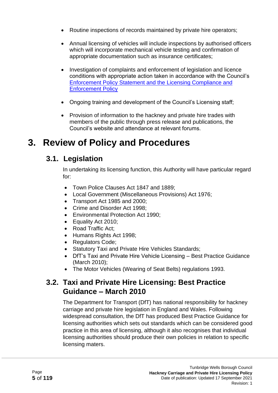- Routine inspections of records maintained by private hire operators;
- Annual licensing of vehicles will include inspections by authorised officers which will incorporate mechanical vehicle testing and confirmation of appropriate documentation such as insurance certificates;
- Investigation of complaints and enforcement of legislation and licence conditions with appropriate action taken in accordance with the Council's [Enforcement Policy Statement and the Licensing Compliance and](http://www.tunbridgewells.gov.uk/__data/assets/pdf_file/0012/131520/09.09.16-Ratified-Licensing-Compliance-and-Enforcement-Policy-2016.pdf)  [Enforcement Policy](http://www.tunbridgewells.gov.uk/__data/assets/pdf_file/0012/131520/09.09.16-Ratified-Licensing-Compliance-and-Enforcement-Policy-2016.pdf)
- Ongoing training and development of the Council's Licensing staff;
- Provision of information to the hackney and private hire trades with members of the public through press release and publications, the Council's website and attendance at relevant forums.

#### **3. Review of Policy and Procedures**

#### **3.1. Legislation**

In undertaking its licensing function, this Authority will have particular regard for:

- Town Police Clauses Act 1847 and 1889;
- Local Government (Miscellaneous Provisions) Act 1976;
- Transport Act 1985 and 2000;
- Crime and Disorder Act 1998:
- Environmental Protection Act 1990;
- Equality Act 2010;
- Road Traffic Act:
- Humans Rights Act 1998;
- Regulators Code;
- Statutory Taxi and Private Hire Vehicles Standards;
- DfT's Taxi and Private Hire Vehicle Licensing Best Practice Guidance (March 2010);
- The Motor Vehicles (Wearing of Seat Belts) regulations 1993.

#### **3.2. Taxi and Private Hire Licensing: Best Practice Guidance – March 2010**

The Department for Transport (DfT) has national responsibility for hackney carriage and private hire legislation in England and Wales. Following widespread consultation, the DfT has produced Best Practice Guidance for licensing authorities which sets out standards which can be considered good practice in this area of licensing, although it also recognises that individual licensing authorities should produce their own policies in relation to specific licensing maters.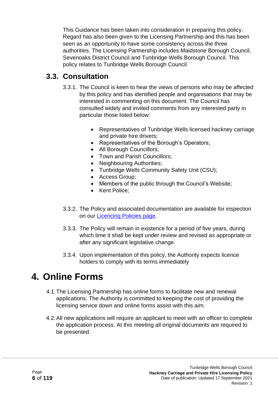This Guidance has been taken into consideration in preparing this policy. Regard has also been given to the Licensing Partnership and this has been seen as an opportunity to have some consistency across the three authorities. The Licensing Partnership includes Maidstone Borough Council, Sevenoaks District Council and Tunbridge Wells Borough Council. This policy relates to Tunbridge Wells Borough Council

#### **3.3. Consultation**

- 3.3.1. The Council is keen to hear the views of persons who may be affected by this policy and has identified people and organisations that may be interested in commenting on this document. The Council has consulted widely and invited comments from any interested party in particular those listed below:
	- Representatives of Tunbridge Wells licensed hackney carriage and private hire drivers;
	- Representatives of the Borough's Operators;
	- All Borough Councillors;
	- Town and Parish Councillors:
	- Neighbouring Authorities;
	- Tunbridge Wells Community Safety Unit (CSU);
	- Access Group;
	- Members of the public through the Council's Website;
	- Kent Police:
- 3.3.2. The Policy and associated documentation are available for inspection on our [Licencing Policies page.](http://www.tunbridgewells.gov.uk/business/licences-and-permits/licensing-policy-statements)
- 3.3.3. The Policy will remain in existence for a period of five years, during which time it shall be kept under review and revised as appropriate or after any significant legislative change.
- 3.3.4. Upon implementation of this policy, the Authority expects licence holders to comply with its terms immediately

# **4. Online Forms**

- 4.1.The Licensing Partnership has online forms to facilitate new and renewal applications. The Authority is committed to keeping the cost of providing the licensing service down and online forms assist with this aim.
- 4.2.All new applications will require an applicant to meet with an officer to complete the application process. At this meeting all original documents are required to be presented.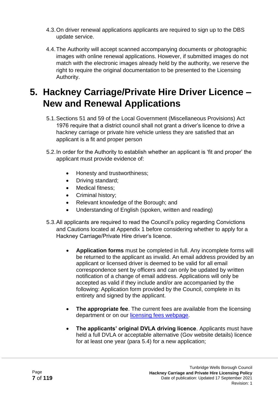- 4.3.On driver renewal applications applicants are required to sign up to the DBS update service.
- 4.4.The Authority will accept scanned accompanying documents or photographic images with online renewal applications. However, if submitted images do not match with the electronic images already held by the authority, we reserve the right to require the original documentation to be presented to the Licensing Authority.

#### **5. Hackney Carriage/Private Hire Driver Licence – New and Renewal Applications**

- 5.1.Sections 51 and 59 of the Local Government (Miscellaneous Provisions) Act 1976 require that a district council shall not grant a driver's licence to drive a hackney carriage or private hire vehicle unless they are satisfied that an applicant is a fit and proper person
- 5.2.In order for the Authority to establish whether an applicant is 'fit and proper' the applicant must provide evidence of:
	- Honesty and trustworthiness;
	- Driving standard;
	- Medical fitness:
	- Criminal history;
	- Relevant knowledge of the Borough; and
	- Understanding of English (spoken, written and reading)
- 5.3.All applicants are required to read the Council's policy regarding Convictions and Cautions located at Appendix 1 before considering whether to apply for a Hackney Carriage/Private Hire driver's licence.
	- **Application forms** must be completed in full. Any incomplete forms will be returned to the applicant as invalid. An email address provided by an applicant or licensed driver is deemed to be valid for all email correspondence sent by officers and can only be updated by written notification of a change of email address. Applications will only be accepted as valid if they include and/or are accompanied by the following: Application form provided by the Council, complete in its entirety and signed by the applicant.
	- **The appropriate fee**. The current fees are available from the licensing department or on our [licensing fees webpage.](http://www.tunbridgewells.gov.uk/business/licences-and-permits/taxis-and-private-hire/taxi-licence-fees)
	- **The applicants' original DVLA driving licence**. Applicants must have held a full DVLA or acceptable alternative (Gov website details) licence for at least one year (para 5.4) for a new application;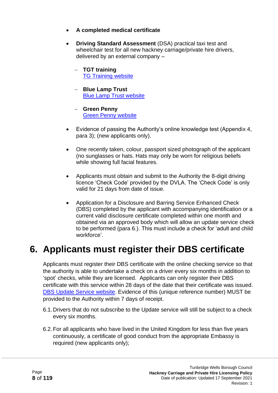- **A completed medical certificate**
- **Driving Standard Assessment** (DSA) practical taxi test and wheelchair test for all new hackney carriage/private hire drivers, delivered by an external company –
	- − **TGT training**  [TG Training](https://tgtraining.wixsite.com/training) website
	- − **Blue Lamp Trust**  [Blue Lamp Trust website](https://bluelamptrust.org.uk/taxi_homepage/)
	- − **Green Penny** [Green Penny website](http://www.greenpenny.co.uk/taxi-assessment-booking-form)
- Evidence of passing the Authority's online knowledge test (Appendix 4, para 3); (new applicants only).
- One recently taken, colour, passport sized photograph of the applicant (no sunglasses or hats. Hats may only be worn for religious beliefs while showing full facial features.
- Applicants must obtain and submit to the Authority the 8-digit driving licence 'Check Code' provided by the DVLA. The 'Check Code' is only valid for 21 days from date of issue.
- Application for a Disclosure and Barring Service Enhanced Check (DBS) completed by the applicant with accompanying identification or a current valid disclosure certificate completed within one month and obtained via an approved body which will allow an update service check to be performed (para 6.). This must include a check for 'adult and child workforce'.

#### **6. Applicants must register their DBS certificate**

Applicants must register their DBS certificate with the online checking service so that the authority is able to undertake a check on a driver every six months in addition to 'spot' checks, while they are licensed. Applicants can only register their DBS certificate with this service within 28 days of the date that their certificate was issued. [DBS Update Service website.](https://www.gov.uk/dbs-update-service) Evidence of this (unique reference number) MUST be provided to the Authority within 7 days of receipt.

- 6.1.Drivers that do not subscribe to the Update service will still be subject to a check every six months.
- 6.2.For all applicants who have lived in the United Kingdom for less than five years continuously, a certificate of good conduct from the appropriate Embassy is required (new applicants only);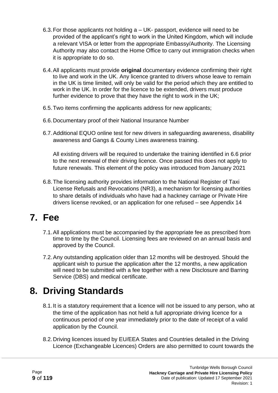- 6.3.For those applicants not holding a UK- passport, evidence will need to be provided of the applicant's right to work in the United Kingdom, which will include a relevant VISA or letter from the appropriate Embassy/Authority. The Licensing Authority may also contact the Home Office to carry out immigration checks when it is appropriate to do so.
- 6.4.All applicants must provide **original** documentary evidence confirming their right to live and work in the UK. Any licence granted to drivers whose leave to remain in the UK is time limited, will only be valid for the period which they are entitled to work in the UK. In order for the licence to be extended, drivers must produce further evidence to prove that they have the right to work in the UK;
- 6.5.Two items confirming the applicants address for new applicants;
- 6.6.Documentary proof of their National Insurance Number
- 6.7.Additional EQUO online test for new drivers in safeguarding awareness, disability awareness and Gangs & County Lines awareness training.

All existing drivers will be required to undertake the training identified in 6.6 prior to the next renewal of their driving licence. Once passed this does not apply to future renewals. This element of the policy was introduced from January 2021

6.8.The licensing authority provides information to the National Register of Taxi License Refusals and Revocations (NR3), a mechanism for licensing authorities to share details of individuals who have had a hackney carriage or Private Hire drivers license revoked, or an application for one refused – see Appendix 14

#### **7. Fee**

- 7.1.All applications must be accompanied by the appropriate fee as prescribed from time to time by the Council. Licensing fees are reviewed on an annual basis and approved by the Council.
- 7.2.Any outstanding application older than 12 months will be destroyed. Should the applicant wish to pursue the application after the 12 months, a new application will need to be submitted with a fee together with a new Disclosure and Barring Service (DBS) and medical certificate.

#### **8. Driving Standards**

- 8.1.It is a statutory requirement that a licence will not be issued to any person, who at the time of the application has not held a full appropriate driving licence for a continuous period of one year immediately prior to the date of receipt of a valid application by the Council.
- 8.2.Driving licences issued by EU/EEA States and Countries detailed in the Driving Licence (Exchangeable Licences) Orders are also permitted to count towards the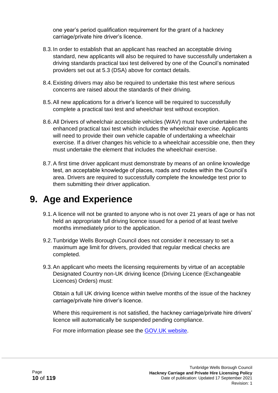one year's period qualification requirement for the grant of a hackney carriage/private hire driver's licence.

- 8.3.In order to establish that an applicant has reached an acceptable driving standard, new applicants will also be required to have successfully undertaken a driving standards practical taxi test delivered by one of the Council's nominated providers set out at 5.3 (DSA) above for contact details.
- 8.4.Existing drivers may also be required to undertake this test where serious concerns are raised about the standards of their driving.
- 8.5.All new applications for a driver's licence will be required to successfully complete a practical taxi test and wheelchair test without exception.
- 8.6.All Drivers of wheelchair accessible vehicles (WAV) must have undertaken the enhanced practical taxi test which includes the wheelchair exercise. Applicants will need to provide their own vehicle capable of undertaking a wheelchair exercise. If a driver changes his vehicle to a wheelchair accessible one, then they must undertake the element that includes the wheelchair exercise.
- 8.7.A first time driver applicant must demonstrate by means of an online knowledge test, an acceptable knowledge of places, roads and routes within the Council's area. Drivers are required to successfully complete the knowledge test prior to them submitting their driver application.

#### **9. Age and Experience**

- 9.1.A licence will not be granted to anyone who is not over 21 years of age or has not held an appropriate full driving licence issued for a period of at least twelve months immediately prior to the application.
- 9.2.Tunbridge Wells Borough Council does not consider it necessary to set a maximum age limit for drivers, provided that regular medical checks are completed.
- 9.3.An applicant who meets the licensing requirements by virtue of an acceptable Designated Country non-UK driving licence (Driving Licence (Exchangeable Licences) Orders) must:

Obtain a full UK driving licence within twelve months of the issue of the hackney carriage/private hire driver's licence.

Where this requirement is not satisfied, the hackney carriage/private hire drivers' licence will automatically be suspended pending compliance.

For more information please see the [GOV.UK website.](https://www.gov.uk/government/news/law-on-driving-licence-exchange-tightened-to-improve-road-safety)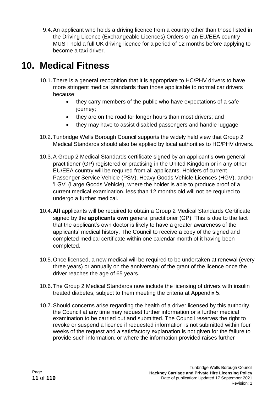9.4.An applicant who holds a driving licence from a country other than those listed in the Driving Licence (Exchangeable Licences) Orders or an EU/EEA country MUST hold a full UK driving licence for a period of 12 months before applying to become a taxi driver.

#### **10. Medical Fitness**

- 10.1.There is a general recognition that it is appropriate to HC/PHV drivers to have more stringent medical standards than those applicable to normal car drivers because:
	- they carry members of the public who have expectations of a safe journey;
	- they are on the road for longer hours than most drivers; and
	- they may have to assist disabled passengers and handle luggage
- 10.2.Tunbridge Wells Borough Council supports the widely held view that Group 2 Medical Standards should also be applied by local authorities to HC/PHV drivers.
- 10.3.A Group 2 Medical Standards certificate signed by an applicant's own general practitioner (GP) registered or practising in the United Kingdom or in any other EU/EEA country will be required from all applicants. Holders of current Passenger Service Vehicle (PSV), Heavy Goods Vehicle Licences (HGV), and/or 'LGV' (Large Goods Vehicle), where the holder is able to produce proof of a current medical examination, less than 12 months old will not be required to undergo a further medical.
- 10.4.**All** applicants will be required to obtain a Group 2 Medical Standards Certificate signed by the **applicants own** general practitioner (GP). This is due to the fact that the applicant's own doctor is likely to have a greater awareness of the applicants' medical history. The Council to receive a copy of the signed and completed medical certificate within one calendar month of it having been completed.
- 10.5.Once licensed, a new medical will be required to be undertaken at renewal (every three years) or annually on the anniversary of the grant of the licence once the driver reaches the age of 65 years.
- 10.6.The Group 2 Medical Standards now include the licensing of drivers with insulin treated diabetes, subject to them meeting the criteria at Appendix 5.
- 10.7.Should concerns arise regarding the health of a driver licensed by this authority, the Council at any time may request further information or a further medical examination to be carried out and submitted. The Council reserves the right to revoke or suspend a licence if requested information is not submitted within four weeks of the request and a satisfactory explanation is not given for the failure to provide such information, or where the information provided raises further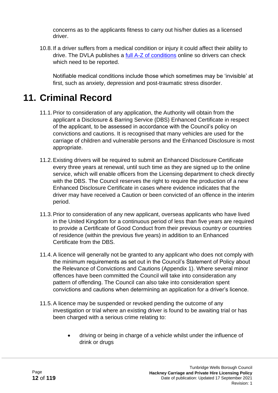concerns as to the applicants fitness to carry out his/her duties as a licensed driver.

10.8. If a driver suffers from a medical condition or injury it could affect their ability to drive. The DVLA publishes a [full A-Z of conditions](https://www.gov.uk/health-conditions-and-driving) online so drivers can check which need to be reported.

Notifiable medical conditions include those which sometimes may be 'invisible' at first, such as anxiety, depression and post-traumatic stress disorder.

# **11. Criminal Record**

- 11.1.Prior to consideration of any application, the Authority will obtain from the applicant a Disclosure & Barring Service (DBS) Enhanced Certificate in respect of the applicant, to be assessed in accordance with the Council's policy on convictions and cautions. It is recognised that many vehicles are used for the carriage of children and vulnerable persons and the Enhanced Disclosure is most appropriate.
- 11.2.Existing drivers will be required to submit an Enhanced Disclosure Certificate every three years at renewal, until such time as they are signed up to the online service, which will enable officers from the Licensing department to check directly with the DBS. The Council reserves the right to require the production of a new Enhanced Disclosure Certificate in cases where evidence indicates that the driver may have received a Caution or been convicted of an offence in the interim period.
- 11.3.Prior to consideration of any new applicant, overseas applicants who have lived in the United Kingdom for a continuous period of less than five years are required to provide a Certificate of Good Conduct from their previous country or countries of residence (within the previous five years) in addition to an Enhanced Certificate from the DBS.
- 11.4.A licence will generally not be granted to any applicant who does not comply with the minimum requirements as set out in the Council's Statement of Policy about the Relevance of Convictions and Cautions (Appendix 1). Where several minor offences have been committed the Council will take into consideration any pattern of offending. The Council can also take into consideration spent convictions and cautions when determining an application for a driver's licence.
- 11.5.A licence may be suspended or revoked pending the outcome of any investigation or trial where an existing driver is found to be awaiting trial or has been charged with a serious crime relating to:
	- driving or being in charge of a vehicle whilst under the influence of drink or drugs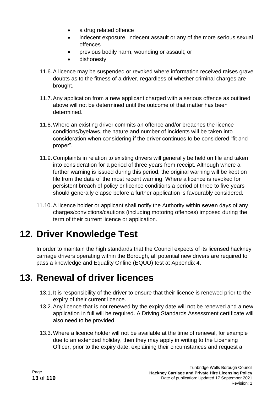- a drug related offence
- indecent exposure, indecent assault or any of the more serious sexual offences
- previous bodily harm, wounding or assault; or
- dishonesty
- 11.6.A licence may be suspended or revoked where information received raises grave doubts as to the fitness of a driver, regardless of whether criminal charges are brought.
- 11.7.Any application from a new applicant charged with a serious offence as outlined above will not be determined until the outcome of that matter has been determined.
- 11.8.Where an existing driver commits an offence and/or breaches the licence conditions/byelaws, the nature and number of incidents will be taken into consideration when considering if the driver continues to be considered "fit and proper".
- 11.9.Complaints in relation to existing drivers will generally be held on file and taken into consideration for a period of three years from receipt. Although where a further warning is issued during this period, the original warning will be kept on file from the date of the most recent warning. Where a licence is revoked for persistent breach of policy or licence conditions a period of three to five years should generally elapse before a further application is favourably considered.
- 11.10. A licence holder or applicant shall notify the Authority within **seven** days of any charges/convictions/cautions (including motoring offences) imposed during the term of their current licence or application.

# **12. Driver Knowledge Test**

In order to maintain the high standards that the Council expects of its licensed hackney carriage drivers operating within the Borough, all potential new drivers are required to pass a knowledge and Equality Online (EQUO) test at Appendix 4.

#### **13. Renewal of driver licences**

- 13.1. It is responsibility of the driver to ensure that their licence is renewed prior to the expiry of their current licence.
- 13.2.Any licence that is not renewed by the expiry date will not be renewed and a new application in full will be required. A Driving Standards Assessment certificate will also need to be provided.
- 13.3.Where a licence holder will not be available at the time of renewal, for example due to an extended holiday, then they may apply in writing to the Licensing Officer, prior to the expiry date, explaining their circumstances and request a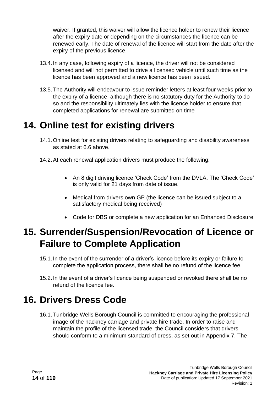waiver. If granted, this waiver will allow the licence holder to renew their licence after the expiry date or depending on the circumstances the licence can be renewed early. The date of renewal of the licence will start from the date after the expiry of the previous licence.

- 13.4.In any case, following expiry of a licence, the driver will not be considered licensed and will not permitted to drive a licensed vehicle until such time as the licence has been approved and a new licence has been issued.
- 13.5.The Authority will endeavour to issue reminder letters at least four weeks prior to the expiry of a licence, although there is no statutory duty for the Authority to do so and the responsibility ultimately lies with the licence holder to ensure that completed applications for renewal are submitted on time

#### **14. Online test for existing drivers**

- 14.1.Online test for existing drivers relating to safeguarding and disability awareness as stated at 6.6 above.
- 14.2.At each renewal application drivers must produce the following:
	- An 8 digit driving licence 'Check Code' from the DVLA. The 'Check Code' is only valid for 21 days from date of issue.
	- Medical from drivers own GP (the licence can be issued subject to a satisfactory medical being received)
	- Code for DBS or complete a new application for an Enhanced Disclosure

#### **15. Surrender/Suspension/Revocation of Licence or Failure to Complete Application**

- 15.1.In the event of the surrender of a driver's licence before its expiry or failure to complete the application process, there shall be no refund of the licence fee.
- 15.2. In the event of a driver's licence being suspended or revoked there shall be no refund of the licence fee.

#### **16. Drivers Dress Code**

16.1.Tunbridge Wells Borough Council is committed to encouraging the professional image of the hackney carriage and private hire trade. In order to raise and maintain the profile of the licensed trade, the Council considers that drivers should conform to a minimum standard of dress, as set out in Appendix 7. The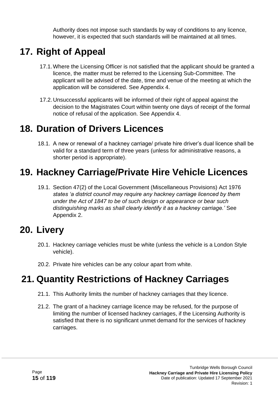Authority does not impose such standards by way of conditions to any licence, however, it is expected that such standards will be maintained at all times.

# **17. Right of Appeal**

- 17.1.Where the Licensing Officer is not satisfied that the applicant should be granted a licence, the matter must be referred to the Licensing Sub-Committee. The applicant will be advised of the date, time and venue of the meeting at which the application will be considered. See Appendix 4.
- 17.2.Unsuccessful applicants will be informed of their right of appeal against the decision to the Magistrates Court within twenty one days of receipt of the formal notice of refusal of the application. See Appendix 4.

# **18. Duration of Drivers Licences**

18.1. A new or renewal of a hackney carriage/ private hire driver's dual licence shall be valid for a standard term of three years (unless for administrative reasons, a shorter period is appropriate).

### **19. Hackney Carriage/Private Hire Vehicle Licences**

19.1. Section 47(2) of the Local Government (Miscellaneous Provisions) Act 1976 *states 'a district council may require any hackney carriage licenced by them under the Act of 1847 to be of such design or appearance or bear such distinguishing marks as shall clearly identify it as a hackney carriage.'* See Appendix 2.

#### **20. Livery**

- 20.1. Hackney carriage vehicles must be white (unless the vehicle is a London Style vehicle).
- 20.2. Private hire vehicles can be any colour apart from white.

# **21. Quantity Restrictions of Hackney Carriages**

- 21.1. This Authority limits the number of hackney carriages that they licence.
- 21.2. The grant of a hackney carriage licence may be refused, for the purpose of limiting the number of licensed hackney carriages, if the Licensing Authority is satisfied that there is no significant unmet demand for the services of hackney carriages.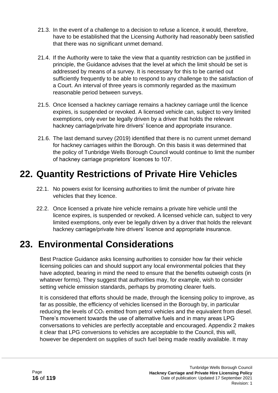- 21.3. In the event of a challenge to a decision to refuse a licence, it would, therefore, have to be established that the Licensing Authority had reasonably been satisfied that there was no significant unmet demand.
- 21.4. If the Authority were to take the view that a quantity restriction can be justified in principle, the Guidance advises that the level at which the limit should be set is addressed by means of a survey. It is necessary for this to be carried out sufficiently frequently to be able to respond to any challenge to the satisfaction of a Court. An interval of three years is commonly regarded as the maximum reasonable period between surveys.
- 21.5. Once licensed a hackney carriage remains a hackney carriage until the licence expires, is suspended or revoked. A licensed vehicle can, subject to very limited exemptions, only ever be legally driven by a driver that holds the relevant hackney carriage/private hire drivers' licence and appropriate insurance.
- 21.6. The last demand survey (2019) identified that there is no current unmet demand for hackney carriages within the Borough. On this basis it was determined that the policy of Tunbridge Wells Borough Council would continue to limit the number of hackney carriage proprietors' licences to 107.

# **22. Quantity Restrictions of Private Hire Vehicles**

- 22.1. No powers exist for licensing authorities to limit the number of private hire vehicles that they licence.
- 22.2. Once licensed a private hire vehicle remains a private hire vehicle until the licence expires, is suspended or revoked. A licensed vehicle can, subject to very limited exemptions, only ever be legally driven by a driver that holds the relevant hackney carriage/private hire drivers' licence and appropriate insurance.

# **23. Environmental Considerations**

Best Practice Guidance asks licensing authorities to consider how far their vehicle licensing policies can and should support any local environmental policies that they have adopted, bearing in mind the need to ensure that the benefits outweigh costs (in whatever forms). They suggest that authorities may, for example, wish to consider setting vehicle emission standards, perhaps by promoting clearer fuels.

It is considered that efforts should be made, through the licensing policy to improve, as far as possible, the efficiency of vehicles licensed in the Borough by, in particular reducing the levels of  $CO<sub>2</sub>$  emitted from petrol vehicles and the equivalent from diesel. There's movement towards the use of alternative fuels and in many areas LPG conversations to vehicles are perfectly acceptable and encouraged. Appendix 2 makes it clear that LPG conversions to vehicles are acceptable to the Council, this will, however be dependent on supplies of such fuel being made readily available. It may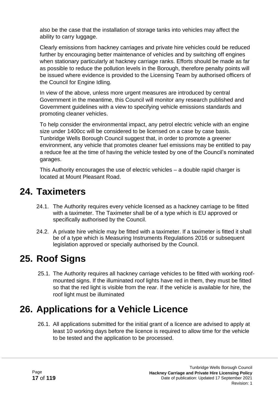also be the case that the installation of storage tanks into vehicles may affect the ability to carry luggage.

Clearly emissions from hackney carriages and private hire vehicles could be reduced further by encouraging better maintenance of vehicles and by switching off engines when stationary particularly at hackney carriage ranks. Efforts should be made as far as possible to reduce the pollution levels in the Borough, therefore penalty points will be issued where evidence is provided to the Licensing Team by authorised officers of the Council for Engine Idling.

In view of the above, unless more urgent measures are introduced by central Government in the meantime, this Council will monitor any research published and Government guidelines with a view to specifying vehicle emissions standards and promoting cleaner vehicles.

To help consider the environmental impact, any petrol electric vehicle with an engine size under 1400cc will be considered to be licensed on a case by case basis. Tunbridge Wells Borough Council suggest that, in order to promote a greener environment, any vehicle that promotes cleaner fuel emissions may be entitled to pay a reduce fee at the time of having the vehicle tested by one of the Council's nominated garages.

This Authority encourages the use of electric vehicles – a double rapid charger is located at Mount Pleasant Road.

#### **24. Taximeters**

- 24.1. The Authority requires every vehicle licensed as a hackney carriage to be fitted with a taximeter. The Taximeter shall be of a type which is EU approved or specifically authorised by the Council.
- 24.2. A private hire vehicle may be fitted with a taximeter. If a taximeter is fitted it shall be of a type which is Measuring Instruments Regulations 2016 or subsequent legislation approved or specially authorised by the Council.

# **25. Roof Signs**

25.1. The Authority requires all hackney carriage vehicles to be fitted with working roofmounted signs. If the illuminated roof lights have red in them, they must be fitted so that the red light is visible from the rear. If the vehicle is available for hire, the roof light must be illuminated

# **26. Applications for a Vehicle Licence**

26.1. All applications submitted for the initial grant of a licence are advised to apply at least 10 working days before the licence is required to allow time for the vehicle to be tested and the application to be processed.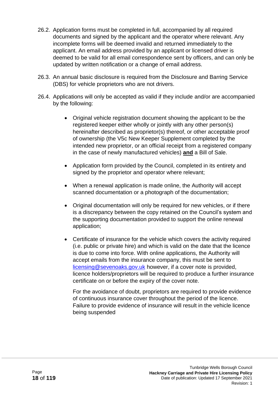- 26.2. Application forms must be completed in full, accompanied by all required documents and signed by the applicant and the operator where relevant. Any incomplete forms will be deemed invalid and returned immediately to the applicant. An email address provided by an applicant or licensed driver is deemed to be valid for all email correspondence sent by officers, and can only be updated by written notification or a change of email address.
- 26.3. An annual basic disclosure is required from the Disclosure and Barring Service (DBS) for vehicle proprietors who are not drivers.
- 26.4. Applications will only be accepted as valid if they include and/or are accompanied by the following:
	- Original vehicle registration document showing the applicant to be the registered keeper either wholly or jointly with any other person(s) hereinafter described as proprietor(s) thereof, or other acceptable proof of ownership (the V5c New Keeper Supplement completed by the intended new proprietor, or an official receipt from a registered company in the case of newly manufactured vehicles) **and** a Bill of Sale.
	- Application form provided by the Council, completed in its entirety and signed by the proprietor and operator where relevant;
	- When a renewal application is made online, the Authority will accept scanned documentation or a photograph of the documentation;
	- Original documentation will only be required for new vehicles, or if there is a discrepancy between the copy retained on the Council's system and the supporting documentation provided to support the online renewal application;
	- Certificate of insurance for the vehicle which covers the activity required (i.e. public or private hire) and which is valid on the date that the licence is due to come into force. With online applications, the Authority will accept emails from the insurance company, this must be sent to [licensing@sevenoaks.gov.uk](mailto:licensing@sevenoaks.gov.uk) however, if a cover note is provided, licence holders/proprietors will be required to produce a further insurance certificate on or before the expiry of the cover note.

For the avoidance of doubt, proprietors are required to provide evidence of continuous insurance cover throughout the period of the licence. Failure to provide evidence of insurance will result in the vehicle licence being suspended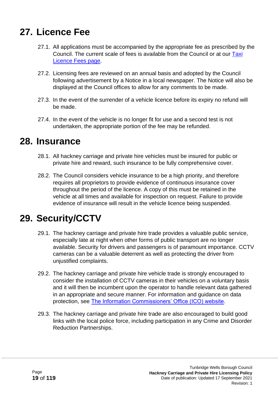### **27. Licence Fee**

- 27.1. All applications must be accompanied by the appropriate fee as prescribed by the Council. The current scale of fees is available from the Council or at our [Taxi](http://www.tunbridgewells.gov.uk/business/licences-and-permits/taxis-and-private-hire/taxi-licence-fees)  [Licence Fees page.](http://www.tunbridgewells.gov.uk/business/licences-and-permits/taxis-and-private-hire/taxi-licence-fees)
- 27.2. Licensing fees are reviewed on an annual basis and adopted by the Council following advertisement by a Notice in a local newspaper. The Notice will also be displayed at the Council offices to allow for any comments to be made.
- 27.3. In the event of the surrender of a vehicle licence before its expiry no refund will be made.
- 27.4. In the event of the vehicle is no longer fit for use and a second test is not undertaken, the appropriate portion of the fee may be refunded.

#### **28. Insurance**

- 28.1. All hackney carriage and private hire vehicles must be insured for public or private hire and reward, such insurance to be fully comprehensive cover.
- 28.2. The Council considers vehicle insurance to be a high priority, and therefore requires all proprietors to provide evidence of continuous insurance cover throughout the period of the licence. A copy of this must be retained in the vehicle at all times and available for inspection on request. Failure to provide evidence of insurance will result in the vehicle licence being suspended.

# **29. Security/CCTV**

- 29.1. The hackney carriage and private hire trade provides a valuable public service, especially late at night when other forms of public transport are no longer available. Security for drivers and passengers is of paramount importance. CCTV cameras can be a valuable deterrent as well as protecting the driver from unjustified complaints.
- 29.2. The hackney carriage and private hire vehicle trade is strongly encouraged to consider the installation of CCTV cameras in their vehicles on a voluntary basis and it will then be incumbent upon the operator to handle relevant data gathered in an appropriate and secure manner. For information and guidance on data protection, see [The Information Commissioners' Office \(ICO\) website.](http://www.ico.gov.uk/)
- 29.3. The hackney carriage and private hire trade are also encouraged to build good links with the local police force, including participation in any Crime and Disorder Reduction Partnerships.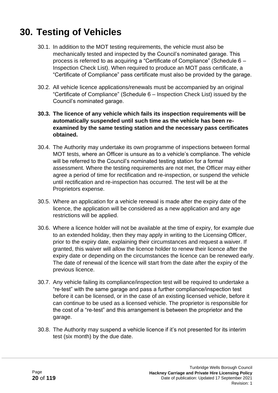#### **30. Testing of Vehicles**

- 30.1. In addition to the MOT testing requirements, the vehicle must also be mechanically tested and inspected by the Council's nominated garage. This process is referred to as acquiring a "Certificate of Compliance" (Schedule 6 – Inspection Check List). When required to produce an MOT pass certificate, a "Certificate of Compliance" pass certificate must also be provided by the garage.
- 30.2. All vehicle licence applications/renewals must be accompanied by an original "Certificate of Compliance" (Schedule 6 – Inspection Check List) issued by the Council's nominated garage.
- **30.3. The licence of any vehicle which fails its inspection requirements will be automatically suspended until such time as the vehicle has been reexamined by the same testing station and the necessary pass certificates obtained.**
- 30.4. The Authority may undertake its own programme of inspections between formal MOT tests, where an Officer is unsure as to a vehicle's compliance. The vehicle will be referred to the Council's nominated testing station for a formal assessment. Where the testing requirements are not met, the Officer may either agree a period of time for rectification and re-inspection, or suspend the vehicle until rectification and re-inspection has occurred. The test will be at the Proprietors expense.
- 30.5. Where an application for a vehicle renewal is made after the expiry date of the licence, the application will be considered as a new application and any age restrictions will be applied.
- 30.6. Where a licence holder will not be available at the time of expiry, for example due to an extended holiday, then they may apply in writing to the Licensing Officer, prior to the expiry date, explaining their circumstances and request a waiver. If granted, this waiver will allow the licence holder to renew their licence after the expiry date or depending on the circumstances the licence can be renewed early. The date of renewal of the licence will start from the date after the expiry of the previous licence.
- 30.7. Any vehicle failing its compliance/inspection test will be required to undertake a "re-test" with the same garage and pass a further compliance/inspection test before it can be licensed, or in the case of an existing licensed vehicle, before it can continue to be used as a licensed vehicle. The proprietor is responsible for the cost of a "re-test" and this arrangement is between the proprietor and the garage.
- 30.8. The Authority may suspend a vehicle licence if it's not presented for its interim test (six month) by the due date.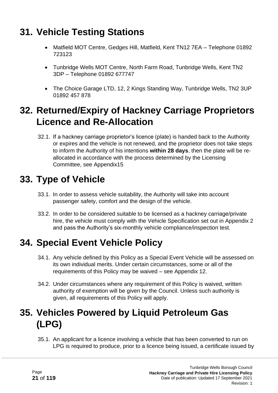# **31. Vehicle Testing Stations**

- Matfield MOT Centre, Gedges Hill, Matfield, Kent TN12 7EA Telephone 01892 723123
- Tunbridge Wells MOT Centre, North Farm Road, Tunbridge Wells, Kent TN2 3DP – Telephone 01892 677747
- The Choice Garage LTD, 12, 2 Kings Standing Way, Tunbridge Wells, TN2 3UP 01892 457 878

#### **32. Returned/Expiry of Hackney Carriage Proprietors Licence and Re-Allocation**

32.1. If a hackney carriage proprietor's licence (plate) is handed back to the Authority or expires and the vehicle is not renewed, and the proprietor does not take steps to inform the Authority of his intentions **within 28 days**, then the plate will be reallocated in accordance with the process determined by the Licensing Committee, see Appendix15

# **33. Type of Vehicle**

- 33.1. In order to assess vehicle suitability, the Authority will take into account passenger safety, comfort and the design of the vehicle.
- 33.2. In order to be considered suitable to be licensed as a hackney carriage/private hire, the vehicle must comply with the Vehicle Specification set out in Appendix 2 and pass the Authority's six-monthly vehicle compliance/inspection test.

# **34. Special Event Vehicle Policy**

- 34.1. Any vehicle defined by this Policy as a Special Event Vehicle will be assessed on its own individual merits. Under certain circumstances, some or all of the requirements of this Policy may be waived – see Appendix 12.
- 34.2. Under circumstances where any requirement of this Policy is waived, written authority of exemption will be given by the Council. Unless such authority is given, all requirements of this Policy will apply.

# **35. Vehicles Powered by Liquid Petroleum Gas (LPG)**

35.1. An applicant for a licence involving a vehicle that has been converted to run on LPG is required to produce, prior to a licence being issued, a certificate issued by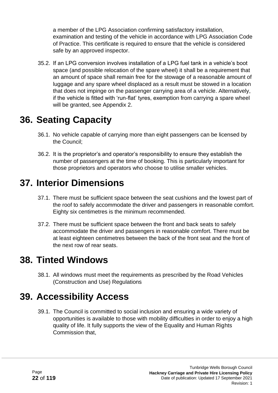a member of the LPG Association confirming satisfactory installation, examination and testing of the vehicle in accordance with LPG Association Code of Practice. This certificate is required to ensure that the vehicle is considered safe by an approved inspector.

35.2. If an LPG conversion involves installation of a LPG fuel tank in a vehicle's boot space (and possible relocation of the spare wheel) it shall be a requirement that an amount of space shall remain free for the stowage of a reasonable amount of luggage and any spare wheel displaced as a result must be stowed in a location that does not impinge on the passenger carrying area of a vehicle. Alternatively, if the vehicle is fitted with 'run-flat' tyres, exemption from carrying a spare wheel will be granted, see Appendix 2.

#### **36. Seating Capacity**

- 36.1. No vehicle capable of carrying more than eight passengers can be licensed by the Council;
- 36.2. It is the proprietor's and operator's responsibility to ensure they establish the number of passengers at the time of booking. This is particularly important for those proprietors and operators who choose to utilise smaller vehicles.

### **37. Interior Dimensions**

- 37.1. There must be sufficient space between the seat cushions and the lowest part of the roof to safely accommodate the driver and passengers in reasonable comfort. Eighty six centimetres is the minimum recommended.
- 37.2. There must be sufficient space between the front and back seats to safely accommodate the driver and passengers in reasonable comfort. There must be at least eighteen centimetres between the back of the front seat and the front of the next row of rear seats.

#### **38. Tinted Windows**

38.1. All windows must meet the requirements as prescribed by the Road Vehicles (Construction and Use) Regulations

#### **39. Accessibility Access**

39.1. The Council is committed to social inclusion and ensuring a wide variety of opportunities is available to those with mobility difficulties in order to enjoy a high quality of life. It fully supports the view of the Equality and Human Rights Commission that,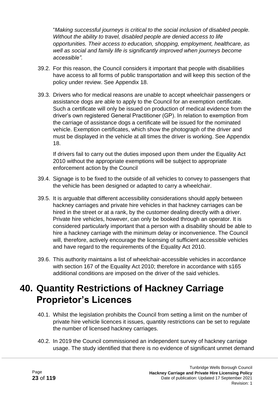"*Making successful journeys is critical to the social inclusion of disabled people. Without the ability to travel, disabled people are denied access to life opportunities. Their access to education, shopping, employment, healthcare, as well as social and family life is significantly improved when journeys become accessible".*

- 39.2. For this reason, the Council considers it important that people with disabilities have access to all forms of public transportation and will keep this section of the policy under review. See Appendix 18.
- 39.3. Drivers who for medical reasons are unable to accept wheelchair passengers or assistance dogs are able to apply to the Council for an exemption certificate. Such a certificate will only be issued on production of medical evidence from the driver's own registered General Practitioner (GP). In relation to exemption from the carriage of assistance dogs a certificate will be issued for the nominated vehicle. Exemption certificates, which show the photograph of the driver and must be displayed in the vehicle at all times the driver is working. See Appendix 18.

If drivers fail to carry out the duties imposed upon them under the Equality Act 2010 without the appropriate exemptions will be subject to appropriate enforcement action by the Council

- 39.4. Signage is to be fixed to the outside of all vehicles to convey to passengers that the vehicle has been designed or adapted to carry a wheelchair.
- 39.5. It is arguable that different accessibility considerations should apply between hackney carriages and private hire vehicles in that hackney carriages can be hired in the street or at a rank, by the customer dealing directly with a driver. Private hire vehicles, however, can only be booked through an operator. It is considered particularly important that a person with a disability should be able to hire a hackney carriage with the minimum delay or inconvenience. The Council will, therefore, actively encourage the licensing of sufficient accessible vehicles and have regard to the requirements of the Equality Act 2010.
- 39.6. This authority maintains a list of wheelchair-accessible vehicles in accordance with section 167 of the Equality Act 2010; therefore in accordance with s165 additional conditions are imposed on the driver of the said vehicles.

# **40. Quantity Restrictions of Hackney Carriage Proprietor's Licences**

- 40.1. Whilst the legislation prohibits the Council from setting a limit on the number of private hire vehicle licences it issues, quantity restrictions can be set to regulate the number of licensed hackney carriages.
- 40.2. In 2019 the Council commissioned an independent survey of hackney carriage usage. The study identified that there is no evidence of significant unmet demand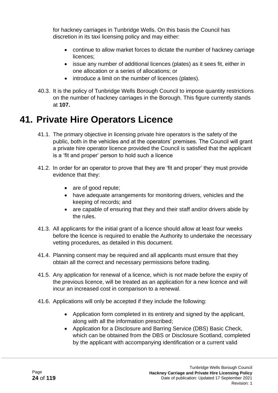for hackney carriages in Tunbridge Wells. On this basis the Council has discretion in its taxi licensing policy and may either:

- continue to allow market forces to dictate the number of hackney carriage licences;
- issue any number of additional licences (plates) as it sees fit, either in one allocation or a series of allocations; or
- introduce a limit on the number of licences (plates).
- 40.3. It is the policy of Tunbridge Wells Borough Council to impose quantity restrictions on the number of hackney carriages in the Borough. This figure currently stands at **107.**

### **41. Private Hire Operators Licence**

- 41.1. The primary objective in licensing private hire operators is the safety of the public, both in the vehicles and at the operators' premises. The Council will grant a private hire operator licence provided the Council is satisfied that the applicant is a 'fit and proper' person to hold such a licence
- 41.2. In order for an operator to prove that they are 'fit and proper' they must provide evidence that they:
	- are of good repute;
	- have adequate arrangements for monitoring drivers, vehicles and the keeping of records; and
	- are capable of ensuring that they and their staff and/or drivers abide by the rules.
- 41.3. All applicants for the initial grant of a licence should allow at least four weeks before the licence is required to enable the Authority to undertake the necessary vetting procedures, as detailed in this document.
- 41.4. Planning consent may be required and all applicants must ensure that they obtain all the correct and necessary permissions before trading.
- 41.5. Any application for renewal of a licence, which is not made before the expiry of the previous licence, will be treated as an application for a new licence and will incur an increased cost in comparison to a renewal.
- 41.6. Applications will only be accepted if they include the following:
	- Application form completed in its entirety and signed by the applicant, along with all the information prescribed;
	- Application for a Disclosure and Barring Service (DBS) Basic Check, which can be obtained from the DBS or Disclosure Scotland, completed by the applicant with accompanying identification or a current valid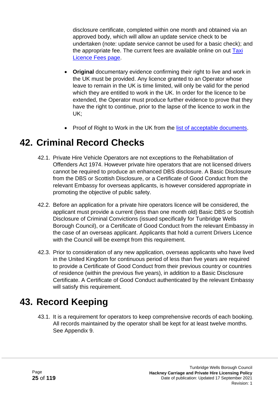disclosure certificate, completed within one month and obtained via an approved body, which will allow an update service check to be undertaken (note: update service cannot be used for a basic check); and the appropriate fee. The current fees are available online on out Taxi [Licence Fees page.](http://www.tunbridgewells.gov.uk/business/licences-and-permits/taxis-and-private-hire/taxi-licence-fees)

- **Original** documentary evidence confirming their right to live and work in the UK must be provided. Any licence granted to an Operator whose leave to remain in the UK is time limited, will only be valid for the period which they are entitled to work in the UK. In order for the licence to be extended, the Operator must produce further evidence to prove that they have the right to continue, prior to the lapse of the licence to work in the UK;
- Proof of Right to Work in the UK from the [list of acceptable documents.](https://www.gov.uk/prove-right-to-work)

#### **42. Criminal Record Checks**

- 42.1. Private Hire Vehicle Operators are not exceptions to the Rehabilitation of Offenders Act 1974. However private hire operators that are not licensed drivers cannot be required to produce an enhanced DBS disclosure. A Basic Disclosure from the DBS or Scottish Disclosure, or a Certificate of Good Conduct from the relevant Embassy for overseas applicants, is however considered appropriate in promoting the objective of public safety.
- 42.2. Before an application for a private hire operators licence will be considered, the applicant must provide a current (less than one month old) Basic DBS or Scottish Disclosure of Criminal Convictions (issued specifically for Tunbridge Wells Borough Council), or a Certificate of Good Conduct from the relevant Embassy in the case of an overseas applicant. Applicants that hold a current Drivers Licence with the Council will be exempt from this requirement.
- 42.3. Prior to consideration of any new application, overseas applicants who have lived in the United Kingdom for continuous period of less than five years are required to provide a Certificate of Good Conduct from their previous country or countries of residence (within the previous five years), in addition to a Basic Disclosure Certificate. A Certificate of Good Conduct authenticated by the relevant Embassy will satisfy this requirement.

#### **43. Record Keeping**

43.1. It is a requirement for operators to keep comprehensive records of each booking. All records maintained by the operator shall be kept for at least twelve months. See Appendix 9.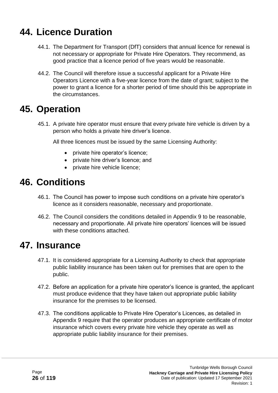#### **44. Licence Duration**

- 44.1. The Department for Transport (DfT) considers that annual licence for renewal is not necessary or appropriate for Private Hire Operators. They recommend, as good practice that a licence period of five years would be reasonable.
- 44.2. The Council will therefore issue a successful applicant for a Private Hire Operators Licence with a five-year licence from the date of grant; subject to the power to grant a licence for a shorter period of time should this be appropriate in the circumstances.

#### **45. Operation**

45.1. A private hire operator must ensure that every private hire vehicle is driven by a person who holds a private hire driver's licence.

All three licences must be issued by the same Licensing Authority:

- private hire operator's licence;
- private hire driver's licence; and
- private hire vehicle licence;

#### **46. Conditions**

- 46.1. The Council has power to impose such conditions on a private hire operator's licence as it considers reasonable, necessary and proportionate.
- 46.2. The Council considers the conditions detailed in Appendix 9 to be reasonable, necessary and proportionate. All private hire operators' licences will be issued with these conditions attached.

#### **47. Insurance**

- 47.1. It is considered appropriate for a Licensing Authority to check that appropriate public liability insurance has been taken out for premises that are open to the public.
- 47.2. Before an application for a private hire operator's licence is granted, the applicant must produce evidence that they have taken out appropriate public liability insurance for the premises to be licensed.
- 47.3. The conditions applicable to Private Hire Operator's Licences, as detailed in Appendix 9 require that the operator produces an appropriate certificate of motor insurance which covers every private hire vehicle they operate as well as appropriate public liability insurance for their premises.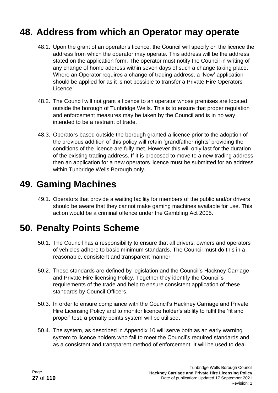#### **48. Address from which an Operator may operate**

- 48.1. Upon the grant of an operator's licence, the Council will specify on the licence the address from which the operator may operate. This address will be the address stated on the application form. The operator must notify the Council in writing of any change of home address within seven days of such a change taking place. Where an Operator requires a change of trading address. a 'New' application should be applied for as it is not possible to transfer a Private Hire Operators Licence.
- 48.2. The Council will not grant a licence to an operator whose premises are located outside the borough of Tunbridge Wells. This is to ensure that proper regulation and enforcement measures may be taken by the Council and is in no way intended to be a restraint of trade.
- 48.3. Operators based outside the borough granted a licence prior to the adoption of the previous addition of this policy will retain 'grandfather rights' providing the conditions of the licence are fully met. However this will only last for the duration of the existing trading address. If it is proposed to move to a new trading address then an application for a new operators licence must be submitted for an address within Tunbridge Wells Borough only.

#### **49. Gaming Machines**

49.1. Operators that provide a waiting facility for members of the public and/or drivers should be aware that they cannot make gaming machines available for use. This action would be a criminal offence under the Gambling Act 2005.

#### **50. Penalty Points Scheme**

- 50.1. The Council has a responsibility to ensure that all drivers, owners and operators of vehicles adhere to basic minimum standards. The Council must do this in a reasonable, consistent and transparent manner.
- 50.2. These standards are defined by legislation and the Council's Hackney Carriage and Private Hire licensing Policy. Together they identify the Council's requirements of the trade and help to ensure consistent application of these standards by Council Officers.
- 50.3. In order to ensure compliance with the Council's Hackney Carriage and Private Hire Licensing Policy and to monitor licence holder's ability to fulfil the 'fit and proper' test, a penalty points system will be utilised.
- 50.4. The system, as described in Appendix 10 will serve both as an early warning system to licence holders who fail to meet the Council's required standards and as a consistent and transparent method of enforcement. It will be used to deal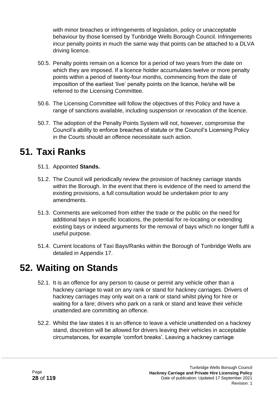with minor breaches or infringements of legislation, policy or unacceptable behaviour by those licensed by Tunbridge Wells Borough Council. Infringements incur penalty points in much the same way that points can be attached to a DLVA driving licence.

- 50.5. Penalty points remain on a licence for a period of two years from the date on which they are imposed. If a licence holder accumulates twelve or more penalty points within a period of twenty-four months, commencing from the date of imposition of the earliest 'live' penalty points on the licence, he/she will be referred to the Licensing Committee.
- 50.6. The Licensing Committee will follow the objectives of this Policy and have a range of sanctions available, including suspension or revocation of the licence.
- 50.7. The adoption of the Penalty Points System will not, however, compromise the Council's ability to enforce breaches of statute or the Council's Licensing Policy in the Courts should an offence necessitate such action.

#### **51. Taxi Ranks**

- 51.1. Appointed **Stands.**
- 51.2. The Council will periodically review the provision of hackney carriage stands within the Borough. In the event that there is evidence of the need to amend the existing provisions, a full consultation would be undertaken prior to any amendments.
- 51.3. Comments are welcomed from either the trade or the public on the need for additional bays in specific locations, the potential for re-locating or extending existing bays or indeed arguments for the removal of bays which no longer fulfil a useful purpose.
- 51.4. Current locations of Taxi Bays/Ranks within the Borough of Tunbridge Wells are detailed in Appendix 17.

#### **52. Waiting on Stands**

- 52.1. It is an offence for any person to cause or permit any vehicle other than a hackney carriage to wait on any rank or stand for hackney carriages. Drivers of hackney carriages may only wait on a rank or stand whilst plying for hire or waiting for a fare; drivers who park on a rank or stand and leave their vehicle unattended are committing an offence.
- 52.2. Whilst the law states it is an offence to leave a vehicle unattended on a hackney stand, discretion will be allowed for drivers leaving their vehicles in acceptable circumstances, for example 'comfort breaks'. Leaving a hackney carriage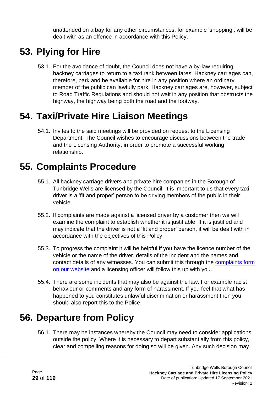unattended on a bay for any other circumstances, for example 'shopping', will be dealt with as an offence in accordance with this Policy.

# **53. Plying for Hire**

53.1. For the avoidance of doubt, the Council does not have a by-law requiring hackney carriages to return to a taxi rank between fares. Hackney carriages can, therefore, park and be available for hire in any position where an ordinary member of the public can lawfully park. Hackney carriages are, however, subject to Road Traffic Regulations and should not wait in any position that obstructs the highway, the highway being both the road and the footway.

### **54. Taxi/Private Hire Liaison Meetings**

54.1. Invites to the said meetings will be provided on request to the Licensing Department. The Council wishes to encourage discussions between the trade and the Licensing Authority, in order to promote a successful working relationship.

### **55. Complaints Procedure**

- 55.1. All hackney carriage drivers and private hire companies in the Borough of Tunbridge Wells are licensed by the Council. It is important to us that every taxi driver is a 'fit and proper' person to be driving members of the public in their vehicle.
- 55.2. If complaints are made against a licensed driver by a customer then we will examine the complaint to establish whether it is justifiable. If it is justified and may indicate that the driver is not a 'fit and proper' person, it will be dealt with in accordance with the objectives of this Policy.
- 55.3. To progress the complaint it will be helpful if you have the licence number of the vehicle or the name of the driver, details of the incident and the names and contact details of any witnesses. You can submit this through the [complaints form](https://tunbridgewells.gov.uk/licensing/taxis-and-private-hire/taxi-complaints)  [on our website](https://tunbridgewells.gov.uk/licensing/taxis-and-private-hire/taxi-complaints) and a licensing officer will follow this up with you.
- 55.4. There are some incidents that may also be against the law. For example racist behaviour or comments and any form of harassment. If you feel that what has happened to you constitutes unlawful discrimination or harassment then you should also report this to the Police.

# **56. Departure from Policy**

56.1. There may be instances whereby the Council may need to consider applications outside the policy. Where it is necessary to depart substantially from this policy, clear and compelling reasons for doing so will be given. Any such decision may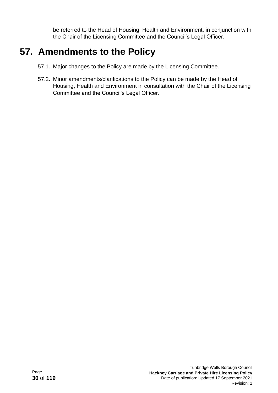be referred to the Head of Housing, Health and Environment, in conjunction with the Chair of the Licensing Committee and the Council's Legal Officer.

### **57. Amendments to the Policy**

- 57.1. Major changes to the Policy are made by the Licensing Committee.
- 57.2. Minor amendments/clarifications to the Policy can be made by the Head of Housing, Health and Environment in consultation with the Chair of the Licensing Committee and the Council's Legal Officer.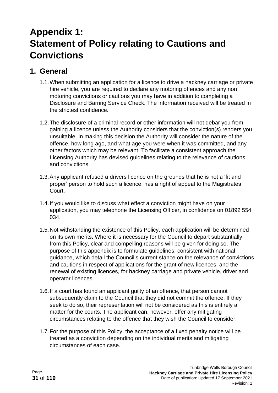# **Appendix 1: Statement of Policy relating to Cautions and Convictions**

#### **1. General**

- 1.1.When submitting an application for a licence to drive a hackney carriage or private hire vehicle, you are required to declare any motoring offences and any non motoring convictions or cautions you may have in addition to completing a Disclosure and Barring Service Check. The information received will be treated in the strictest confidence.
- 1.2.The disclosure of a criminal record or other information will not debar you from gaining a licence unless the Authority considers that the conviction(s) renders you unsuitable. In making this decision the Authority will consider the nature of the offence, how long ago, and what age you were when it was committed, and any other factors which may be relevant. To facilitate a consistent approach the Licensing Authority has devised guidelines relating to the relevance of cautions and convictions.
- 1.3.Any applicant refused a drivers licence on the grounds that he is not a 'fit and proper' person to hold such a licence, has a right of appeal to the Magistrates Court.
- 1.4.If you would like to discuss what effect a conviction might have on your application, you may telephone the Licensing Officer, in confidence on 01892 554 034.
- 1.5.Not withstanding the existence of this Policy, each application will be determined on its own merits. Where it is necessary for the Council to depart substantially from this Policy, clear and compelling reasons will be given for doing so. The purpose of this appendix is to formulate guidelines, consistent with national guidance, which detail the Council's current stance on the relevance of convictions and cautions in respect of applications for the grant of new licences, and the renewal of existing licences, for hackney carriage and private vehicle, driver and operator licences.
- 1.6.If a court has found an applicant guilty of an offence, that person cannot subsequently claim to the Council that they did not commit the offence. If they seek to do so, their representation will not be considered as this is entirely a matter for the courts. The applicant can, however, offer any mitigating circumstances relating to the offence that they wish the Council to consider.
- 1.7.For the purpose of this Policy, the acceptance of a fixed penalty notice will be treated as a conviction depending on the individual merits and mitigating circumstances of each case.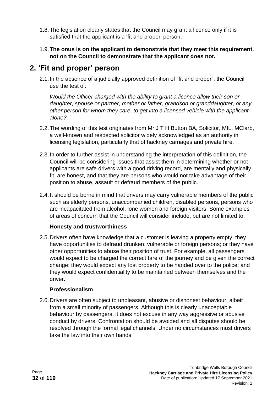- 1.8.The legislation clearly states that the Council may grant a licence only if it is satisfied that the applicant is a 'fit and proper' person.
- 1.9.**The onus is on the applicant to demonstrate that they meet this requirement, not on the Council to demonstrate that the applicant does not.**

#### **2. 'Fit and proper' person**

2.1.In the absence of a judicially approved definition of "fit and proper", the Council use the test of:

*Would the Officer charged with the ability to grant a licence allow their son or daughter, spouse or partner, mother or father, grandson or granddaughter, or any other person for whom they care, to get into a licensed vehicle with the applicant alone?*

- 2.2.The wording of this test originates from Mr J T H Button BA, Solicitor, MIL, MClarb, a well-known and respected solicitor widely acknowledged as an authority in licensing legislation, particularly that of hackney carriages and private hire.
- 2.3.In order to further assist in understanding the interpretation of this definition, the Council will be considering issues that assist them in determining whether or not applicants are safe drivers with a good driving record, are mentally and physically fit, are honest, and that they are persons who would not take advantage of their position to abuse, assault or defraud members of the public.
- 2.4.It should be borne in mind that drivers may carry vulnerable members of the public such as elderly persons, unaccompanied children, disabled persons, persons who are incapacitated from alcohol, lone women and foreign visitors. Some examples of areas of concern that the Council will consider include, but are not limited to:

#### **Honesty and trustworthiness**

2.5.Drivers often have knowledge that a customer is leaving a property empty; they have opportunities to defraud drunken, vulnerable or foreign persons; or they have other opportunities to abuse their position of trust. For example, all passengers would expect to be charged the correct fare of the journey and be given the correct change; they would expect any lost property to be handed over to the police; and they would expect confidentiality to be maintained between themselves and the driver.

#### **Professionalism**

2.6.Drivers are often subject to unpleasant, abusive or dishonest behaviour, albeit from a small minority of passengers. Although this is clearly unacceptable behaviour by passengers, it does not excuse in any way aggressive or abusive conduct by drivers. Confrontation should be avoided and all disputes should be resolved through the formal legal channels. Under no circumstances must drivers take the law into their own hands.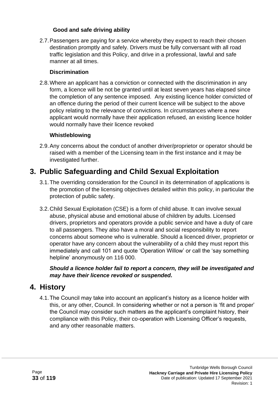#### **Good and safe driving ability**

2.7.Passengers are paying for a service whereby they expect to reach their chosen destination promptly and safely. Drivers must be fully conversant with all road traffic legislation and this Policy, and drive in a professional, lawful and safe manner at all times.

#### **Discrimination**

2.8.Where an applicant has a conviction or connected with the discrimination in any form, a licence will be not be granted until at least seven years has elapsed since the completion of any sentence imposed. Any existing licence holder convicted of an offence during the period of their current licence will be subject to the above policy relating to the relevance of convictions. In circumstances where a new applicant would normally have their application refused, an existing licence holder would normally have their licence revoked

#### **Whistleblowing**

2.9.Any concerns about the conduct of another driver/proprietor or operator should be raised with a member of the Licensing team in the first instance and it may be investigated further.

#### **3. Public Safeguarding and Child Sexual Exploitation**

- 3.1.The overriding consideration for the Council in its determination of applications is the promotion of the licensing objectives detailed within this policy, in particular the protection of public safety.
- 3.2.Child Sexual Exploitation (CSE) is a form of child abuse. It can involve sexual abuse, physical abuse and emotional abuse of children by adults. Licensed drivers, proprietors and operators provide a public service and have a duty of care to all passengers. They also have a moral and social responsibility to report concerns about someone who is vulnerable. Should a licenced driver, proprietor or operator have any concern about the vulnerability of a child they must report this immediately and call 101 and quote 'Operation Willow' or call the 'say something helpline' anonymously on 116 000.

*Should a licence holder fail to report a concern, they will be investigated and may have their licence revoked or suspended.*

#### **4. History**

4.1.The Council may take into account an applicant's history as a licence holder with this, or any other, Council. In considering whether or not a person is 'fit and proper' the Council may consider such matters as the applicant's complaint history, their compliance with this Policy, their co-operation with Licensing Officer's requests, and any other reasonable matters.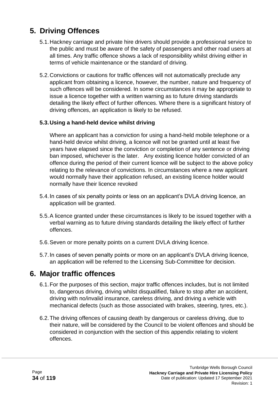#### **5. Driving Offences**

- 5.1.Hackney carriage and private hire drivers should provide a professional service to the public and must be aware of the safety of passengers and other road users at all times. Any traffic offence shows a lack of responsibility whilst driving either in terms of vehicle maintenance or the standard of driving.
- 5.2.Convictions or cautions for traffic offences will not automatically preclude any applicant from obtaining a licence, however, the number, nature and frequency of such offences will be considered. In some circumstances it may be appropriate to issue a licence together with a written warning as to future driving standards detailing the likely effect of further offences. Where there is a significant history of driving offences, an application is likely to be refused.

#### **5.3.Using a hand-held device whilst driving**

Where an applicant has a conviction for using a hand-held mobile telephone or a hand-held device whilst driving, a licence will not be granted until at least five years have elapsed since the conviction or completion of any sentence or driving ban imposed, whichever is the later. Any existing licence holder convicted of an offence during the period of their current licence will be subject to the above policy relating to the relevance of convictions. In circumstances where a new applicant would normally have their application refused, an existing licence holder would normally have their licence revoked

- 5.4.In cases of six penalty points or less on an applicant's DVLA driving licence, an application will be granted.
- 5.5.A licence granted under these circumstances is likely to be issued together with a verbal warning as to future driving standards detailing the likely effect of further offences.
- 5.6.Seven or more penalty points on a current DVLA driving licence.
- 5.7.In cases of seven penalty points or more on an applicant's DVLA driving licence, an application will be referred to the Licensing Sub-Committee for decision.

#### **6. Major traffic offences**

- 6.1.For the purposes of this section, major traffic offences includes, but is not limited to, dangerous driving, driving whilst disqualified, failure to stop after an accident, driving with no/invalid insurance, careless driving, and driving a vehicle with mechanical defects (such as those associated with brakes, steering, tyres, etc.).
- 6.2.The driving offences of causing death by dangerous or careless driving, due to their nature, will be considered by the Council to be violent offences and should be considered in conjunction with the section of this appendix relating to violent offences.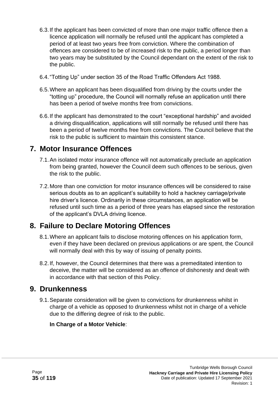- 6.3.If the applicant has been convicted of more than one major traffic offence then a licence application will normally be refused until the applicant has completed a period of at least two years free from conviction. Where the combination of offences are considered to be of increased risk to the public, a period longer than two years may be substituted by the Council dependant on the extent of the risk to the public.
- 6.4."Totting Up" under section 35 of the Road Traffic Offenders Act 1988.
- 6.5.Where an applicant has been disqualified from driving by the courts under the "totting up" procedure, the Council will normally refuse an application until there has been a period of twelve months free from convictions.
- 6.6.If the applicant has demonstrated to the court "exceptional hardship" and avoided a driving disqualification, applications will still normally be refused until there has been a period of twelve months free from convictions. The Council believe that the risk to the public is sufficient to maintain this consistent stance.

#### **7. Motor Insurance Offences**

- 7.1.An isolated motor insurance offence will not automatically preclude an application from being granted, however the Council deem such offences to be serious, given the risk to the public.
- 7.2.More than one conviction for motor insurance offences will be considered to raise serious doubts as to an applicant's suitability to hold a hackney carriage/private hire driver's licence. Ordinarily in these circumstances, an application will be refused until such time as a period of three years has elapsed since the restoration of the applicant's DVLA driving licence.

#### **8. Failure to Declare Motoring Offences**

- 8.1.Where an applicant fails to disclose motoring offences on his application form, even if they have been declared on previous applications or are spent, the Council will normally deal with this by way of issuing of penalty points.
- 8.2.If, however, the Council determines that there was a premeditated intention to deceive, the matter will be considered as an offence of dishonesty and dealt with in accordance with that section of this Policy.

#### **9. Drunkenness**

9.1.Separate consideration will be given to convictions for drunkenness whilst in charge of a vehicle as opposed to drunkenness whilst not in charge of a vehicle due to the differing degree of risk to the public.

#### **In Charge of a Motor Vehicle**: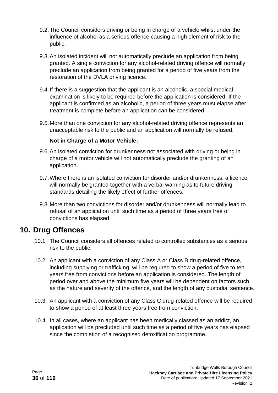- 9.2.The Council considers driving or being in charge of a vehicle whilst under the influence of alcohol as a serious offence causing a high element of risk to the public.
- 9.3.An isolated incident will not automatically preclude an application from being granted. A single conviction for any alcohol-related driving offence will normally preclude an application from being granted for a period of five years from the restoration of the DVLA driving licence.
- 9.4.If there is a suggestion that the applicant is an alcoholic, a special medical examination is likely to be required before the application is considered. If the applicant is confirmed as an alcoholic, a period of three years must elapse after treatment is complete before an application can be considered.
- 9.5.More than one conviction for any alcohol-related driving offence represents an unacceptable risk to the public and an application will normally be refused.

#### **Not in Charge of a Motor Vehicle:**

- 9.6.An isolated conviction for drunkenness not associated with driving or being in charge of a motor vehicle will not automatically preclude the granting of an application.
- 9.7.Where there is an isolated conviction for disorder and/or drunkenness, a licence will normally be granted together with a verbal warning as to future driving standards detailing the likely effect of further offences.
- 9.8.More than two convictions for disorder and/or drunkenness will normally lead to refusal of an application until such time as a period of three years free of convictions has elapsed.

#### **10. Drug Offences**

- 10.1. The Council considers all offences related to controlled substances as a serious risk to the public.
- 10.2. An applicant with a conviction of any Class A or Class B drug-related offence, including supplying or trafficking, will be required to show a period of five to ten years free from convictions before an application is considered. The length of period over and above the minimum five years will be dependent on factors such as the nature and severity of the offence, and the length of any custodial sentence.
- 10.3. An applicant with a conviction of any Class C drug-related offence will be required to show a period of at least three years free from conviction.
- 10.4. In all cases, where an applicant has been medically classed as an addict, an application will be precluded until such time as a period of five years has elapsed since the completion of a recognised detoxification programme.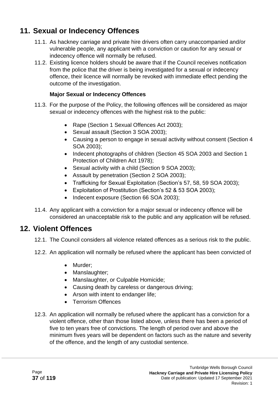# **11. Sexual or Indecency Offences**

- 11.1. As hackney carriage and private hire drivers often carry unaccompanied and/or vulnerable people, any applicant with a conviction or caution for any sexual or indecency offence will normally be refused.
- 11.2. Existing licence holders should be aware that if the Council receives notification from the police that the driver is being investigated for a sexual or indecency offence, their licence will normally be revoked with immediate effect pending the outcome of the investigation.

#### **Major Sexual or Indecency Offences**

- 11.3. For the purpose of the Policy, the following offences will be considered as major sexual or indecency offences with the highest risk to the public:
	- Rape (Section 1 Sexual Offences Act 2003);
	- Sexual assault (Section 3 SOA 2003);
	- Causing a person to engage in sexual activity without consent (Section 4 SOA 2003);
	- Indecent photographs of children (Section 45 SOA 2003 and Section 1 Protection of Children Act 1978);
	- Sexual activity with a child (Section 9 SOA 2003);
	- Assault by penetration (Section 2 SOA 2003);
	- Trafficking for Sexual Exploitation (Section's 57, 58, 59 SOA 2003);
	- Exploitation of Prostitution (Section's 52 & 53 SOA 2003);
	- Indecent exposure (Section 66 SOA 2003);
- 11.4. Any applicant with a conviction for a major sexual or indecency offence will be considered an unacceptable risk to the public and any application will be refused.

### **12. Violent Offences**

- 12.1. The Council considers all violence related offences as a serious risk to the public.
- 12.2. An application will normally be refused where the applicant has been convicted of
	- Murder;
	- Manslaughter;
	- Manslaughter, or Culpable Homicide;
	- Causing death by careless or dangerous driving;
	- Arson with intent to endanger life;
	- Terrorism Offences
- 12.3. An application will normally be refused where the applicant has a conviction for a violent offence, other than those listed above, unless there has been a period of five to ten years free of convictions. The length of period over and above the minimum fives years will be dependent on factors such as the nature and severity of the offence, and the length of any custodial sentence.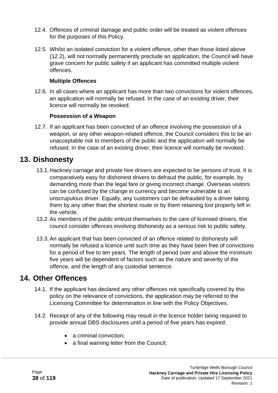- 12.4. Offences of criminal damage and public order will be treated as violent offences for the purposes of this Policy.
- 12.5. Whilst an isolated conviction for a violent offence, other than those listed above (12.2), will not normally permanently preclude an application, the Council will have grave concern for public safety if an applicant has committed multiple violent offences.

#### **Multiple Offences**

12.6. In all cases where an applicant has more than two convictions for violent offences, an application will normally be refused. In the case of an existing driver, their licence will normally be revoked.

#### **Possession of a Weapon**

12.7. If an applicant has been convicted of an offence involving the possession of a weapon, or any other weapon-related offence, the Council considers this to be an unacceptable risk to members of the public and the application will normally be refused. In the case of an existing driver, their licence will normally be revoked.

### **13. Dishonesty**

- 13.1.Hackney carriage and private hire drivers are expected to be persons of trust. It is comparatively easy for dishonest drivers to defraud the public, for example, by demanding more than the legal fare or giving incorrect change. Overseas visitors can be confused by the change in currency and become vulnerable to an unscrupulous driver. Equally, any customers can be defrauded by a driver taking them by any other than the shortest route or by them retaining lost property left in the vehicle.
- 13.2.As members of the public entrust themselves to the care of licensed drivers, the council consider offences involving dishonesty as a serious risk to public safety.
- 13.3.An applicant that has been convicted of an offence related to dishonesty will normally be refused a licence until such time as they have been free of convictions for a period of five to ten years. The length of period over and above the minimum five years will be dependent of factors such as the nature and severity of the offence, and the length of any custodial sentence.

### **14. Other Offences**

- 14.1. If the applicant has declared any other offences not specifically covered by this policy on the relevance of convictions, the application may be referred to the Licensing Committee for determination in line with the Policy Objectives.
- 14.2. Receipt of any of the following may result in the licence holder being required to provide annual DBS disclosures until a period of five years has expired:
	- a criminal conviction:
	- a final warning letter from the Council;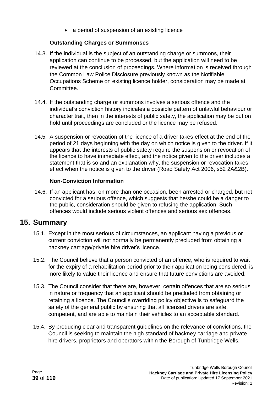• a period of suspension of an existing licence

#### **Outstanding Charges or Summonses**

- 14.3. If the individual is the subject of an outstanding charge or summons, their application can continue to be processed, but the application will need to be reviewed at the conclusion of proceedings. Where information is received through the Common Law Police Disclosure previously known as the Notifiable Occupations Scheme on existing licence holder, consideration may be made at Committee.
- 14.4. If the outstanding charge or summons involves a serious offence and the individual's conviction history indicates a possible pattern of unlawful behaviour or character trait, then in the interests of public safety, the application may be put on hold until proceedings are concluded or the licence may be refused.
- 14.5. A suspension or revocation of the licence of a driver takes effect at the end of the period of 21 days beginning with the day on which notice is given to the driver. If it appears that the interests of public safety require the suspension or revocation of the licence to have immediate effect, and the notice given to the driver includes a statement that is so and an explanation why, the suspension or revocation takes effect when the notice is given to the driver (Road Safety Act 2006, s52 2A&2B).

#### **Non-Conviction Information**

14.6. If an applicant has, on more than one occasion, been arrested or charged, but not convicted for a serious offence, which suggests that he/she could be a danger to the public, consideration should be given to refusing the application. Such offences would include serious violent offences and serious sex offences.

### **15. Summary**

- 15.1. Except in the most serious of circumstances, an applicant having a previous or current conviction will not normally be permanently precluded from obtaining a hackney carriage/private hire driver's licence.
- 15.2. The Council believe that a person convicted of an offence, who is required to wait for the expiry of a rehabilitation period prior to their application being considered, is more likely to value their licence and ensure that future convictions are avoided.
- 15.3. The Council consider that there are, however, certain offences that are so serious in nature or frequency that an applicant should be precluded from obtaining or retaining a licence. The Council's overriding policy objective is to safeguard the safety of the general public by ensuring that all licensed drivers are safe, competent, and are able to maintain their vehicles to an acceptable standard.
- 15.4. By producing clear and transparent guidelines on the relevance of convictions, the Council is seeking to maintain the high standard of hackney carriage and private hire drivers, proprietors and operators within the Borough of Tunbridge Wells.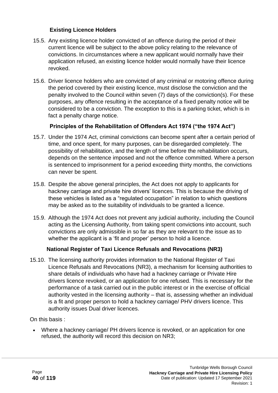#### **Existing Licence Holders**

- 15.5. Any existing licence holder convicted of an offence during the period of their current licence will be subject to the above policy relating to the relevance of convictions. In circumstances where a new applicant would normally have their application refused, an existing licence holder would normally have their licence revoked.
- 15.6. Driver licence holders who are convicted of any criminal or motoring offence during the period covered by their existing licence, must disclose the conviction and the penalty involved to the Council within seven (7) days of the conviction(s). For these purposes, any offence resulting in the acceptance of a fixed penalty notice will be considered to be a conviction. The exception to this is a parking ticket, which is in fact a penalty charge notice.

#### **Principles of the Rehabilitation of Offenders Act 1974 ("the 1974 Act")**

- 15.7. Under the 1974 Act, criminal convictions can become spent after a certain period of time, and once spent, for many purposes, can be disregarded completely. The possibility of rehabilitation, and the length of time before the rehabilitation occurs, depends on the sentence imposed and not the offence committed. Where a person is sentenced to imprisonment for a period exceeding thirty months, the convictions can never be spent.
- 15.8. Despite the above general principles, the Act does not apply to applicants for hackney carriage and private hire drivers' licences. This is because the driving of these vehicles is listed as a "regulated occupation" in relation to which questions may be asked as to the suitability of individuals to be granted a licence.
- 15.9. Although the 1974 Act does not prevent any judicial authority, including the Council acting as the Licensing Authority, from taking spent convictions into account, such convictions are only admissible in so far as they are relevant to the issue as to whether the applicant is a 'fit and proper' person to hold a licence.

#### **National Register of Taxi Licence Refusals and Revocations (NR3)**

15.10. The licensing authority provides information to the National Register of Taxi Licence Refusals and Revocations (NR3), a mechanism for licensing authorities to share details of individuals who have had a hackney carriage or Private Hire drivers licence revoked, or an application for one refused. This is necessary for the performance of a task carried out in the public interest or in the exercise of official authority vested in the licensing authority – that is, assessing whether an individual is a fit and proper person to hold a hackney carriage/ PHV drivers licence. This authority issues Dual driver licences.

On this basis :

• Where a hackney carriage/ PH drivers licence is revoked, or an application for one refused, the authority will record this decision on NR3;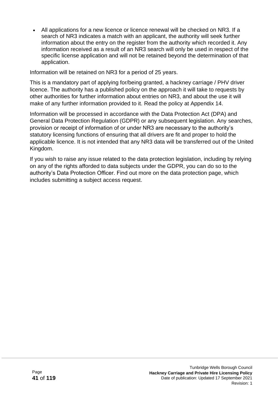• All applications for a new licence or licence renewal will be checked on NR3. If a search of NR3 indicates a match with an applicant, the authority will seek further information about the entry on the register from the authority which recorded it. Any information received as a result of an NR3 search will only be used in respect of the specific license application and will not be retained beyond the determination of that application.

Information will be retained on NR3 for a period of 25 years.

This is a mandatory part of applying for/being granted, a hackney carriage / PHV driver licence. The authority has a published policy on the approach it will take to requests by other authorities for further information about entries on NR3, and about the use it will make of any further information provided to it. [Read the policy](https://www.middlesbrough.gov.uk/taxis) at Appendix 14.

Information will be processed in accordance with the Data Protection Act (DPA) and General Data Protection Regulation (GDPR) or any subsequent legislation. Any searches, provision or receipt of information of or under NR3 are necessary to the authority's statutory licensing functions of ensuring that all drivers are fit and proper to hold the applicable licence. It is not intended that any NR3 data will be transferred out of the United Kingdom.

If you wish to raise any issue related to the data protection legislation, including by relying on any of the rights afforded to data subjects under the GDPR, you can do so to the authority's Data Protection Officer. Find out more on the [data protection page,](https://middlesbrough.gov.uk/open-data-foi-and-have-your-say/data-protection) which includes submitting a subject access request.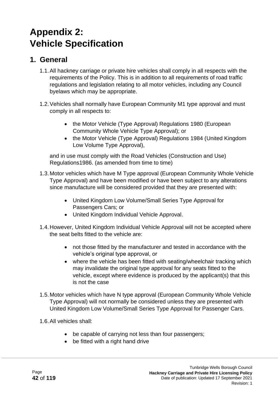# **Appendix 2: Vehicle Specification**

## **1. General**

- 1.1.All hackney carriage or private hire vehicles shall comply in all respects with the requirements of the Policy. This is in addition to all requirements of road traffic regulations and legislation relating to all motor vehicles, including any Council byelaws which may be appropriate.
- 1.2.Vehicles shall normally have European Community M1 type approval and must comply in all respects to:
	- the Motor Vehicle (Type Approval) Regulations 1980 (European Community Whole Vehicle Type Approval); or
	- the Motor Vehicle (Type Approval) Regulations 1984 (United Kingdom Low Volume Type Approval),

and in use must comply with the Road Vehicles (Construction and Use) Regulations1986. (as amended from time to time)

- 1.3.Motor vehicles which have M Type approval (European Community Whole Vehicle Type Approval) and have been modified or have been subject to any alterations since manufacture will be considered provided that they are presented with:
	- United Kingdom Low Volume/Small Series Type Approval for Passengers Cars; or
	- United Kingdom Individual Vehicle Approval.
- 1.4.However, United Kingdom Individual Vehicle Approval will not be accepted where the seat belts fitted to the vehicle are:
	- not those fitted by the manufacturer and tested in accordance with the vehicle's original type approval, or
	- where the vehicle has been fitted with seating/wheelchair tracking which may invalidate the original type approval for any seats fitted to the vehicle, except where evidence is produced by the applicant(s) that this is not the case
- 1.5.Motor vehicles which have N type approval (European Community Whole Vehicle Type Approval) will not normally be considered unless they are presented with United Kingdom Low Volume/Small Series Type Approval for Passenger Cars.
- 1.6.All vehicles shall:
	- be capable of carrying not less than four passengers;
	- be fitted with a right hand drive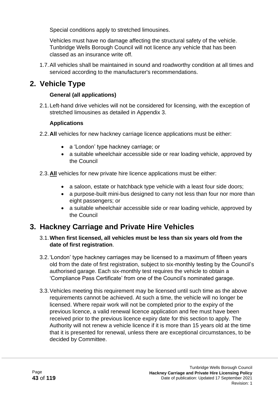Special conditions apply to stretched limousines.

Vehicles must have no damage affecting the structural safety of the vehicle. Tunbridge Wells Borough Council will not licence any vehicle that has been classed as an insurance write off.

1.7.All vehicles shall be maintained in sound and roadworthy condition at all times and serviced according to the manufacturer's recommendations.

# **2. Vehicle Type**

#### **General (all applications)**

2.1.Left-hand drive vehicles will not be considered for licensing, with the exception of stretched limousines as detailed in Appendix 3.

#### **Applications**

- 2.2.**All** vehicles for new hackney carriage licence applications must be either:
	- a 'London' type hackney carriage; or
	- a suitable wheelchair accessible side or rear loading vehicle, approved by the Council
- 2.3.**All** vehicles for new private hire licence applications must be either:
	- a saloon, estate or hatchback type vehicle with a least four side doors;
	- a purpose-built mini-bus designed to carry not less than four nor more than eight passengers; or
	- a suitable wheelchair accessible side or rear loading vehicle, approved by the Council

### **3. Hackney Carriage and Private Hire Vehicles**

- 3.1.**When first licensed, all vehicles must be less than six years old from the date of first registration**.
- 3.2.'London' type hackney carriages may be licensed to a maximum of fifteen years old from the date of first registration, subject to six-monthly testing by the Council's authorised garage. Each six-monthly test requires the vehicle to obtain a 'Compliance Pass Certificate' from one of the Council's nominated garage.
- 3.3.Vehicles meeting this requirement may be licensed until such time as the above requirements cannot be achieved. At such a time, the vehicle will no longer be licensed. Where repair work will not be completed prior to the expiry of the previous licence, a valid renewal licence application and fee must have been received prior to the previous licence expiry date for this section to apply. The Authority will not renew a vehicle licence if it is more than 15 years old at the time that it is presented for renewal, unless there are exceptional circumstances, to be decided by Committee.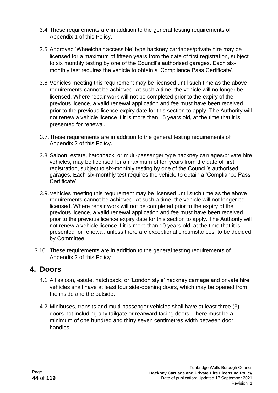- 3.4.These requirements are in addition to the general testing requirements of Appendix 1 of this Policy.
- 3.5.Approved 'Wheelchair accessible' type hackney carriages/private hire may be licensed for a maximum of fifteen years from the date of first registration, subject to six monthly testing by one of the Council's authorised garages. Each sixmonthly test requires the vehicle to obtain a 'Compliance Pass Certificate'.
- 3.6.Vehicles meeting this requirement may be licensed until such time as the above requirements cannot be achieved. At such a time, the vehicle will no longer be licensed. Where repair work will not be completed prior to the expiry of the previous licence, a valid renewal application and fee must have been received prior to the previous licence expiry date for this section to apply. The Authority will not renew a vehicle licence if it is more than 15 years old, at the time that it is presented for renewal.
- 3.7.These requirements are in addition to the general testing requirements of Appendix 2 of this Policy.
- 3.8.Saloon, estate, hatchback, or multi-passenger type hackney carriages/private hire vehicles, may be licensed for a maximum of ten years from the date of first registration, subject to six-monthly testing by one of the Council's authorised garages. Each six-monthly test requires the vehicle to obtain a 'Compliance Pass Certificate'.
- 3.9.Vehicles meeting this requirement may be licensed until such time as the above requirements cannot be achieved. At such a time, the vehicle will not longer be licensed. Where repair work will not be completed prior to the expiry of the previous licence, a valid renewal application and fee must have been received prior to the previous licence expiry date for this section to apply. The Authority will not renew a vehicle licence if it is more than 10 years old, at the time that it is presented for renewal, unless there are exceptional circumstances, to be decided by Committee.
- 3.10. These requirements are in addition to the general testing requirements of Appendix 2 of this Policy

### **4. Doors**

- 4.1.All saloon, estate, hatchback, or 'London style' hackney carriage and private hire vehicles shall have at least four side-opening doors, which may be opened from the inside and the outside.
- 4.2.Minibuses, transits and multi-passenger vehicles shall have at least three (3) doors not including any tailgate or rearward facing doors. There must be a minimum of one hundred and thirty seven centimetres width between door handles.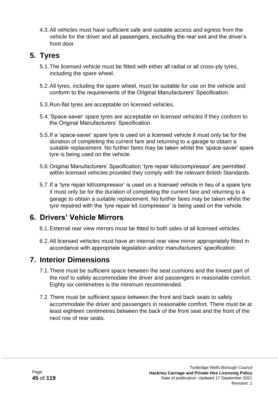4.3.All vehicles must have sufficient safe and suitable access and egress from the vehicle for the driver and all passengers, excluding the rear exit and the driver's front door.

# **5. Tyres**

- 5.1.The licensed vehicle must be fitted with either all radial or all cross-ply tyres, including the spare wheel.
- 5.2.All tyres, including the spare wheel, must be suitable for use on the vehicle and conform to the requirements of the Original Manufacturers' Specification.
- 5.3.Run-flat tyres are acceptable on licensed vehicles.
- 5.4.'Space-saver' spare tyres are acceptable on licensed vehicles if they conform to the Original Manufacturers' Specification.
- 5.5.If a 'space-saver' spare tyre is used on a licensed vehicle it must only be for the duration of completing the current fare and returning to a garage to obtain a suitable replacement. No further fares may be taken whilst the 'space-saver' spare tyre is being used on the vehicle.
- 5.6.Original Manufacturers' Specification 'tyre repair kits/compressor' are permitted within licensed vehicles provided they comply with the relevant British Standards.
- 5.7.If a 'tyre repair kit/compressor' is used on a licensed vehicle in lieu of a spare tyre it must only be for the duration of completing the current fare and returning to a garage to obtain a suitable replacement. No further fares may be taken whilst the tyre repaired with the 'tyre repair kit /compressor' is being used on the vehicle.

# **6. Drivers' Vehicle Mirrors**

- 6.1.External rear view mirrors must be fitted to both sides of all licensed vehicles.
- 6.2.All licensed vehicles must have an internal rear view mirror appropriately fitted in accordance with appropriate legislation and/or manufacturers' specification.

# **7. Interior Dimensions**

- 7.1.There must be sufficient space between the seat cushions and the lowest part of the roof to safely accommodate the driver and passengers in reasonable comfort. Eighty six centimetres is the minimum recommended.
- 7.2.There must be sufficient space between the front and back seats to safely accommodate the driver and passengers in reasonable comfort. There must be at least eighteen centimetres between the back of the front seat and the front of the next row of rear seats.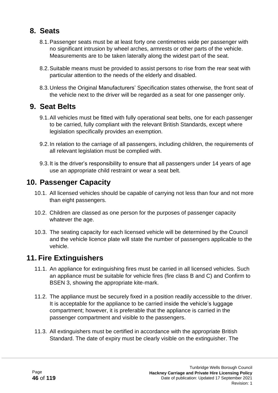# **8. Seats**

- 8.1.Passenger seats must be at least forty one centimetres wide per passenger with no significant intrusion by wheel arches, armrests or other parts of the vehicle. Measurements are to be taken laterally along the widest part of the seat.
- 8.2.Suitable means must be provided to assist persons to rise from the rear seat with particular attention to the needs of the elderly and disabled.
- 8.3.Unless the Original Manufacturers' Specification states otherwise, the front seat of the vehicle next to the driver will be regarded as a seat for one passenger only.

### **9. Seat Belts**

- 9.1.All vehicles must be fitted with fully operational seat belts, one for each passenger to be carried, fully compliant with the relevant British Standards, except where legislation specifically provides an exemption.
- 9.2.In relation to the carriage of all passengers, including children, the requirements of all relevant legislation must be complied with.
- 9.3.It is the driver's responsibility to ensure that all passengers under 14 years of age use an appropriate child restraint or wear a seat belt.

### **10. Passenger Capacity**

- 10.1. All licensed vehicles should be capable of carrying not less than four and not more than eight passengers.
- 10.2. Children are classed as one person for the purposes of passenger capacity whatever the age.
- 10.3. The seating capacity for each licensed vehicle will be determined by the Council and the vehicle licence plate will state the number of passengers applicable to the vehicle.

### **11. Fire Extinguishers**

- 11.1. An appliance for extinguishing fires must be carried in all licensed vehicles. Such an appliance must be suitable for vehicle fires (fire class B and C) and Confirm to BSEN 3, showing the appropriate kite-mark.
- 11.2. The appliance must be securely fixed in a position readily accessible to the driver. It is acceptable for the appliance to be carried inside the vehicle's luggage compartment; however, it is preferable that the appliance is carried in the passenger compartment and visible to the passengers.
- 11.3. All extinguishers must be certified in accordance with the appropriate British Standard. The date of expiry must be clearly visible on the extinguisher. The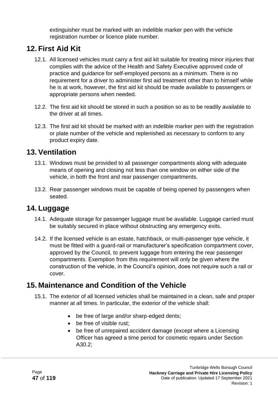extinguisher must be marked with an indelible marker pen with the vehicle registration number or licence plate number.

# **12. First Aid Kit**

- 12.1. All licensed vehicles must carry a first aid kit suitable for treating minor injuries that complies with the advice of the Health and Safety Executive approved code of practice and guidance for self-employed persons as a minimum. There is no requirement for a driver to administer first aid treatment other than to himself while he is at work, however, the first aid kit should be made available to passengers or appropriate persons when needed.
- 12.2. The first aid kit should be stored in such a position so as to be readily available to the driver at all times.
- 12.3. The first aid kit should be marked with an indelible marker pen with the registration or plate number of the vehicle and replenished as necessary to conform to any product expiry date.

### **13. Ventilation**

- 13.1. Windows must be provided to all passenger compartments along with adequate means of opening and closing not less than one window on either side of the vehicle, in both the front and rear passenger compartments.
- 13.2. Rear passenger windows must be capable of being opened by passengers when seated.

# **14. Luggage**

- 14.1. Adequate storage for passenger luggage must be available. Luggage carried must be suitably secured in place without obstructing any emergency exits.
- 14.2. If the licensed vehicle is an estate, hatchback, or multi-passenger type vehicle, it must be fitted with a guard-rail or manufacturer's specification compartment cover, approved by the Council, to prevent luggage from entering the rear passenger compartments. Exemption from this requirement will only be given where the construction of the vehicle, in the Council's opinion, does not require such a rail or cover.

# **15. Maintenance and Condition of the Vehicle**

- 15.1. The exterior of all licensed vehicles shall be maintained in a clean, safe and proper manner at all times. In particular, the exterior of the vehicle shall:
	- be free of large and/or sharp-edged dents;
	- be free of visible rust:
	- be free of unrepaired accident damage (except where a Licensing Officer has agreed a time period for cosmetic repairs under Section A30.2;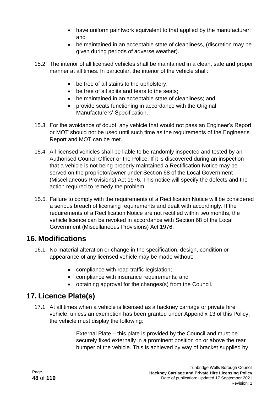- have uniform paintwork equivalent to that applied by the manufacturer; and
- be maintained in an acceptable state of cleanliness, (discretion may be given during periods of adverse weather).
- 15.2. The interior of all licensed vehicles shall be maintained in a clean, safe and proper manner at all times. In particular, the interior of the vehicle shall:
	- be free of all stains to the upholstery;
	- be free of all splits and tears to the seats;
	- be maintained in an acceptable state of cleanliness; and
	- provide seats functioning in accordance with the Original Manufacturers' Specification.
- 15.3. For the avoidance of doubt, any vehicle that would not pass an Engineer's Report or MOT should not be used until such time as the requirements of the Engineer's Report and MOT can be met.
- 15.4. All licensed vehicles shall be liable to be randomly inspected and tested by an Authorised Council Officer or the Police. If it is discovered during an inspection that a vehicle is not being properly maintained a Rectification Notice may be served on the proprietor/owner under Section 68 of the Local Government (Miscellaneous Provisions) Act 1976. This notice will specify the defects and the action required to remedy the problem.
- 15.5. Failure to comply with the requirements of a Rectification Notice will be considered a serious breach of licensing requirements and dealt with accordingly. If the requirements of a Rectification Notice are not rectified within two months, the vehicle licence can be revoked in accordance with Section 68 of the Local Government (Miscellaneous Provisions) Act 1976.

### **16. Modifications**

- 16.1. No material alteration or change in the specification, design, condition or appearance of any licensed vehicle may be made without:
	- compliance with road traffic legislation;
	- compliance with insurance requirements; and
	- obtaining approval for the changes(s) from the Council.

# **17. Licence Plate(s)**

17.1. At all times when a vehicle is licensed as a hackney carriage or private hire vehicle, unless an exemption has been granted under Appendix 13 of this Policy, the vehicle must display the following:

> External Plate – this plate is provided by the Council and must be securely fixed externally in a prominent position on or above the rear bumper of the vehicle. This is achieved by way of bracket supplied by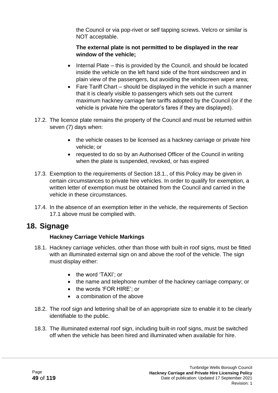the Council or via pop-rivet or self tapping screws. Velcro or similar is NOT acceptable.

#### **The external plate is not permitted to be displayed in the rear window of the vehicle;**

- Internal Plate this is provided by the Council, and should be located inside the vehicle on the left hand side of the front windscreen and in plain view of the passengers, but avoiding the windscreen wiper area;
- Fare Tariff Chart should be displayed in the vehicle in such a manner that it is clearly visible to passengers which sets out the current maximum hackney carriage fare tariffs adopted by the Council (or if the vehicle is private hire the operator's fares if they are displayed).
- 17.2. The licence plate remains the property of the Council and must be returned within seven (7) days when:
	- the vehicle ceases to be licensed as a hackney carriage or private hire vehicle; or
	- requested to do so by an Authorised Officer of the Council in writing when the plate is suspended, revoked, or has expired
- 17.3. Exemption to the requirements of Section 18.1., of this Policy may be given in certain circumstances to private hire vehicles. In order to qualify for exemption, a written letter of exemption must be obtained from the Council and carried in the vehicle in these circumstances.
- 17.4. In the absence of an exemption letter in the vehicle, the requirements of Section 17.1 above must be complied with.

# **18. Signage**

### **Hackney Carriage Vehicle Markings**

- 18.1. Hackney carriage vehicles, other than those with built-in roof signs, must be fitted with an illuminated external sign on and above the roof of the vehicle. The sign must display either:
	- the word 'TAXI'; or
	- the name and telephone number of the hackney carriage company; or
	- the words 'FOR HIRE': or
	- a combination of the above
- 18.2. The roof sign and lettering shall be of an appropriate size to enable it to be clearly identifiable to the public.
- 18.3. The illuminated external roof sign, including built-in roof signs, must be switched off when the vehicle has been hired and illuminated when available for hire.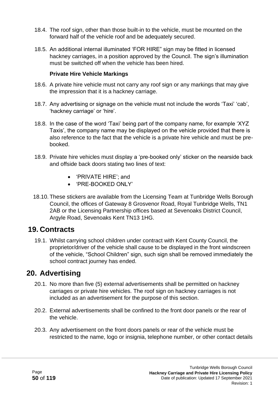- 18.4. The roof sign, other than those built-in to the vehicle, must be mounted on the forward half of the vehicle roof and be adequately secured.
- 18.5. An additional internal illuminated 'FOR HIRE" sign may be fitted in licensed hackney carriages, in a position approved by the Council. The sign's illumination must be switched off when the vehicle has been hired.

#### **Private Hire Vehicle Markings**

- 18.6. A private hire vehicle must not carry any roof sign or any markings that may give the impression that it is a hackney carriage.
- 18.7. Any advertising or signage on the vehicle must not include the words 'Taxi' 'cab', 'hackney carriage' or 'hire'.
- 18.8. In the case of the word 'Taxi' being part of the company name, for example 'XYZ Taxis', the company name may be displayed on the vehicle provided that there is also reference to the fact that the vehicle is a private hire vehicle and must be prebooked.
- 18.9. Private hire vehicles must display a 'pre-booked only' sticker on the nearside back and offside back doors stating two lines of text:
	- 'PRIVATE HIRE'; and
	- 'PRE-BOOKED ONLY'
- 18.10. These stickers are available from the Licensing Team at Tunbridge Wells Borough Council, the offices of Gateway 8 Grosvenor Road, Royal Tunbridge Wells, TN1 2AB or the Licensing Partnership offices based at Sevenoaks District Council, Argyle Road, Sevenoaks Kent TN13 1HG.

### **19. Contracts**

19.1. Whilst carrying school children under contract with Kent County Council, the proprietor/driver of the vehicle shall cause to be displayed in the front windscreen of the vehicle, "School Children" sign, such sign shall be removed immediately the school contract journey has ended.

### **20. Advertising**

- 20.1. No more than five (5) external advertisements shall be permitted on hackney carriages or private hire vehicles. The roof sign on hackney carriages is not included as an advertisement for the purpose of this section.
- 20.2. External advertisements shall be confined to the front door panels or the rear of the vehicle.
- 20.3. Any advertisement on the front doors panels or rear of the vehicle must be restricted to the name, logo or insignia, telephone number, or other contact details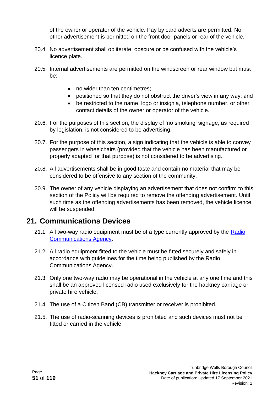of the owner or operator of the vehicle. Pay by card adverts are permitted. No other advertisement is permitted on the front door panels or rear of the vehicle.

- 20.4. No advertisement shall obliterate, obscure or be confused with the vehicle's licence plate.
- 20.5. Internal advertisements are permitted on the windscreen or rear window but must be:
	- no wider than ten centimetres;
	- positioned so that they do not obstruct the driver's view in any way; and
	- be restricted to the name, logo or insignia, telephone number, or other contact details of the owner or operator of the vehicle.
- 20.6. For the purposes of this section, the display of 'no smoking' signage, as required by legislation, is not considered to be advertising.
- 20.7. For the purpose of this section, a sign indicating that the vehicle is able to convey passengers in wheelchairs (provided that the vehicle has been manufactured or properly adapted for that purpose) is not considered to be advertising.
- 20.8. All advertisements shall be in good taste and contain no material that may be considered to be offensive to any section of the community.
- 20.9. The owner of any vehicle displaying an advertisement that does not confirm to this section of the Policy will be required to remove the offending advertisement. Until such time as the offending advertisements has been removed, the vehicle licence will be suspended.

### **21. Communications Devices**

- 21.1. All two-way radio equipment must be of a type currently approved by the [Radio](http://www.ofcom.org.uk/static/archive/ra/rahome.htm)  [Communications Agency.](http://www.ofcom.org.uk/static/archive/ra/rahome.htm)
- 21.2. All radio equipment fitted to the vehicle must be fitted securely and safely in accordance with guidelines for the time being published by the Radio Communications Agency.
- 21.3. Only one two-way radio may be operational in the vehicle at any one time and this shall be an approved licensed radio used exclusively for the hackney carriage or private hire vehicle.
- 21.4. The use of a Citizen Band (CB) transmitter or receiver is prohibited.
- 21.5. The use of radio-scanning devices is prohibited and such devices must not be fitted or carried in the vehicle.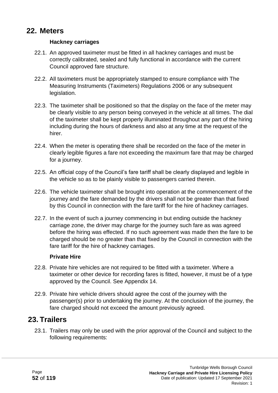### **22. Meters**

#### **Hackney carriages**

- 22.1. An approved taximeter must be fitted in all hackney carriages and must be correctly calibrated, sealed and fully functional in accordance with the current Council approved fare structure.
- 22.2. All taximeters must be appropriately stamped to ensure compliance with The Measuring Instruments (Taximeters) Regulations 2006 or any subsequent legislation.
- 22.3. The taximeter shall be positioned so that the display on the face of the meter may be clearly visible to any person being conveyed in the vehicle at all times. The dial of the taximeter shall be kept properly illuminated throughout any part of the hiring including during the hours of darkness and also at any time at the request of the hirer.
- 22.4. When the meter is operating there shall be recorded on the face of the meter in clearly legible figures a fare not exceeding the maximum fare that may be charged for a journey.
- 22.5. An official copy of the Council's fare tariff shall be clearly displayed and legible in the vehicle so as to be plainly visible to passengers carried therein.
- 22.6. The vehicle taximeter shall be brought into operation at the commencement of the journey and the fare demanded by the drivers shall not be greater than that fixed by this Council in connection with the fare tariff for the hire of hackney carriages.
- 22.7. In the event of such a journey commencing in but ending outside the hackney carriage zone, the driver may charge for the journey such fare as was agreed before the hiring was effected. If no such agreement was made then the fare to be charged should be no greater than that fixed by the Council in connection with the fare tariff for the hire of hackney carriages.

#### **Private Hire**

- 22.8. Private hire vehicles are not required to be fitted with a taximeter. Where a taximeter or other device for recording fares is fitted, however, it must be of a type approved by the Council. See Appendix 14.
- 22.9. Private hire vehicle drivers should agree the cost of the journey with the passenger(s) prior to undertaking the journey. At the conclusion of the journey, the fare charged should not exceed the amount previously agreed.

### **23. Trailers**

23.1. Trailers may only be used with the prior approval of the Council and subject to the following requirements: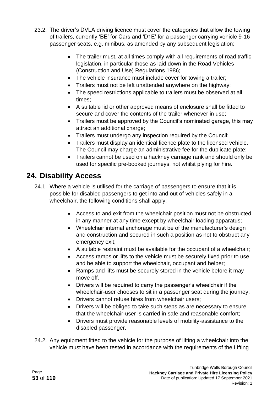- 23.2. The driver's DVLA driving licence must cover the categories that allow the towing of trailers, currently 'BE' for Cars and 'D1E' for a passenger carrying vehicle 9-16 passenger seats, e.g. minibus, as amended by any subsequent legislation;
	- The trailer must, at all times comply with all requirements of road traffic legislation, in particular those as laid down in the Road Vehicles (Construction and Use) Regulations 1986;
	- The vehicle insurance must include cover for towing a trailer;
	- Trailers must not be left unattended anywhere on the highway;
	- The speed restrictions applicable to trailers must be observed at all times;
	- A suitable lid or other approved means of enclosure shall be fitted to secure and cover the contents of the trailer whenever in use;
	- Trailers must be approved by the Council's nominated garage, this may attract an additional charge;
	- Trailers must undergo any inspection required by the Council;
	- Trailers must display an identical licence plate to the licensed vehicle. The Council may charge an administrative fee for the duplicate plate;
	- Trailers cannot be used on a hackney carriage rank and should only be used for specific pre-booked journeys, not whilst plying for hire.

# **24. Disability Access**

- 24.1. Where a vehicle is utilised for the carriage of passengers to ensure that it is possible for disabled passengers to get into and out of vehicles safely in a wheelchair, the following conditions shall apply:
	- Access to and exit from the wheelchair position must not be obstructed in any manner at any time except by wheelchair loading apparatus;
	- Wheelchair internal anchorage must be of the manufacturer's design and construction and secured in such a position as not to obstruct any emergency exit;
	- A suitable restraint must be available for the occupant of a wheelchair;
	- Access ramps or lifts to the vehicle must be securely fixed prior to use, and be able to support the wheelchair, occupant and helper;
	- Ramps and lifts must be securely stored in the vehicle before it may move off.
	- Drivers will be required to carry the passenger's wheelchair if the wheelchair-user chooses to sit in a passenger seat during the journey;
	- Drivers cannot refuse hires from wheelchair users;
	- Drivers will be obliged to take such steps as are necessary to ensure that the wheelchair-user is carried in safe and reasonable comfort;
	- Drivers must provide reasonable levels of mobility-assistance to the disabled passenger.
- 24.2. Any equipment fitted to the vehicle for the purpose of lifting a wheelchair into the vehicle must have been tested in accordance with the requirements of the Lifting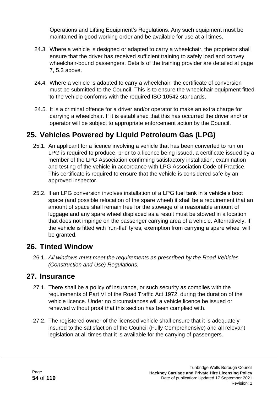Operations and Lifting Equipment's Regulations. Any such equipment must be maintained in good working order and be available for use at all times.

- 24.3. Where a vehicle is designed or adapted to carry a wheelchair, the proprietor shall ensure that the driver has received sufficient training to safely load and convey wheelchair-bound passengers. Details of the training provider are detailed at page 7, 5.3 above.
- 24.4. Where a vehicle is adapted to carry a wheelchair, the certificate of conversion must be submitted to the Council. This is to ensure the wheelchair equipment fitted to the vehicle conforms with the required ISO 10542 standards.
- 24.5. It is a criminal offence for a driver and/or operator to make an extra charge for carrying a wheelchair. If it is established that this has occurred the driver and/ or operator will be subject to appropriate enforcement action by the Council.

# **25. Vehicles Powered by Liquid Petroleum Gas (LPG)**

- 25.1. An applicant for a licence involving a vehicle that has been converted to run on LPG is required to produce, prior to a licence being issued, a certificate issued by a member of the LPG Association confirming satisfactory installation, examination and testing of the vehicle in accordance with LPG Association Code of Practice. This certificate is required to ensure that the vehicle is considered safe by an approved inspector.
- 25.2. If an LPG conversion involves installation of a LPG fuel tank in a vehicle's boot space (and possible relocation of the spare wheel) it shall be a requirement that an amount of space shall remain free for the stowage of a reasonable amount of luggage and any spare wheel displaced as a result must be stowed in a location that does not impinge on the passenger carrying area of a vehicle. Alternatively, if the vehicle is fitted with 'run-flat' tyres, exemption from carrying a spare wheel will be granted.

### **26. Tinted Window**

26.1. *All windows must meet the requirements as prescribed by the Road Vehicles (Construction and Use) Regulations.*

### **27. Insurance**

- 27.1. There shall be a policy of insurance, or such security as complies with the requirements of Part VI of the Road Traffic Act 1972, during the duration of the vehicle licence. Under no circumstances will a vehicle licence be issued or renewed without proof that this section has been complied with.
- 27.2. The registered owner of the licensed vehicle shall ensure that it is adequately insured to the satisfaction of the Council (Fully Comprehensive) and all relevant legislation at all times that it is available for the carrying of passengers.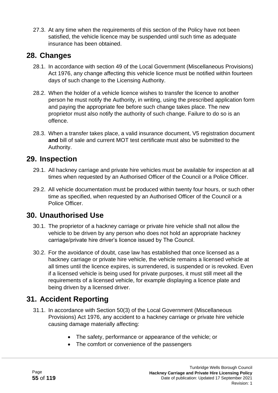27.3. At any time when the requirements of this section of the Policy have not been satisfied, the vehicle licence may be suspended until such time as adequate insurance has been obtained.

### **28. Changes**

- 28.1. In accordance with section 49 of the Local Government (Miscellaneous Provisions) Act 1976, any change affecting this vehicle licence must be notified within fourteen days of such change to the Licensing Authority.
- 28.2. When the holder of a vehicle licence wishes to transfer the licence to another person he must notify the Authority, in writing, using the prescribed application form and paying the appropriate fee before such change takes place. The new proprietor must also notify the authority of such change. Failure to do so is an offence.
- 28.3. When a transfer takes place, a valid insurance document, V5 registration document **and** bill of sale and current MOT test certificate must also be submitted to the Authority.

### **29. Inspection**

- 29.1. All hackney carriage and private hire vehicles must be available for inspection at all times when requested by an Authorised Officer of the Council or a Police Officer.
- 29.2. All vehicle documentation must be produced within twenty four hours, or such other time as specified, when requested by an Authorised Officer of the Council or a Police Officer.

# **30. Unauthorised Use**

- 30.1. The proprietor of a hackney carriage or private hire vehicle shall not allow the vehicle to be driven by any person who does not hold an appropriate hackney carriage/private hire driver's licence issued by The Council.
- 30.2. For the avoidance of doubt, case law has established that once licensed as a hackney carriage or private hire vehicle, the vehicle remains a licensed vehicle at all times until the licence expires, is surrendered, is suspended or is revoked. Even if a licensed vehicle is being used for private purposes, it must still meet all the requirements of a licensed vehicle, for example displaying a licence plate and being driven by a licensed driver.

# **31. Accident Reporting**

- 31.1. In accordance with Section 50(3) of the Local Government (Miscellaneous Provisions) Act 1976, any accident to a hackney carriage or private hire vehicle causing damage materially affecting:
	- The safety, performance or appearance of the vehicle; or
	- The comfort or convenience of the passengers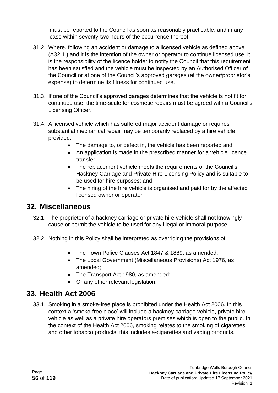must be reported to the Council as soon as reasonably practicable, and in any case within seventy-two hours of the occurrence thereof.

- 31.2. Where, following an accident or damage to a licensed vehicle as defined above (A32.1.) and it is the intention of the owner or operator to continue licensed use, it is the responsibility of the licence holder to notify the Council that this requirement has been satisfied and the vehicle must be inspected by an Authorised Officer of the Council or at one of the Council's approved garages (at the owner/proprietor's expense) to determine its fitness for continued use.
- 31.3. If one of the Council's approved garages determines that the vehicle is not fit for continued use, the time-scale for cosmetic repairs must be agreed with a Council's Licensing Officer.
- 31.4. A licensed vehicle which has suffered major accident damage or requires substantial mechanical repair may be temporarily replaced by a hire vehicle provided:
	- The damage to, or defect in, the vehicle has been reported and:
	- An application is made in the prescribed manner for a vehicle licence transfer;
	- The replacement vehicle meets the requirements of the Council's Hackney Carriage and Private Hire Licensing Policy and is suitable to be used for hire purposes; and
	- The hiring of the hire vehicle is organised and paid for by the affected licensed owner or operator

### **32. Miscellaneous**

- 32.1. The proprietor of a hackney carriage or private hire vehicle shall not knowingly cause or permit the vehicle to be used for any illegal or immoral purpose.
- 32.2. Nothing in this Policy shall be interpreted as overriding the provisions of:
	- The Town Police Clauses Act 1847 & 1889, as amended;
	- The Local Government (Miscellaneous Provisions) Act 1976, as amended;
	- The Transport Act 1980, as amended;
	- Or any other relevant legislation.

# **33. Health Act 2006**

33.1. Smoking in a smoke-free place is prohibited under the Health Act 2006. In this context a 'smoke-free place' will include a hackney carriage vehicle, private hire vehicle as well as a private hire operators premises which is open to the public. In the context of the Health Act 2006, smoking relates to the smoking of cigarettes and other tobacco products, this includes e-cigarettes and vaping products.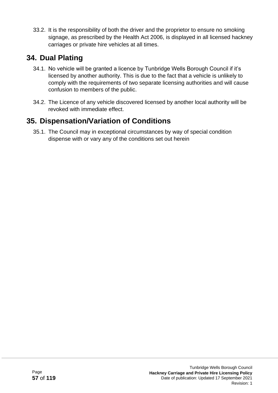33.2. It is the responsibility of both the driver and the proprietor to ensure no smoking signage, as prescribed by the Health Act 2006, is displayed in all licensed hackney carriages or private hire vehicles at all times.

# **34. Dual Plating**

- 34.1. No vehicle will be granted a licence by Tunbridge Wells Borough Council if it's licensed by another authority. This is due to the fact that a vehicle is unlikely to comply with the requirements of two separate licensing authorities and will cause confusion to members of the public.
- 34.2. The Licence of any vehicle discovered licensed by another local authority will be revoked with immediate effect.

# **35. Dispensation/Variation of Conditions**

35.1. The Council may in exceptional circumstances by way of special condition dispense with or vary any of the conditions set out herein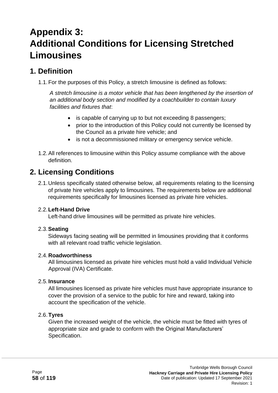# **Appendix 3: Additional Conditions for Licensing Stretched Limousines**

### **1. Definition**

1.1.For the purposes of this Policy, a stretch limousine is defined as follows:

*A stretch limousine is a motor vehicle that has been lengthened by the insertion of an additional body section and modified by a coachbuilder to contain luxury facilities and fixtures that*:

- is capable of carrying up to but not exceeding 8 passengers;
- prior to the introduction of this Policy could not currently be licensed by the Council as a private hire vehicle; and
- is not a decommissioned military or emergency service vehicle.
- 1.2.All references to limousine within this Policy assume compliance with the above definition.

# **2. Licensing Conditions**

2.1.Unless specifically stated otherwise below, all requirements relating to the licensing of private hire vehicles apply to limousines. The requirements below are additional requirements specifically for limousines licensed as private hire vehicles.

### 2.2.**Left-Hand Drive**

Left-hand drive limousines will be permitted as private hire vehicles.

### 2.3.**Seating**

Sideways facing seating will be permitted in limousines providing that it conforms with all relevant road traffic vehicle legislation.

### 2.4.**Roadworthiness**

All limousines licensed as private hire vehicles must hold a valid Individual Vehicle Approval (IVA) Certificate.

### 2.5.**Insurance**

All limousines licensed as private hire vehicles must have appropriate insurance to cover the provision of a service to the public for hire and reward, taking into account the specification of the vehicle.

### 2.6.**Tyres**

Given the increased weight of the vehicle, the vehicle must be fitted with tyres of appropriate size and grade to conform with the Original Manufacturers' Specification.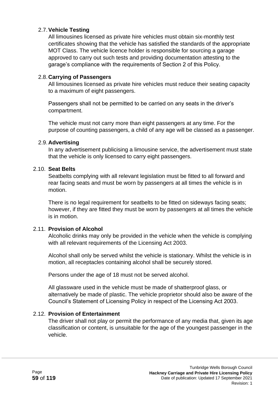#### 2.7.**Vehicle Testing**

All limousines licensed as private hire vehicles must obtain six-monthly test certificates showing that the vehicle has satisfied the standards of the appropriate MOT Class. The vehicle licence holder is responsible for sourcing a garage approved to carry out such tests and providing documentation attesting to the garage's compliance with the requirements of Section 2 of this Policy.

#### 2.8.**Carrying of Passengers**

All limousines licensed as private hire vehicles must reduce their seating capacity to a maximum of eight passengers.

Passengers shall not be permitted to be carried on any seats in the driver's compartment.

The vehicle must not carry more than eight passengers at any time. For the purpose of counting passengers, a child of any age will be classed as a passenger.

#### 2.9.**Advertising**

In any advertisement publicising a limousine service, the advertisement must state that the vehicle is only licensed to carry eight passengers.

#### 2.10. **Seat Belts**

Seatbelts complying with all relevant legislation must be fitted to all forward and rear facing seats and must be worn by passengers at all times the vehicle is in motion.

There is no legal requirement for seatbelts to be fitted on sideways facing seats; however, if they are fitted they must be worn by passengers at all times the vehicle is in motion.

#### 2.11. **Provision of Alcohol**

Alcoholic drinks may only be provided in the vehicle when the vehicle is complying with all relevant requirements of the Licensing Act 2003.

Alcohol shall only be served whilst the vehicle is stationary. Whilst the vehicle is in motion, all receptacles containing alcohol shall be securely stored.

Persons under the age of 18 must not be served alcohol.

All glassware used in the vehicle must be made of shatterproof glass, or alternatively be made of plastic. The vehicle proprietor should also be aware of the Council's Statement of Licensing Policy in respect of the Licensing Act 2003.

#### 2.12. **Provision of Entertainment**

The driver shall not play or permit the performance of any media that, given its age classification or content, is unsuitable for the age of the youngest passenger in the vehicle.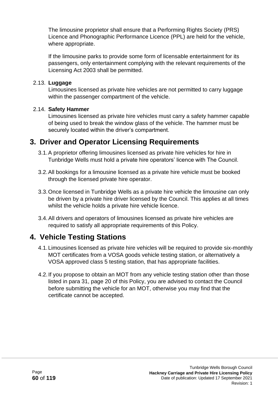The limousine proprietor shall ensure that a Performing Rights Society (PRS) Licence and Phonographic Performance Licence (PPL) are held for the vehicle, where appropriate.

If the limousine parks to provide some form of licensable entertainment for its passengers, only entertainment complying with the relevant requirements of the Licensing Act 2003 shall be permitted.

#### 2.13. **Luggage**

Limousines licensed as private hire vehicles are not permitted to carry luggage within the passenger compartment of the vehicle.

#### 2.14. **Safety Hammer**

Limousines licensed as private hire vehicles must carry a safety hammer capable of being used to break the window glass of the vehicle. The hammer must be securely located within the driver's compartment.

## **3. Driver and Operator Licensing Requirements**

- 3.1.A proprietor offering limousines licensed as private hire vehicles for hire in Tunbridge Wells must hold a private hire operators' licence with The Council.
- 3.2.All bookings for a limousine licensed as a private hire vehicle must be booked through the licensed private hire operator.
- 3.3.Once licensed in Tunbridge Wells as a private hire vehicle the limousine can only be driven by a private hire driver licensed by the Council. This applies at all times whilst the vehicle holds a private hire vehicle licence.
- 3.4.All drivers and operators of limousines licensed as private hire vehicles are required to satisfy all appropriate requirements of this Policy.

# **4. Vehicle Testing Stations**

- 4.1.Limousines licensed as private hire vehicles will be required to provide six-monthly MOT certificates from a VOSA goods vehicle testing station, or alternatively a VOSA approved class 5 testing station, that has appropriate facilities.
- 4.2.If you propose to obtain an MOT from any vehicle testing station other than those listed in para 31, page 20 of this Policy, you are advised to contact the Council before submitting the vehicle for an MOT, otherwise you may find that the certificate cannot be accepted.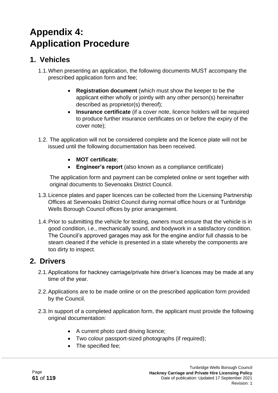# **Appendix 4: Application Procedure**

## **1. Vehicles**

- 1.1.When presenting an application, the following documents MUST accompany the prescribed application form and fee;
	- **Registration document** (which must show the keeper to be the applicant either wholly or jointly with any other person(s) hereinafter described as proprietor(s) thereof);
	- **Insurance certificate** (if a cover note, licence holders will be required to produce further insurance certificates on or before the expiry of the cover note);
- 1.2. The application will not be considered complete and the licence plate will not be issued until the following documentation has been received.
	- **MOT certificate**;
	- **Engineer's report** (also known as a compliance certificate)

The application form and payment can be completed online or sent together with original documents to Sevenoaks District Council.

- 1.3.Licence plates and paper licences can be collected from the Licensing Partnership Offices at Sevenoaks District Council during normal office hours or at Tunbridge Wells Borough Council offices by prior arrangement.
- 1.4.Prior to submitting the vehicle for testing, owners must ensure that the vehicle is in good condition, i.e., mechanically sound, and bodywork in a satisfactory condition. The Council's approved garages may ask for the engine and/or full chassis to be steam cleaned if the vehicle is presented in a state whereby the components are too dirty to inspect.

### **2. Drivers**

- 2.1.Applications for hackney carriage/private hire driver's licences may be made at any time of the year.
- 2.2.Applications are to be made online or on the prescribed application form provided by the Council.
- 2.3.In support of a completed application form, the applicant must provide the following original documentation:
	- A current photo card driving licence;
	- Two colour passport-sized photographs (if required);
	- The specified fee;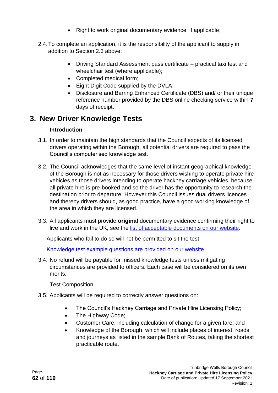- Right to work original documentary evidence, if applicable;
- 2.4.To complete an application, it is the responsibility of the applicant to supply in addition to Section 2.3 above:
	- Driving Standard Assessment pass certificate practical taxi test and wheelchair test (where applicable);
	- Completed medical form;
	- Eight Digit Code supplied by the DVLA;
	- Disclosure and Barring Enhanced Certificate (DBS) and/ or their unique reference number provided by the DBS online checking service within **7** days of receipt.

### **3. New Driver Knowledge Tests**

#### **Introduction**

- 3.1. In order to maintain the high standards that the Council expects of its licensed drivers operating within the Borough, all potential drivers are required to pass the Council's computerised knowledge test.
- 3.2. The Council acknowledges that the same level of instant geographical knowledge of the Borough is not as necessary for those drivers wishing to operate private hire vehicles as those drivers intending to operate hackney carriage vehicles, because all private hire is pre-booked and so the driver has the opportunity to research the destination prior to departure. However this Council issues dual drivers licences and thereby drivers should, as good practice, have a good working knowledge of the area in which they are licensed.
- 3.3. All applicants must provide **original** documentary evidence confirming their right to live and work in the UK, see the [list of acceptable documents](http://www.tunbridgewells.gov.uk/__data/assets/pdf_file/0020/212960/Immigration-Act-2016-List-of-acceptable-documents-hackney-carriage-and-private-hire.pdf) on our website.

Applicants who fail to do so will not be permitted to sit the test

[Knowledge test example questions are provided on our](https://tunbridgewells.gov.uk/__data/assets/pdf_file/0018/348201/Sample-questions-from-computerised-knowledge-test-Tunbridge-Wells-Policy-accessible.pdf) website

3.4. No refund will be payable for missed knowledge tests unless mitigating circumstances are provided to officers. Each case will be considered on its own merits.

Test Composition

- 3.5. Applicants will be required to correctly answer questions on:
	- The Council's Hackney Carriage and Private Hire Licensing Policy;
	- The Highway Code;
	- Customer Care, including calculation of change for a given fare; and
	- Knowledge of the Borough, which will include places of interest, roads and journeys as listed in the sample Bank of Routes, taking the shortest practicable route.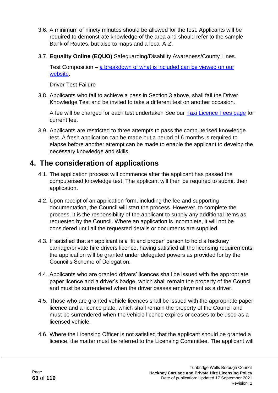- 3.6. A minimum of ninety minutes should be allowed for the test. Applicants will be required to demonstrate knowledge of the area and should refer to the sample Bank of Routes, but also to maps and a local A-Z.
- 3.7. **Equality Online (EQUO)** Safeguarding/Disability Awareness/County Lines.

Test Composition – [a breakdown of what is included can be viewed on our](https://tunbridgewells.gov.uk/licensing/taxis-and-private-hire/driver-licences/driver-training-module/training-module-content)  [website.](https://tunbridgewells.gov.uk/licensing/taxis-and-private-hire/driver-licences/driver-training-module/training-module-content)

Driver Test Failure

3.8. Applicants who fail to achieve a pass in Section 3 above, shall fail the Driver Knowledge Test and be invited to take a different test on another occasion.

A fee will be charged for each test undertaken See our [Taxi Licence Fees page](http://www.tunbridgewells.gov.uk/business/licences-and-permits/taxis-and-private-hire/taxi-licence-fees) for current fee.

3.9. Applicants are restricted to three attempts to pass the computerised knowledge test. A fresh application can be made but a period of 6 months is required to elapse before another attempt can be made to enable the applicant to develop the necessary knowledge and skills.

### **4. The consideration of applications**

- 4.1. The application process will commence after the applicant has passed the computerised knowledge test. The applicant will then be required to submit their application.
- 4.2. Upon receipt of an application form, including the fee and supporting documentation, the Council will start the process. However, to complete the process, it is the responsibility of the applicant to supply any additional items as requested by the Council. Where an application is incomplete, it will not be considered until all the requested details or documents are supplied.
- 4.3. If satisfied that an applicant is a 'fit and proper' person to hold a hackney carriage/private hire drivers licence, having satisfied all the licensing requirements, the application will be granted under delegated powers as provided for by the Council's Scheme of Delegation.
- 4.4. Applicants who are granted drivers' licences shall be issued with the appropriate paper licence and a driver's badge, which shall remain the property of the Council and must be surrendered when the driver ceases employment as a driver.
- 4.5. Those who are granted vehicle licences shall be issued with the appropriate paper licence and a licence plate, which shall remain the property of the Council and must be surrendered when the vehicle licence expires or ceases to be used as a licensed vehicle.
- 4.6. Where the Licensing Officer is not satisfied that the applicant should be granted a licence, the matter must be referred to the Licensing Committee. The applicant will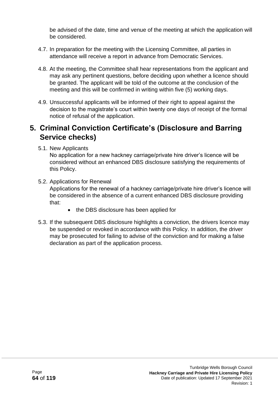be advised of the date, time and venue of the meeting at which the application will be considered.

- 4.7. In preparation for the meeting with the Licensing Committee, all parties in attendance will receive a report in advance from Democratic Services.
- 4.8. At the meeting, the Committee shall hear representations from the applicant and may ask any pertinent questions, before deciding upon whether a licence should be granted. The applicant will be told of the outcome at the conclusion of the meeting and this will be confirmed in writing within five (5) working days.
- 4.9. Unsuccessful applicants will be informed of their right to appeal against the decision to the magistrate's court within twenty one days of receipt of the formal notice of refusal of the application.

## **5. Criminal Conviction Certificate's (Disclosure and Barring Service checks)**

5.1. New Applicants

No application for a new hackney carriage/private hire driver's licence will be considered without an enhanced DBS disclosure satisfying the requirements of this Policy.

- 5.2. Applications for Renewal Applications for the renewal of a hackney carriage/private hire driver's licence will be considered in the absence of a current enhanced DBS disclosure providing that:
	- the DBS disclosure has been applied for
- 5.3. If the subsequent DBS disclosure highlights a conviction, the drivers licence may be suspended or revoked in accordance with this Policy. In addition, the driver may be prosecuted for failing to advise of the conviction and for making a false declaration as part of the application process.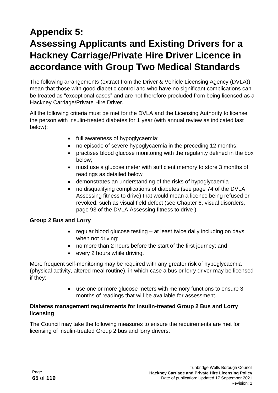# **Appendix 5: Assessing Applicants and Existing Drivers for a Hackney Carriage/Private Hire Driver Licence in accordance with Group Two Medical Standards**

The following arrangements (extract from the Driver & Vehicle Licensing Agency (DVLA)) mean that those with good diabetic control and who have no significant complications can be treated as "exceptional cases" and are not therefore precluded from being licensed as a Hackney Carriage/Private Hire Driver.

All the following criteria must be met for the DVLA and the Licensing Authority to license the person with insulin-treated diabetes for 1 year (with annual review as indicated last below):

- full awareness of hypoglycaemia;
- no episode of severe hypoglycaemia in the preceding 12 months;
- practises blood glucose monitoring with the regularity defined in the box below;
- must use a glucose meter with sufficient memory to store 3 months of readings as detailed below
- demonstrates an understanding of the risks of hypoglycaemia
- no disqualifying complications of diabetes (see page 74 of the DVLA Assessing fitness to drive) that would mean a licence being refused or revoked, such as visual field defect (see Chapter 6, visual disorders, page 93 of the DVLA Assessing fitness to drive ).

#### **Group 2 Bus and Lorry**

- regular blood glucose testing at least twice daily including on days when not driving:
- no more than 2 hours before the start of the first journey; and
- every 2 hours while driving.

More frequent self-monitoring may be required with any greater risk of hypoglycaemia (physical activity, altered meal routine), in which case a bus or lorry driver may be licensed if they:

> • use one or more glucose meters with memory functions to ensure 3 months of readings that will be available for assessment.

#### **Diabetes management requirements for insulin-treated Group 2 Bus and Lorry licensing**

The Council may take the following measures to ensure the requirements are met for licensing of insulin-treated Group 2 bus and lorry drivers: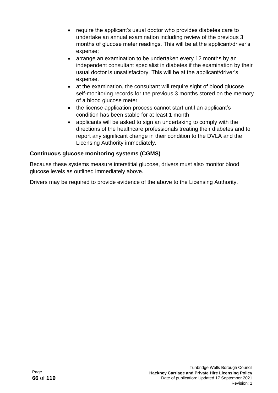- require the applicant's usual doctor who provides diabetes care to undertake an annual examination including review of the previous 3 months of glucose meter readings. This will be at the applicant/driver's expense;
- arrange an examination to be undertaken every 12 months by an independent consultant specialist in diabetes if the examination by their usual doctor is unsatisfactory. This will be at the applicant/driver's expense.
- at the examination, the consultant will require sight of blood glucose self-monitoring records for the previous 3 months stored on the memory of a blood glucose meter
- the license application process cannot start until an applicant's condition has been stable for at least 1 month
- applicants will be asked to sign an undertaking to comply with the directions of the healthcare professionals treating their diabetes and to report any significant change in their condition to the DVLA and the Licensing Authority immediately.

#### **Continuous glucose monitoring systems (CGMS)**

Because these systems measure interstitial glucose, drivers must also monitor blood glucose levels as outlined immediately above.

Drivers may be required to provide evidence of the above to the Licensing Authority.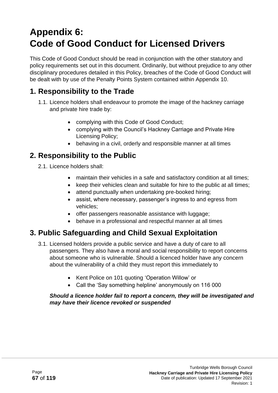# **Appendix 6: Code of Good Conduct for Licensed Drivers**

This Code of Good Conduct should be read in conjunction with the other statutory and policy requirements set out in this document. Ordinarily, but without prejudice to any other disciplinary procedures detailed in this Policy, breaches of the Code of Good Conduct will be dealt with by use of the Penalty Points System contained within Appendix 10.

# **1. Responsibility to the Trade**

- 1.1. Licence holders shall endeavour to promote the image of the hackney carriage and private hire trade by:
	- complying with this Code of Good Conduct;
	- complying with the Council's Hackney Carriage and Private Hire Licensing Policy;
	- behaving in a civil, orderly and responsible manner at all times

### **2. Responsibility to the Public**

- 2.1. Licence holders shall:
	- maintain their vehicles in a safe and satisfactory condition at all times;
	- keep their vehicles clean and suitable for hire to the public at all times;
	- attend punctually when undertaking pre-booked hiring;
	- assist, where necessary, passenger's ingress to and egress from vehicles;
	- offer passengers reasonable assistance with luggage;
	- behave in a professional and respectful manner at all times

# **3. Public Safeguarding and Child Sexual Exploitation**

- 3.1. Licensed holders provide a public service and have a duty of care to all passengers. They also have a moral and social responsibility to report concerns about someone who is vulnerable. Should a licenced holder have any concern about the vulnerability of a child they must report this immediately to
	- Kent Police on 101 quoting 'Operation Willow' or
	- Call the 'Say something helpline' anonymously on 116 000

#### *Should a licence holder fail to report a concern, they will be investigated and may have their licence revoked or suspended*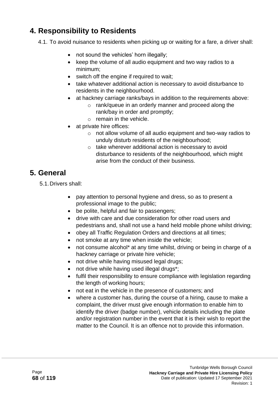# **4. Responsibility to Residents**

4.1. To avoid nuisance to residents when picking up or waiting for a fare, a driver shall:

- not sound the vehicles' horn illegally;
- keep the volume of all audio equipment and two way radios to a minimum;
- switch off the engine if required to wait;
- take whatever additional action is necessary to avoid disturbance to residents in the neighbourhood.
- at hackney carriage ranks/bays in addition to the requirements above:
	- o rank/queue in an orderly manner and proceed along the rank/bay in order and promptly;
	- o remain in the vehicle.
- at private hire offices:
	- o not allow volume of all audio equipment and two-way radios to unduly disturb residents of the neighbourhood;
	- o take wherever additional action is necessary to avoid disturbance to residents of the neighbourhood, which might arise from the conduct of their business.

### **5. General**

5.1.Drivers shall:

- pay attention to personal hygiene and dress, so as to present a professional image to the public;
- be polite, helpful and fair to passengers:
- drive with care and due consideration for other road users and pedestrians and, shall not use a hand held mobile phone whilst driving;
- obey all Traffic Regulation Orders and directions at all times;
- not smoke at any time when inside the vehicle;
- not consume alcohol\* at any time whilst, driving or being in charge of a hackney carriage or private hire vehicle;
- not drive while having misused legal drugs;
- not drive while having used illegal drugs\*;
- fulfil their responsibility to ensure compliance with legislation regarding the length of working hours;
- not eat in the vehicle in the presence of customers; and
- where a customer has, during the course of a hiring, cause to make a complaint, the driver must give enough information to enable him to identify the driver (badge number), vehicle details including the plate and/or registration number in the event that it is their wish to report the matter to the Council. It is an offence not to provide this information.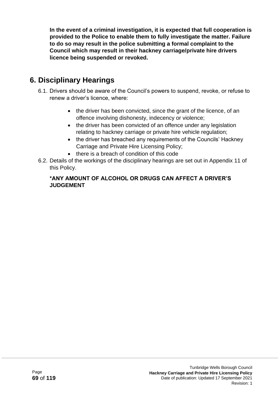**In the event of a criminal investigation, it is expected that full cooperation is provided to the Police to enable them to fully investigate the matter. Failure to do so may result in the police submitting a formal complaint to the Council which may result in their hackney carriage/private hire drivers licence being suspended or revoked.** 

# **6. Disciplinary Hearings**

- 6.1. Drivers should be aware of the Council's powers to suspend, revoke, or refuse to renew a driver's licence, where:
	- the driver has been convicted, since the grant of the licence, of an offence involving dishonesty, indecency or violence;
	- the driver has been convicted of an offence under any legislation relating to hackney carriage or private hire vehicle regulation;
	- the driver has breached any requirements of the Councils' Hackney Carriage and Private Hire Licensing Policy;
	- there is a breach of condition of this code
- 6.2. Details of the workings of the disciplinary hearings are set out in Appendix 11 of this Policy.

#### **\*ANY AMOUNT OF ALCOHOL OR DRUGS CAN AFFECT A DRIVER'S JUDGEMENT**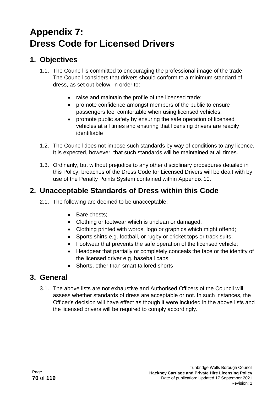# **Appendix 7: Dress Code for Licensed Drivers**

## **1. Objectives**

- 1.1. The Council is committed to encouraging the professional image of the trade. The Council considers that drivers should conform to a minimum standard of dress, as set out below, in order to:
	- raise and maintain the profile of the licensed trade;
	- promote confidence amongst members of the public to ensure passengers feel comfortable when using licensed vehicles;
	- promote public safety by ensuring the safe operation of licensed vehicles at all times and ensuring that licensing drivers are readily identifiable
- 1.2. The Council does not impose such standards by way of conditions to any licence. It is expected, however, that such standards will be maintained at all times.
- 1.3. Ordinarily, but without prejudice to any other disciplinary procedures detailed in this Policy, breaches of the Dress Code for Licensed Drivers will be dealt with by use of the Penalty Points System contained within Appendix 10.

# **2. Unacceptable Standards of Dress within this Code**

- 2.1. The following are deemed to be unacceptable:
	- Bare chests;
	- Clothing or footwear which is unclean or damaged;
	- Clothing printed with words, logo or graphics which might offend;
	- Sports shirts e.g. football, or rugby or cricket tops or track suits;
	- Footwear that prevents the safe operation of the licensed vehicle;
	- Headgear that partially or completely conceals the face or the identity of the licensed driver e.g. baseball caps;
	- Shorts, other than smart tailored shorts

### **3. General**

3.1. The above lists are not exhaustive and Authorised Officers of the Council will assess whether standards of dress are acceptable or not. In such instances, the Officer's decision will have effect as though it were included in the above lists and the licensed drivers will be required to comply accordingly.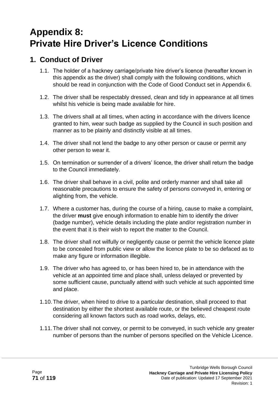# **Appendix 8: Private Hire Driver's Licence Conditions**

### **1. Conduct of Driver**

- 1.1. The holder of a hackney carriage/private hire driver's licence (hereafter known in this appendix as the driver) shall comply with the following conditions, which should be read in conjunction with the Code of Good Conduct set in Appendix 6.
- 1.2. The driver shall be respectably dressed, clean and tidy in appearance at all times whilst his vehicle is being made available for hire.
- 1.3. The drivers shall at all times, when acting in accordance with the drivers licence granted to him, wear such badge as supplied by the Council in such position and manner as to be plainly and distinctly visible at all times.
- 1.4. The driver shall not lend the badge to any other person or cause or permit any other person to wear it.
- 1.5. On termination or surrender of a drivers' licence, the driver shall return the badge to the Council immediately.
- 1.6. The driver shall behave in a civil, polite and orderly manner and shall take all reasonable precautions to ensure the safety of persons conveyed in, entering or alighting from, the vehicle.
- 1.7. Where a customer has, during the course of a hiring, cause to make a complaint, the driver **must** give enough information to enable him to identify the driver (badge number), vehicle details including the plate and/or registration number in the event that it is their wish to report the matter to the Council.
- 1.8. The driver shall not wilfully or negligently cause or permit the vehicle licence plate to be concealed from public view or allow the licence plate to be so defaced as to make any figure or information illegible.
- 1.9. The driver who has agreed to, or has been hired to, be in attendance with the vehicle at an appointed time and place shall, unless delayed or prevented by some sufficient cause, punctually attend with such vehicle at such appointed time and place.
- 1.10.The driver, when hired to drive to a particular destination, shall proceed to that destination by either the shortest available route, or the believed cheapest route considering all known factors such as road works, delays, etc.
- 1.11.The driver shall not convey, or permit to be conveyed, in such vehicle any greater number of persons than the number of persons specified on the Vehicle Licence.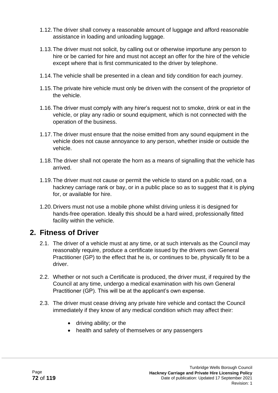- 1.12.The driver shall convey a reasonable amount of luggage and afford reasonable assistance in loading and unloading luggage.
- 1.13.The driver must not solicit, by calling out or otherwise importune any person to hire or be carried for hire and must not accept an offer for the hire of the vehicle except where that is first communicated to the driver by telephone.
- 1.14.The vehicle shall be presented in a clean and tidy condition for each journey.
- 1.15.The private hire vehicle must only be driven with the consent of the proprietor of the vehicle.
- 1.16.The driver must comply with any hirer's request not to smoke, drink or eat in the vehicle, or play any radio or sound equipment, which is not connected with the operation of the business.
- 1.17.The driver must ensure that the noise emitted from any sound equipment in the vehicle does not cause annoyance to any person, whether inside or outside the vehicle.
- 1.18.The driver shall not operate the horn as a means of signalling that the vehicle has arrived.
- 1.19.The driver must not cause or permit the vehicle to stand on a public road, on a hackney carriage rank or bay, or in a public place so as to suggest that it is plying for, or available for hire.
- 1.20.Drivers must not use a mobile phone whilst driving unless it is designed for hands-free operation. Ideally this should be a hard wired, professionally fitted facility within the vehicle.

### **2. Fitness of Driver**

- 2.1. The driver of a vehicle must at any time, or at such intervals as the Council may reasonably require, produce a certificate issued by the drivers own General Practitioner (GP) to the effect that he is, or continues to be, physically fit to be a driver.
- 2.2. Whether or not such a Certificate is produced, the driver must, if required by the Council at any time, undergo a medical examination with his own General Practitioner (GP). This will be at the applicant's own expense.
- 2.3. The driver must cease driving any private hire vehicle and contact the Council immediately if they know of any medical condition which may affect their:
	- driving ability; or the
	- health and safety of themselves or any passengers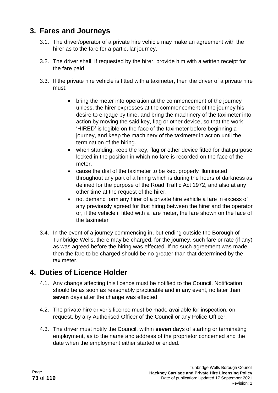### **3. Fares and Journeys**

- 3.1. The driver/operator of a private hire vehicle may make an agreement with the hirer as to the fare for a particular journey.
- 3.2. The driver shall, if requested by the hirer, provide him with a written receipt for the fare paid.
- 3.3. If the private hire vehicle is fitted with a taximeter, then the driver of a private hire must:
	- bring the meter into operation at the commencement of the journey unless, the hirer expresses at the commencement of the journey his desire to engage by time, and bring the machinery of the taximeter into action by moving the said key, flag or other device, so that the work 'HIRED' is legible on the face of the taximeter before beginning a journey, and keep the machinery of the taximeter in action until the termination of the hiring.
	- when standing, keep the key, flag or other device fitted for that purpose locked in the position in which no fare is recorded on the face of the meter.
	- cause the dial of the taximeter to be kept properly illuminated throughout any part of a hiring which is during the hours of darkness as defined for the purpose of the Road Traffic Act 1972, and also at any other time at the request of the hirer.
	- not demand form any hirer of a private hire vehicle a fare in excess of any previously agreed for that hiring between the hirer and the operator or, if the vehicle if fitted with a fare meter, the fare shown on the face of the taximeter
- 3.4. In the event of a journey commencing in, but ending outside the Borough of Tunbridge Wells, there may be charged, for the journey, such fare or rate (if any) as was agreed before the hiring was effected. If no such agreement was made then the fare to be charged should be no greater than that determined by the taximeter.

## **4. Duties of Licence Holder**

- 4.1. Any change affecting this licence must be notified to the Council. Notification should be as soon as reasonably practicable and in any event, no later than **seven** days after the change was effected.
- 4.2. The private hire driver's licence must be made available for inspection, on request, by any Authorised Officer of the Council or any Police Officer.
- 4.3. The driver must notify the Council, within **seven** days of starting or terminating employment, as to the name and address of the proprietor concerned and the date when the employment either started or ended.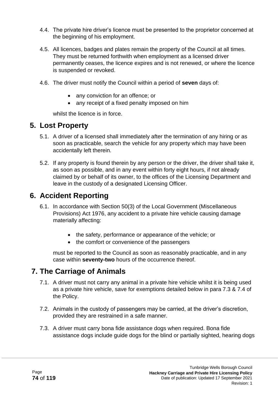- 4.4. The private hire driver's licence must be presented to the proprietor concerned at the beginning of his employment.
- 4.5. All licences, badges and plates remain the property of the Council at all times. They must be returned forthwith when employment as a licensed driver permanently ceases, the licence expires and is not renewed, or where the licence is suspended or revoked.
- 4.6. The driver must notify the Council within a period of **seven** days of:
	- any conviction for an offence; or
	- any receipt of a fixed penalty imposed on him

whilst the licence is in force.

### **5. Lost Property**

- 5.1. A driver of a licensed shall immediately after the termination of any hiring or as soon as practicable, search the vehicle for any property which may have been accidentally left therein.
- 5.2. If any property is found therein by any person or the driver, the driver shall take it, as soon as possible, and in any event within forty eight hours, if not already claimed by or behalf of its owner, to the offices of the Licensing Department and leave in the custody of a designated Licensing Officer.

### **6. Accident Reporting**

- 6.1. In accordance with Section 50(3) of the Local Government (Miscellaneous Provisions) Act 1976, any accident to a private hire vehicle causing damage materially affecting:
	- the safety, performance or appearance of the vehicle; or
	- the comfort or convenience of the passengers

must be reported to the Council as soon as reasonably practicable, and in any case within **seventy-two** hours of the occurrence thereof.

### **7. The Carriage of Animals**

- 7.1. A driver must not carry any animal in a private hire vehicle whilst it is being used as a private hire vehicle, save for exemptions detailed below in para 7.3 & 7.4 of the Policy.
- 7.2. Animals in the custody of passengers may be carried, at the driver's discretion, provided they are restrained in a safe manner.
- 7.3. A driver must carry bona fide assistance dogs when required. Bona fide assistance dogs include guide dogs for the blind or partially sighted, hearing dogs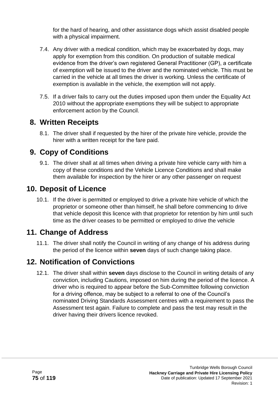for the hard of hearing, and other assistance dogs which assist disabled people with a physical impairment.

- 7.4. Any driver with a medical condition, which may be exacerbated by dogs, may apply for exemption from this condition. On production of suitable medical evidence from the driver's own registered General Practitioner (GP), a certificate of exemption will be issued to the driver and the nominated vehicle. This must be carried in the vehicle at all times the driver is working. Unless the certificate of exemption is available in the vehicle, the exemption will not apply.
- 7.5. If a driver fails to carry out the duties imposed upon them under the Equality Act 2010 without the appropriate exemptions they will be subject to appropriate enforcement action by the Council.

### **8. Written Receipts**

8.1. The driver shall if requested by the hirer of the private hire vehicle, provide the hirer with a written receipt for the fare paid.

# **9. Copy of Conditions**

9.1. The driver shall at all times when driving a private hire vehicle carry with him a copy of these conditions and the Vehicle Licence Conditions and shall make them available for inspection by the hirer or any other passenger on request

### **10. Deposit of Licence**

10.1. If the driver is permitted or employed to drive a private hire vehicle of which the proprietor or someone other than himself, he shall before commencing to drive that vehicle deposit this licence with that proprietor for retention by him until such time as the driver ceases to be permitted or employed to drive the vehicle

## **11. Change of Address**

11.1. The driver shall notify the Council in writing of any change of his address during the period of the licence within **seven** days of such change taking place.

# **12. Notification of Convictions**

12.1. The driver shall within **seven** days disclose to the Council in writing details of any conviction, including Cautions, imposed on him during the period of the licence. A driver who is required to appear before the Sub-Committee following conviction for a driving offence, may be subject to a referral to one of the Council's nominated Driving Standards Assessment centres with a requirement to pass the Assessment test again. Failure to complete and pass the test may result in the driver having their drivers licence revoked.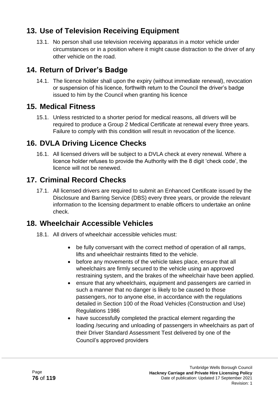# **13. Use of Television Receiving Equipment**

13.1. No person shall use television receiving apparatus in a motor vehicle under circumstances or in a position where it might cause distraction to the driver of any other vehicle on the road.

# **14. Return of Driver's Badge**

14.1. The licence holder shall upon the expiry (without immediate renewal), revocation or suspension of his licence, forthwith return to the Council the driver's badge issued to him by the Council when granting his licence

### **15. Medical Fitness**

15.1. Unless restricted to a shorter period for medical reasons, all drivers will be required to produce a Group 2 Medical Certificate at renewal every three years. Failure to comply with this condition will result in revocation of the licence.

### **16. DVLA Driving Licence Checks**

16.1. All licensed drivers will be subject to a DVLA check at every renewal. Where a licence holder refuses to provide the Authority with the 8 digit 'check code', the licence will not be renewed.

## **17. Criminal Record Checks**

17.1. All licensed drivers are required to submit an Enhanced Certificate issued by the Disclosure and Barring Service (DBS) every three years, or provide the relevant information to the licensing department to enable officers to undertake an online check.

## **18. Wheelchair Accessible Vehicles**

- 18.1. All drivers of wheelchair accessible vehicles must:
	- be fully conversant with the correct method of operation of all ramps, lifts and wheelchair restraints fitted to the vehicle.
	- before any movements of the vehicle takes place, ensure that all wheelchairs are firmly secured to the vehicle using an approved restraining system, and the brakes of the wheelchair have been applied.
	- ensure that any wheelchairs, equipment and passengers are carried in such a manner that no danger is likely to be caused to those passengers, nor to anyone else, in accordance with the regulations detailed in Section 100 of the Road Vehicles (Construction and Use) Regulations 1986
	- have successfully completed the practical element regarding the loading /securing and unloading of passengers in wheelchairs as part of their Driver Standard Assessment Test delivered by one of the Council's approved providers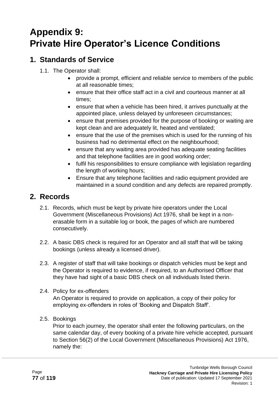# **Appendix 9: Private Hire Operator's Licence Conditions**

# **1. Standards of Service**

- 1.1. The Operator shall:
	- provide a prompt, efficient and reliable service to members of the public at all reasonable times;
	- ensure that their office staff act in a civil and courteous manner at all times;
	- ensure that when a vehicle has been hired, it arrives punctually at the appointed place, unless delayed by unforeseen circumstances;
	- ensure that premises provided for the purpose of booking or waiting are kept clean and are adequately lit, heated and ventilated;
	- ensure that the use of the premises which is used for the running of his business had no detrimental effect on the neighbourhood;
	- ensure that any waiting area provided has adequate seating facilities and that telephone facilities are in good working order;
	- fulfil his responsibilities to ensure compliance with legislation regarding the length of working hours;
	- Ensure that any telephone facilities and radio equipment provided are maintained in a sound condition and any defects are repaired promptly.

## **2. Records**

- 2.1. Records, which must be kept by private hire operators under the Local Government (Miscellaneous Provisions) Act 1976, shall be kept in a nonerasable form in a suitable log or book, the pages of which are numbered consecutively.
- 2.2. A basic DBS check is required for an Operator and all staff that will be taking bookings (unless already a licensed driver).
- 2.3. A register of staff that will take bookings or dispatch vehicles must be kept and the Operator is required to evidence, if required, to an Authorised Officer that they have had sight of a basic DBS check on all individuals listed therin.
- 2.4. Policy for ex-offenders An Operator is required to provide on application, a copy of their policy for
	- employing ex-offenders in roles of 'Booking and Dispatch Staff'.
- 2.5. Bookings

Prior to each journey, the operator shall enter the following particulars, on the same calendar day, of every booking of a private hire vehicle accepted, pursuant to Section 56(2) of the Local Government (Miscellaneous Provisions) Act 1976, namely the: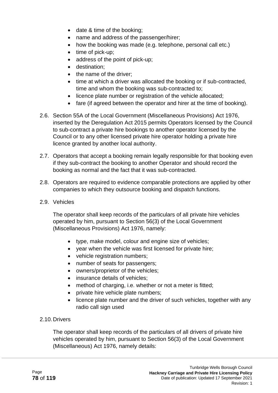- date & time of the booking;
- name and address of the passenger/hirer;
- how the booking was made (e.g. telephone, personal call etc.)
- time of pick-up;
- address of the point of pick-up;
- destination;
- the name of the driver;
- time at which a driver was allocated the booking or if sub-contracted, time and whom the booking was sub-contracted to;
- licence plate number or registration of the vehicle allocated;
- fare (if agreed between the operator and hirer at the time of booking).
- 2.6. Section 55A of the Local Government (Miscellaneous Provisions) Act 1976, inserted by the Deregulation Act 2015 permits Operators licensed by the Council to sub-contract a private hire bookings to another operator licensed by the Council or to any other licensed private hire operator holding a private hire licence granted by another local authority.
- 2.7. Operators that accept a booking remain legally responsible for that booking even if they sub-contract the booking to another Operator and should record the booking as normal and the fact that it was sub-contracted.
- 2.8. Operators are required to evidence comparable protections are applied by other companies to which they outsource booking and dispatch functions.
- 2.9. Vehicles

The operator shall keep records of the particulars of all private hire vehicles operated by him, pursuant to Section 56(3) of the Local Government (Miscellaneous Provisions) Act 1976, namely:

- type, make model, colour and engine size of vehicles;
- year when the vehicle was first licensed for private hire;
- vehicle registration numbers;
- number of seats for passengers;
- owners/proprietor of the vehicles;
- insurance details of vehicles;
- method of charging, i.e. whether or not a meter is fitted;
- private hire vehicle plate numbers;
- licence plate number and the driver of such vehicles, together with any radio call sign used
- 2.10.Drivers

The operator shall keep records of the particulars of all drivers of private hire vehicles operated by him, pursuant to Section 56(3) of the Local Government (Miscellaneous) Act 1976, namely details: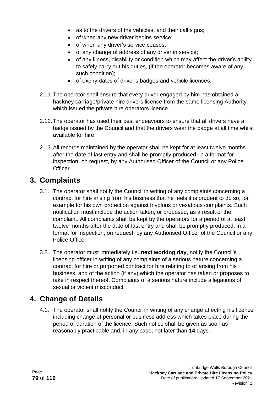- as to the drivers of the vehicles, and their call signs;
- of when any new driver begins service;
- of when any driver's service ceases;
- of any change of address of any driver in service;
- of any illness, disability or condition which may affect the driver's ability to safely carry out his duties, (if the operator becomes aware of any such condition);
- of expiry dates of driver's badges and vehicle licences.
- 2.11.The operator shall ensure that every driver engaged by him has obtained a hackney carriage/private hire drivers licence from the same licensing Authority which issued the private hire operators licence.
- 2.12.The operator has used their best endeavours to ensure that all drivers have a badge issued by the Council and that the drivers wear the badge at all time whilst available for hire.
- 2.13.All records maintained by the operator shall be kept for at least twelve months after the date of last entry and shall be promptly produced, in a format for inspection, on request, by any Authorised Officer of the Council or any Police Officer.

### **3. Complaints**

- 3.1. The operator shall notify the Council in writing of any complaints concerning a contract for hire arising from his business that he feels it is prudent to do so, for example for his own protection against frivolous or vexatious complaints. Such notification must include the action taken, or proposed, as a result of the complaint. All complaints shall be kept by the operators for a period of at least twelve months after the date of last entry and shall be promptly produced, in a format for inspection, on request, by any Authorised Officer of the Council or any Police Officer.
- 3.2. The operator must immediately i.e. **next working day**, notify the Council's licensing officer in writing of any complaints of a serious nature concerning a contract for hire or purported contract for hire relating to or arising from his business, and of the action (if any) which the operator has taken or proposes to take in respect thereof. Complaints of a serious nature include allegations of sexual or violent misconduct.

### **4. Change of Details**

4.1. The operator shall notify the Council in writing of any change affecting his licence including change of personal or business address which takes place during the period of duration of the licence. Such notice shall be given as soon as reasonably practicable and, in any case, not later than **14** days.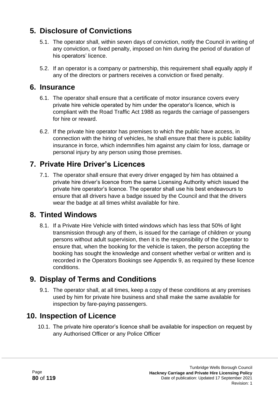# **5. Disclosure of Convictions**

- 5.1. The operator shall, within seven days of conviction, notify the Council in writing of any conviction, or fixed penalty, imposed on him during the period of duration of his operators' licence.
- 5.2. If an operator is a company or partnership, this requirement shall equally apply if any of the directors or partners receives a conviction or fixed penalty.

#### **6. Insurance**

- 6.1. The operator shall ensure that a certificate of motor insurance covers every private hire vehicle operated by him under the operator's licence, which is compliant with the Road Traffic Act 1988 as regards the carriage of passengers for hire or reward.
- 6.2. If the private hire operator has premises to which the public have access, in connection with the hiring of vehicles, he shall ensure that there is public liability insurance in force, which indemnifies him against any claim for loss, damage or personal injury by any person using those premises.

## **7. Private Hire Driver's Licences**

7.1. The operator shall ensure that every driver engaged by him has obtained a private hire driver's licence from the same Licensing Authority which issued the private hire operator's licence. The operator shall use his best endeavours to ensure that all drivers have a badge issued by the Council and that the drivers wear the badge at all times whilst available for hire.

### **8. Tinted Windows**

8.1. If a Private Hire Vehicle with tinted windows which has less that 50% of light transmission through any of them, is issued for the carriage of children or young persons without adult supervision, then it is the responsibility of the Operator to ensure that, when the booking for the vehicle is taken, the person accepting the booking has sought the knowledge and consent whether verbal or written and is recorded in the Operators Bookings see Appendix 9, as required by these licence conditions.

### **9. Display of Terms and Conditions**

9.1. The operator shall, at all times, keep a copy of these conditions at any premises used by him for private hire business and shall make the same available for inspection by fare-paying passengers.

### **10. Inspection of Licence**

10.1. The private hire operator's licence shall be available for inspection on request by any Authorised Officer or any Police Officer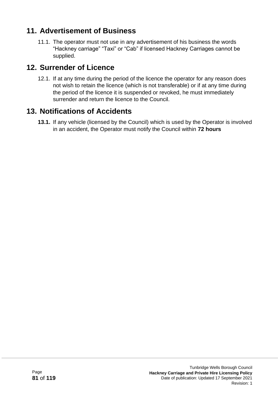# **11. Advertisement of Business**

11.1. The operator must not use in any advertisement of his business the words "Hackney carriage" "Taxi" or "Cab" if licensed Hackney Carriages cannot be supplied.

### **12. Surrender of Licence**

12.1. If at any time during the period of the licence the operator for any reason does not wish to retain the licence (which is not transferable) or if at any time during the period of the licence it is suspended or revoked, he must immediately surrender and return the licence to the Council.

### **13. Notifications of Accidents**

**13.1.** If any vehicle (licensed by the Council) which is used by the Operator is involved in an accident, the Operator must notify the Council within **72 hours**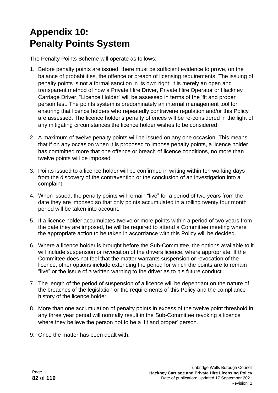# **Appendix 10: Penalty Points System**

The Penalty Points Scheme will operate as follows:

- 1. Before penalty points are issued, there must be sufficient evidence to prove, on the balance of probabilities, the offence or breach of licensing requirements. The issuing of penalty points is not a formal sanction in its own right; it is merely an open and transparent method of how a Private Hire Driver, Private Hire Operator or Hackney Carriage Driver, "Licence Holder" will be assessed in terms of the 'fit and proper' person test. The points system is predominately an internal management tool for ensuring that licence holders who repeatedly contravene regulation and/or this Policy are assessed. The licence holder's penalty offences will be re-considered in the light of any mitigating circumstances the licence holder wishes to be considered.
- 2. A maximum of twelve penalty points will be issued on any one occasion. This means that if on any occasion when it is proposed to impose penalty points, a licence holder has committed more that one offence or breach of licence conditions, no more than twelve points will be imposed.
- 3. Points issued to a licence holder will be confirmed in writing within ten working days from the discovery of the contravention or the conclusion of an investigation into a complaint.
- 4. When issued, the penalty points will remain "live" for a period of two years from the date they are imposed so that only points accumulated in a rolling twenty four month period will be taken into account.
- 5. If a licence holder accumulates twelve or more points within a period of two years from the date they are imposed, he will be required to attend a Committee meeting where the appropriate action to be taken in accordance with this Policy will be decided.
- 6. Where a licence holder is brought before the Sub-Committee, the options available to it will include suspension or revocation of the drivers licence, where appropriate. If the Committee does not feel that the matter warrants suspension or revocation of the licence, other options include extending the period for which the points are to remain "live" or the issue of a written warning to the driver as to his future conduct.
- 7. The length of the period of suspension of a licence will be dependant on the nature of the breaches of the legislation or the requirements of this Policy and the compliance history of the licence holder.
- 8. More than one accumulation of penalty points in excess of the twelve point threshold in any three year period will normally result in the Sub-Committee revoking a licence where they believe the person not to be a 'fit and proper' person.
- 9. Once the matter has been dealt with: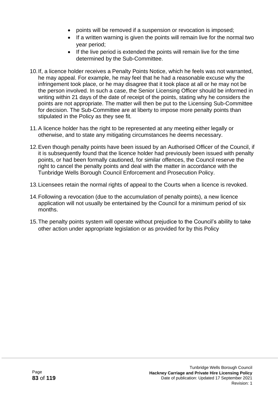- points will be removed if a suspension or revocation is imposed;
- If a written warning is given the points will remain live for the normal two year period;
- If the live period is extended the points will remain live for the time determined by the Sub-Committee.
- 10.If, a licence holder receives a Penalty Points Notice, which he feels was not warranted, he may appeal. For example, he may feel that he had a reasonable excuse why the infringement took place, or he may disagree that it took place at all or he may not be the person involved. In such a case, the Senior Licensing Officer should be informed in writing within 21 days of the date of receipt of the points, stating why he considers the points are not appropriate. The matter will then be put to the Licensing Sub-Committee for decision. The Sub-Committee are at liberty to impose more penalty points than stipulated in the Policy as they see fit.
- 11.A licence holder has the right to be represented at any meeting either legally or otherwise, and to state any mitigating circumstances he deems necessary.
- 12.Even though penalty points have been issued by an Authorised Officer of the Council, if it is subsequently found that the licence holder had previously been issued with penalty points, or had been formally cautioned, for similar offences, the Council reserve the right to cancel the penalty points and deal with the matter in accordance with the Tunbridge Wells Borough Council Enforcement and Prosecution Policy.
- 13.Licensees retain the normal rights of appeal to the Courts when a licence is revoked.
- 14.Following a revocation (due to the accumulation of penalty points), a new licence application will not usually be entertained by the Council for a minimum period of six months.
- 15.The penalty points system will operate without prejudice to the Council's ability to take other action under appropriate legislation or as provided for by this Policy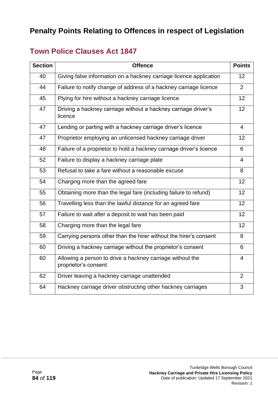# **Penalty Points Relating to Offences in respect of Legislation**

# **Town Police Clauses Act 1847**

| <b>Section</b> | <b>Offence</b>                                                                    | <b>Points</b>  |
|----------------|-----------------------------------------------------------------------------------|----------------|
| 40             | Giving false information on a hackney carriage licence application                | 12             |
| 44             | Failure to notify change of address of a hackney carriage licence                 |                |
| 45             | Plying for hire without a hackney carriage licence                                |                |
| 47             | Driving a hackney carriage without a hackney carriage driver's<br>licence         | 12             |
| 47             | Lending or parting with a hackney carriage driver's licence                       | $\overline{4}$ |
| 47             | Proprietor employing an unlicensed hackney carriage driver                        | 12             |
| 48             | Failure of a proprietor to hold a hackney carriage driver's licence               | 6              |
| 52             | Failure to display a hackney carriage plate                                       | $\overline{4}$ |
| 53             | Refusal to take a fare without a reasonable excuse                                | 8              |
| 54             | Charging more than the agreed fare                                                | 12             |
| 55             | Obtaining more than the legal fare (including failure to refund)                  | 12             |
| 56             | Travelling less than the lawful distance for an agreed fare                       | 12             |
| 57             | Failure to wait after a deposit to wait has been paid                             | 12             |
| 58             | Charging more than the legal fare                                                 | 12             |
| 59             | Carrying persons other than the hirer without the hirer's consent                 | 8              |
| 60             | Driving a hackney carriage without the proprietor's consent                       | 6              |
| 60             | Allowing a person to drive a hackney carriage without the<br>proprietor's consent | $\overline{4}$ |
| 62             | Driver leaving a hackney carriage unattended                                      | 2              |
| 64             | Hackney carriage driver obstructing other hackney carriages                       | 3              |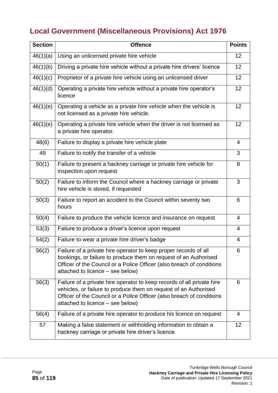# **Local Government (Miscellaneous Provisions) Act 1976**

| <b>Section</b> | <b>Offence</b>                                                                                                                                                                                                                                          | <b>Points</b>  |
|----------------|---------------------------------------------------------------------------------------------------------------------------------------------------------------------------------------------------------------------------------------------------------|----------------|
| 46(1)(a)       | Using an unlicensed private hire vehicle                                                                                                                                                                                                                | 12             |
| 46(1)(b)       | Driving a private hire vehicle without a private hire drivers' licence                                                                                                                                                                                  | 12             |
| 46(1)(c)       | Proprietor of a private hire vehicle using an unlicensed driver                                                                                                                                                                                         |                |
| 46(1)(d)       | Operating a private hire vehicle without a private hire operator's<br>licence                                                                                                                                                                           |                |
| 46(1)(e)       | Operating a vehicle as a private hire vehicle when the vehicle is<br>not licensed as a private hire vehicle.                                                                                                                                            | 12             |
| 46(1)(e)       | Operating a private hire vehicle when the driver is not licensed as<br>a private hire operator.                                                                                                                                                         | 12             |
| 48(6)          | Failure to display a private hire vehicle plate                                                                                                                                                                                                         | 4              |
| 49             | Failure to notify the transfer of a vehicle                                                                                                                                                                                                             | 3              |
| 50(1)          | Failure to present a hackney carriage or private hire vehicle for<br>inspection upon request                                                                                                                                                            | 8              |
| 50(2)          | Failure to inform the Council where a hackney carriage or private<br>hire vehicle is stored, if requested                                                                                                                                               | 3              |
| 50(3)          | Failure to report an accident to the Council within seventy two<br>hours                                                                                                                                                                                | 6              |
| 50(4)          | Failure to produce the vehicle licence and insurance on request                                                                                                                                                                                         | 4              |
| 53(3)          | Failure to produce a driver's licence upon request                                                                                                                                                                                                      | $\overline{4}$ |
| 54(2)          | Failure to wear a private hire driver's badge                                                                                                                                                                                                           | 4              |
| 56(2)          | Failure of a private hire operator to keep proper records of all<br>bookings, or failure to produce them on request of an Authorised<br>Officer of the Council or a Police Officer (also breach of conditions<br>attached to licence – see below)       | 6              |
| 56(3)          | Failure of a private hire operator to keep records of all private hire<br>vehicles, or failure to produce them on request of an Authorised<br>Officer of the Council or a Police Officer (also breach of conditions<br>attached to licence – see below) | 6              |
| 56(4)          | Failure of a private hire operator to produce his licence on request                                                                                                                                                                                    | $\overline{4}$ |
| 57             | Making a false statement or withholding information to obtain a<br>hackney carriage or private hire driver's licence                                                                                                                                    | 12             |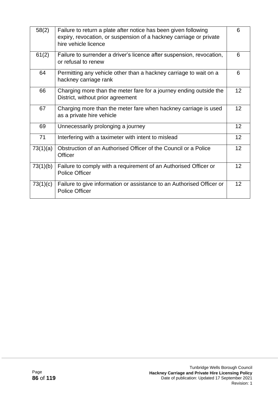| 58(2)    | Failure to return a plate after notice has been given following<br>expiry, revocation, or suspension of a hackney carriage or private<br>hire vehicle licence | 6  |
|----------|---------------------------------------------------------------------------------------------------------------------------------------------------------------|----|
| 61(2)    | Failure to surrender a driver's licence after suspension, revocation,<br>or refusal to renew                                                                  | 6  |
| 64       | Permitting any vehicle other than a hackney carriage to wait on a<br>hackney carriage rank                                                                    | 6  |
| 66       | Charging more than the meter fare for a journey ending outside the<br>District, without prior agreement                                                       | 12 |
| 67       | Charging more than the meter fare when hackney carriage is used<br>as a private hire vehicle                                                                  | 12 |
| 69       | Unnecessarily prolonging a journey                                                                                                                            | 12 |
| 71       | Interfering with a taximeter with intent to mislead                                                                                                           | 12 |
| 73(1)(a) | Obstruction of an Authorised Officer of the Council or a Police<br>Officer                                                                                    | 12 |
| 73(1)(b) | Failure to comply with a requirement of an Authorised Officer or<br><b>Police Officer</b>                                                                     | 12 |
| 73(1)(c) | Failure to give information or assistance to an Authorised Officer or<br><b>Police Officer</b>                                                                | 12 |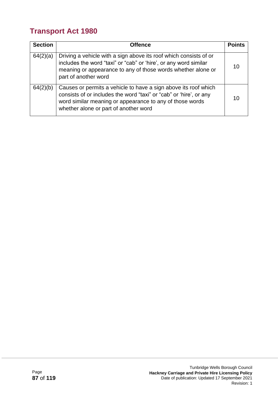# **Transport Act 1980**

| <b>Section</b> | <b>Offence</b>                                                                                                                                                                                                                             | <b>Points</b> |
|----------------|--------------------------------------------------------------------------------------------------------------------------------------------------------------------------------------------------------------------------------------------|---------------|
| 64(2)(a)       | Driving a vehicle with a sign above its roof which consists of or<br>includes the word "taxi" or "cab" or 'hire', or any word similar<br>meaning or appearance to any of those words whether alone or<br>part of another word              | 10            |
| 64(2)(b)       | Causes or permits a vehicle to have a sign above its roof which<br>consists of or includes the word "taxi" or "cab" or 'hire', or any<br>word similar meaning or appearance to any of those words<br>whether alone or part of another word | 10            |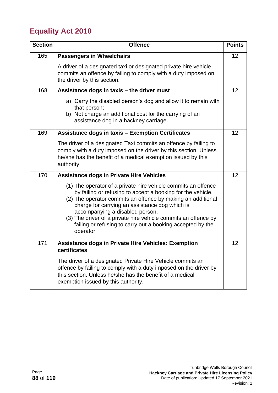# **Equality Act 2010**

| <b>Section</b> | <b>Offence</b>                                                                                                                                                                                                                                                                                                                                                                                                               | <b>Points</b> |
|----------------|------------------------------------------------------------------------------------------------------------------------------------------------------------------------------------------------------------------------------------------------------------------------------------------------------------------------------------------------------------------------------------------------------------------------------|---------------|
| 165            | <b>Passengers in Wheelchairs</b>                                                                                                                                                                                                                                                                                                                                                                                             |               |
|                | A driver of a designated taxi or designated private hire vehicle<br>commits an offence by failing to comply with a duty imposed on<br>the driver by this section.                                                                                                                                                                                                                                                            |               |
| 168            | Assistance dogs in taxis - the driver must                                                                                                                                                                                                                                                                                                                                                                                   | 12            |
|                | a) Carry the disabled person's dog and allow it to remain with<br>that person;<br>b) Not charge an additional cost for the carrying of an<br>assistance dog in a hackney carriage.                                                                                                                                                                                                                                           |               |
| 169            | <b>Assistance dogs in taxis - Exemption Certificates</b>                                                                                                                                                                                                                                                                                                                                                                     | 12            |
|                | The driver of a designated Taxi commits an offence by failing to<br>comply with a duty imposed on the driver by this section. Unless<br>he/she has the benefit of a medical exemption issued by this<br>authority.                                                                                                                                                                                                           |               |
| 170            | <b>Assistance dogs in Private Hire Vehicles</b>                                                                                                                                                                                                                                                                                                                                                                              | 12            |
|                | (1) The operator of a private hire vehicle commits an offence<br>by failing or refusing to accept a booking for the vehicle.<br>(2) The operator commits an offence by making an additional<br>charge for carrying an assistance dog which is<br>accompanying a disabled person.<br>(3) The driver of a private hire vehicle commits an offence by<br>failing or refusing to carry out a booking accepted by the<br>operator |               |
| 171            | <b>Assistance dogs in Private Hire Vehicles: Exemption</b><br>certificates                                                                                                                                                                                                                                                                                                                                                   | 12            |
|                | The driver of a designated Private Hire Vehicle commits an<br>offence by failing to comply with a duty imposed on the driver by<br>this section. Unless he/she has the benefit of a medical<br>exemption issued by this authority.                                                                                                                                                                                           |               |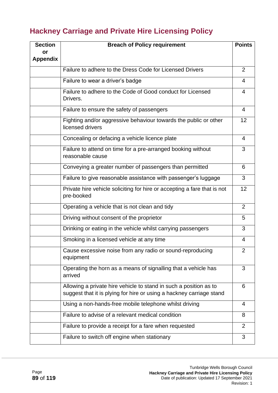# **Hackney Carriage and Private Hire Licensing Policy**

| <b>Section</b>        | <b>Breach of Policy requirement</b>                                                                                                       |                |  |  |
|-----------------------|-------------------------------------------------------------------------------------------------------------------------------------------|----------------|--|--|
| or<br><b>Appendix</b> |                                                                                                                                           |                |  |  |
|                       | Failure to adhere to the Dress Code for Licensed Drivers                                                                                  | 2              |  |  |
|                       | Failure to wear a driver's badge                                                                                                          | 4              |  |  |
|                       | Failure to adhere to the Code of Good conduct for Licensed<br>Drivers.                                                                    | 4              |  |  |
|                       | Failure to ensure the safety of passengers                                                                                                | 4              |  |  |
|                       | Fighting and/or aggressive behaviour towards the public or other<br>licensed drivers                                                      | 12             |  |  |
|                       | Concealing or defacing a vehicle licence plate                                                                                            | 4              |  |  |
|                       | Failure to attend on time for a pre-arranged booking without<br>reasonable cause                                                          | 3              |  |  |
|                       | Conveying a greater number of passengers than permitted                                                                                   | 6              |  |  |
|                       | Failure to give reasonable assistance with passenger's luggage                                                                            | 3              |  |  |
|                       | Private hire vehicle soliciting for hire or accepting a fare that is not<br>pre-booked                                                    | 12             |  |  |
|                       | Operating a vehicle that is not clean and tidy                                                                                            | $\overline{2}$ |  |  |
|                       | Driving without consent of the proprietor                                                                                                 | 5              |  |  |
|                       | Drinking or eating in the vehicle whilst carrying passengers                                                                              | 3              |  |  |
|                       | Smoking in a licensed vehicle at any time                                                                                                 | 4              |  |  |
|                       | Cause excessive noise from any radio or sound-reproducing<br>equipment                                                                    | 2              |  |  |
|                       | Operating the horn as a means of signalling that a vehicle has<br>arrived                                                                 | 3              |  |  |
|                       | Allowing a private hire vehicle to stand in such a position as to<br>suggest that it is plying for hire or using a hackney carriage stand | 6              |  |  |
|                       | Using a non-hands-free mobile telephone whilst driving                                                                                    | 4              |  |  |
|                       | Failure to advise of a relevant medical condition                                                                                         | 8              |  |  |
|                       | Failure to provide a receipt for a fare when requested                                                                                    | $\overline{2}$ |  |  |
|                       | Failure to switch off engine when stationary                                                                                              | 3              |  |  |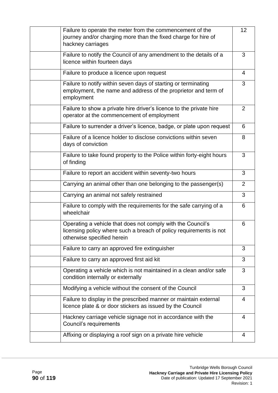| Failure to operate the meter from the commencement of the<br>journey and/or charging more than the fixed charge for hire of<br>hackney carriages                | 12 |
|-----------------------------------------------------------------------------------------------------------------------------------------------------------------|----|
| Failure to notify the Council of any amendment to the details of a<br>licence within fourteen days                                                              | 3  |
| Failure to produce a licence upon request                                                                                                                       | 4  |
| Failure to notify within seven days of starting or terminating<br>employment, the name and address of the proprietor and term of<br>employment                  | 3  |
| Failure to show a private hire driver's licence to the private hire<br>operator at the commencement of employment                                               | 2  |
| Failure to surrender a driver's licence, badge, or plate upon request                                                                                           | 6  |
| Failure of a licence holder to disclose convictions within seven<br>days of conviction                                                                          | 8  |
| Failure to take found property to the Police within forty-eight hours<br>of finding                                                                             | 3  |
| Failure to report an accident within seventy-two hours                                                                                                          | 3  |
| Carrying an animal other than one belonging to the passenger(s)                                                                                                 | 2  |
| Carrying an animal not safely restrained                                                                                                                        | 3  |
| Failure to comply with the requirements for the safe carrying of a<br>wheelchair                                                                                | 6  |
| Operating a vehicle that does not comply with the Council's<br>licensing policy where such a breach of policy requirements is not<br>otherwise specified herein | 6  |
| Failure to carry an approved fire extinguisher                                                                                                                  | 3  |
| Failure to carry an approved first aid kit                                                                                                                      | 3  |
| Operating a vehicle which is not maintained in a clean and/or safe<br>condition internally or externally                                                        | 3  |
| Modifying a vehicle without the consent of the Council                                                                                                          | 3  |
| Failure to display in the prescribed manner or maintain external<br>licence plate & or door stickers as issued by the Council                                   | 4  |
| Hackney carriage vehicle signage not in accordance with the<br>Council's requirements                                                                           | 4  |
| Affixing or displaying a roof sign on a private hire vehicle                                                                                                    | 4  |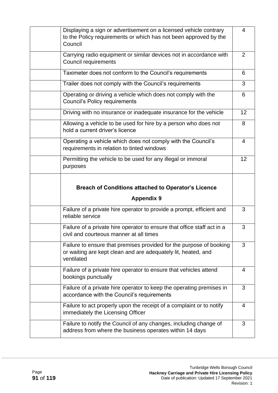| Displaying a sign or advertisement on a licensed vehicle contrary                                                                                  |    |
|----------------------------------------------------------------------------------------------------------------------------------------------------|----|
| to the Policy requirements or which has not been approved by the<br>Council                                                                        | 4  |
| Carrying radio equipment or similar devices not in accordance with<br><b>Council requirements</b>                                                  | 2  |
| Taximeter does not conform to the Council's requirements                                                                                           | 6  |
| Trailer does not comply with the Council's requirements                                                                                            | 3  |
| Operating or driving a vehicle which does not comply with the<br><b>Council's Policy requirements</b>                                              | 6  |
| Driving with no insurance or inadequate insurance for the vehicle                                                                                  | 12 |
| Allowing a vehicle to be used for hire by a person who does not<br>hold a current driver's licence                                                 | 8  |
| Operating a vehicle which does not comply with the Council's<br>requirements in relation to tinted windows                                         | 4  |
| Permitting the vehicle to be used for any illegal or immoral<br>purposes                                                                           | 12 |
| <b>Breach of Conditions attached to Operator's Licence</b>                                                                                         |    |
|                                                                                                                                                    |    |
| <b>Appendix 9</b>                                                                                                                                  |    |
| Failure of a private hire operator to provide a prompt, efficient and<br>reliable service                                                          | 3  |
| Failure of a private hire operator to ensure that office staff act in a<br>civil and courteous manner at all times                                 | 3  |
| Failure to ensure that premises provided for the purpose of booking<br>or waiting are kept clean and are adequately lit, heated, and<br>ventilated | 3  |
| Failure of a private hire operator to ensure that vehicles attend<br>bookings punctually                                                           | 4  |
| Failure of a private hire operator to keep the operating premises in<br>accordance with the Council's requirements                                 | 3  |
| Failure to act properly upon the receipt of a complaint or to notify<br>immediately the Licensing Officer                                          | 4  |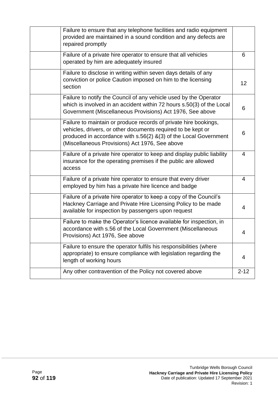| Failure to ensure that any telephone facilities and radio equipment<br>provided are maintained in a sound condition and any defects are<br>repaired promptly                                                                                           |                 |
|--------------------------------------------------------------------------------------------------------------------------------------------------------------------------------------------------------------------------------------------------------|-----------------|
| Failure of a private hire operator to ensure that all vehicles<br>operated by him are adequately insured                                                                                                                                               | 6               |
| Failure to disclose in writing within seven days details of any<br>conviction or police Caution imposed on him to the licensing<br>section                                                                                                             | 12 <sub>2</sub> |
| Failure to notify the Council of any vehicle used by the Operator<br>which is involved in an accident within 72 hours s.50(3) of the Local<br>Government (Miscellaneous Provisions) Act 1976, See above                                                | 6               |
| Failure to maintain or produce records of private hire bookings,<br>vehicles, drivers, or other documents required to be kept or<br>produced in accordance with s.56(2) &(3) of the Local Government<br>(Miscellaneous Provisions) Act 1976, See above | 6               |
| Failure of a private hire operator to keep and display public liability<br>insurance for the operating premises if the public are allowed<br>access                                                                                                    | 4               |
| Failure of a private hire operator to ensure that every driver<br>employed by him has a private hire licence and badge                                                                                                                                 | $\overline{4}$  |
| Failure of a private hire operator to keep a copy of the Council's<br>Hackney Carriage and Private Hire Licensing Policy to be made<br>available for inspection by passengers upon request                                                             | 4               |
| Failure to make the Operator's licence available for inspection, in<br>accordance with s.56 of the Local Government (Miscellaneous<br>Provisions) Act 1976, See above                                                                                  | 4               |
| Failure to ensure the operator fulfils his responsibilities (where<br>appropriate) to ensure compliance with legislation regarding the<br>length of working hours                                                                                      | 4               |
| Any other contravention of the Policy not covered above                                                                                                                                                                                                | $2 - 12$        |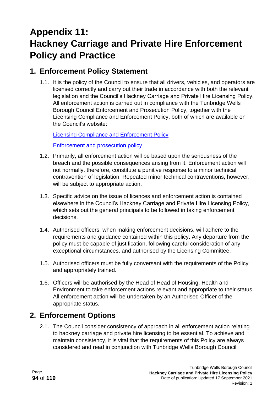# **Appendix 11: Hackney Carriage and Private Hire Enforcement Policy and Practice**

### **1. Enforcement Policy Statement**

1.1. It is the policy of the Council to ensure that all drivers, vehicles, and operators are licensed correctly and carry out their trade in accordance with both the relevant legislation and the Council's Hackney Carriage and Private Hire Licensing Policy. All enforcement action is carried out in compliance with the Tunbridge Wells Borough Council Enforcement and Prosecution Policy, together with the Licensing Compliance and Enforcement Policy, both of which are available on the Council's website:

[Licensing Compliance and Enforcement Policy](http://www.tunbridgewells.gov.uk/__data/assets/pdf_file/0012/131520/09.09.16-Ratified-Licensing-Compliance-and-Enforcement-Policy-2016.pdf)

[Enforcement and prosecution policy](http://www.tunbridgewells.gov.uk/__data/assets/pdf_file/0007/16477/Enforcement_Policy_Tunbridge_Wells_8207.pdf)

- 1.2. Primarily, all enforcement action will be based upon the seriousness of the breach and the possible consequences arising from it. Enforcement action will not normally, therefore, constitute a punitive response to a minor technical contravention of legislation. Repeated minor technical contraventions, however, will be subject to appropriate action.
- 1.3. Specific advice on the issue of licences and enforcement action is contained elsewhere in the Council's Hackney Carriage and Private Hire Licensing Policy, which sets out the general principals to be followed in taking enforcement decisions.
- 1.4. Authorised officers, when making enforcement decisions, will adhere to the requirements and guidance contained within this policy. Any departure from the policy must be capable of justification, following careful consideration of any exceptional circumstances, and authorised by the Licensing Committee.
- 1.5. Authorised officers must be fully conversant with the requirements of the Policy and appropriately trained.
- 1.6. Officers will be authorised by the Head of Head of Housing, Health and Environment to take enforcement actions relevant and appropriate to their status. All enforcement action will be undertaken by an Authorised Officer of the appropriate status.

## **2. Enforcement Options**

2.1. The Council consider consistency of approach in all enforcement action relating to hackney carriage and private hire licensing to be essential. To achieve and maintain consistency, it is vital that the requirements of this Policy are always considered and read in conjunction with Tunbridge Wells Borough Council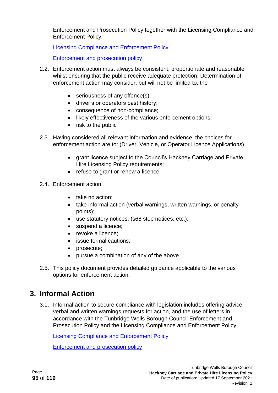Enforcement and Prosecution Policy together with the Licensing Compliance and Enforcement Policy:

[Licensing Compliance and Enforcement Policy](http://www.tunbridgewells.gov.uk/__data/assets/pdf_file/0012/131520/09.09.16-Ratified-Licensing-Compliance-and-Enforcement-Policy-2016.pdf)

[Enforcement and prosecution policy](http://www.tunbridgewells.gov.uk/__data/assets/pdf_file/0007/16477/Enforcement_Policy_Tunbridge_Wells_8207.pdf)

- 2.2. Enforcement action must always be consistent, proportionate and reasonable whilst ensuring that the public receive adequate protection. Determination of enforcement action may consider, but will not be limited to, the
	- seriousness of any offence(s);
	- driver's or operators past history;
	- consequence of non-compliance;
	- likely effectiveness of the various enforcement options;
	- risk to the public
- 2.3. Having considered all relevant information and evidence, the choices for enforcement action are to: (Driver, Vehicle, or Operator Licence Applications)
	- grant licence subject to the Council's Hackney Carriage and Private Hire Licensing Policy requirements;
	- refuse to grant or renew a licence
- 2.4. Enforcement action
	- take no action:
	- take informal action (verbal warnings, written warnings, or penalty points);
	- use statutory notices, (s68 stop notices, etc.);
	- suspend a licence;
	- revoke a licence:
	- issue formal cautions;
	- prosecute;
	- pursue a combination of any of the above
- 2.5. This policy document provides detailed guidance applicable to the various options for enforcement action.

### **3. Informal Action**

3.1. Informal action to secure compliance with legislation includes offering advice, verbal and written warnings requests for action, and the use of letters in accordance with the Tunbridge Wells Borough Council Enforcement and Prosecution Policy and the Licensing Compliance and Enforcement Policy.

[Licensing Compliance and Enforcement Policy](http://www.tunbridgewells.gov.uk/__data/assets/pdf_file/0012/131520/09.09.16-Ratified-Licensing-Compliance-and-Enforcement-Policy-2016.pdf)

[Enforcement and prosecution policy](http://www.tunbridgewells.gov.uk/__data/assets/pdf_file/0007/16477/Enforcement_Policy_Tunbridge_Wells_8207.pdf)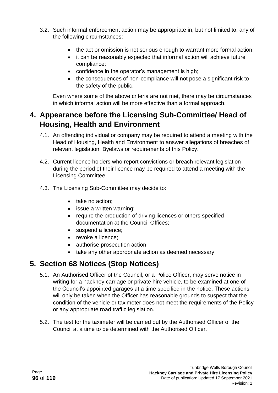- 3.2. Such informal enforcement action may be appropriate in, but not limited to, any of the following circumstances:
	- the act or omission is not serious enough to warrant more formal action;
	- it can be reasonably expected that informal action will achieve future compliance;
	- confidence in the operator's management is high;
	- the consequences of non-compliance will not pose a significant risk to the safety of the public.

Even where some of the above criteria are not met, there may be circumstances in which informal action will be more effective than a formal approach.

# **4. Appearance before the Licensing Sub-Committee/ Head of Housing, Health and Environment**

- 4.1. An offending individual or company may be required to attend a meeting with the Head of Housing, Health and Environment to answer allegations of breaches of relevant legislation, Byelaws or requirements of this Policy.
- 4.2. Current licence holders who report convictions or breach relevant legislation during the period of their licence may be required to attend a meeting with the Licensing Committee.
- 4.3. The Licensing Sub-Committee may decide to:
	- take no action:
	- issue a written warning:
	- require the production of driving licences or others specified documentation at the Council Offices;
	- suspend a licence;
	- revoke a licence;
	- authorise prosecution action:
	- take any other appropriate action as deemed necessary

## **5. Section 68 Notices (Stop Notices)**

- 5.1. An Authorised Officer of the Council, or a Police Officer, may serve notice in writing for a hackney carriage or private hire vehicle, to be examined at one of the Council's appointed garages at a time specified in the notice. These actions will only be taken when the Officer has reasonable grounds to suspect that the condition of the vehicle or taximeter does not meet the requirements of the Policy or any appropriate road traffic legislation.
- 5.2. The test for the taximeter will be carried out by the Authorised Officer of the Council at a time to be determined with the Authorised Officer.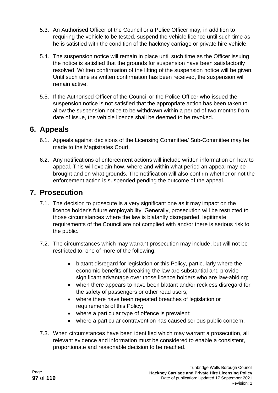- 5.3. An Authorised Officer of the Council or a Police Officer may, in addition to requiring the vehicle to be tested, suspend the vehicle licence until such time as he is satisfied with the condition of the hackney carriage or private hire vehicle.
- 5.4. The suspension notice will remain in place until such time as the Officer issuing the notice is satisfied that the grounds for suspension have been satisfactorily resolved. Written confirmation of the lifting of the suspension notice will be given. Until such time as written confirmation has been received, the suspension will remain active.
- 5.5. If the Authorised Officer of the Council or the Police Officer who issued the suspension notice is not satisfied that the appropriate action has been taken to allow the suspension notice to be withdrawn within a period of two months from date of issue, the vehicle licence shall be deemed to be revoked.

#### **6. Appeals**

- 6.1. Appeals against decisions of the Licensing Committee/ Sub-Committee may be made to the Magistrates Court.
- 6.2. Any notifications of enforcement actions will include written information on how to appeal. This will explain how, where and within what period an appeal may be brought and on what grounds. The notification will also confirm whether or not the enforcement action is suspended pending the outcome of the appeal.

#### **7. Prosecution**

- 7.1. The decision to prosecute is a very significant one as it may impact on the licence holder's future employability. Generally, prosecution will be restricted to those circumstances where the law is blatantly disregarded, legitimate requirements of the Council are not complied with and/or there is serious risk to the public.
- 7.2. The circumstances which may warrant prosecution may include, but will not be restricted to, one of more of the following:
	- blatant disregard for legislation or this Policy, particularly where the economic benefits of breaking the law are substantial and provide significant advantage over those licence holders who are law-abiding;
	- when there appears to have been blatant and/or reckless disregard for the safety of passengers or other road users;
	- where there have been repeated breaches of legislation or requirements of this Policy;
	- where a particular type of offence is prevalent;
	- where a particular contravention has caused serious public concern.
- 7.3. When circumstances have been identified which may warrant a prosecution, all relevant evidence and information must be considered to enable a consistent, proportionate and reasonable decision to be reached.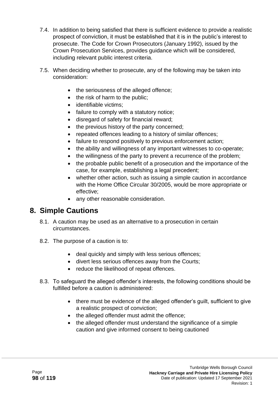- 7.4. In addition to being satisfied that there is sufficient evidence to provide a realistic prospect of conviction, it must be established that it is in the public's interest to prosecute. The Code for Crown Prosecutors (January 1992), issued by the Crown Prosecution Services, provides guidance which will be considered, including relevant public interest criteria.
- 7.5. When deciding whether to prosecute, any of the following may be taken into consideration:
	- the seriousness of the alleged offence;
	- the risk of harm to the public;
	- identifiable victims:
	- failure to comply with a statutory notice;
	- disregard of safety for financial reward;
	- the previous history of the party concerned;
	- repeated offences leading to a history of similar offences;
	- failure to respond positively to previous enforcement action;
	- the ability and willingness of any important witnesses to co-operate;
	- the willingness of the party to prevent a recurrence of the problem:
	- the probable public benefit of a prosecution and the importance of the case, for example, establishing a legal precedent;
	- whether other action, such as issuing a simple caution in accordance with the Home Office Circular 30/2005, would be more appropriate or effective;
	- any other reasonable consideration.

### **8. Simple Cautions**

- 8.1. A caution may be used as an alternative to a prosecution in certain circumstances.
- 8.2. The purpose of a caution is to:
	- deal quickly and simply with less serious offences;
	- divert less serious offences away from the Courts;
	- reduce the likelihood of repeat offences.
- 8.3. To safeguard the alleged offender's interests, the following conditions should be fulfilled before a caution is administered:
	- there must be evidence of the alleged offender's guilt, sufficient to give a realistic prospect of conviction;
	- the alleged offender must admit the offence;
	- the alleged offender must understand the significance of a simple caution and give informed consent to being cautioned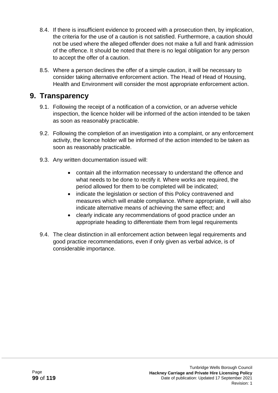- 8.4. If there is insufficient evidence to proceed with a prosecution then, by implication, the criteria for the use of a caution is not satisfied. Furthermore, a caution should not be used where the alleged offender does not make a full and frank admission of the offence. It should be noted that there is no legal obligation for any person to accept the offer of a caution.
- 8.5. Where a person declines the offer of a simple caution, it will be necessary to consider taking alternative enforcement action. The Head of Head of Housing, Health and Environment will consider the most appropriate enforcement action.

#### **9. Transparency**

- 9.1. Following the receipt of a notification of a conviction, or an adverse vehicle inspection, the licence holder will be informed of the action intended to be taken as soon as reasonably practicable.
- 9.2. Following the completion of an investigation into a complaint, or any enforcement activity, the licence holder will be informed of the action intended to be taken as soon as reasonably practicable.
- 9.3. Any written documentation issued will:
	- contain all the information necessary to understand the offence and what needs to be done to rectify it. Where works are required, the period allowed for them to be completed will be indicated;
	- indicate the legislation or section of this Policy contravened and measures which will enable compliance. Where appropriate, it will also indicate alternative means of achieving the same effect; and
	- clearly indicate any recommendations of good practice under an appropriate heading to differentiate them from legal requirements
- 9.4. The clear distinction in all enforcement action between legal requirements and good practice recommendations, even if only given as verbal advice, is of considerable importance.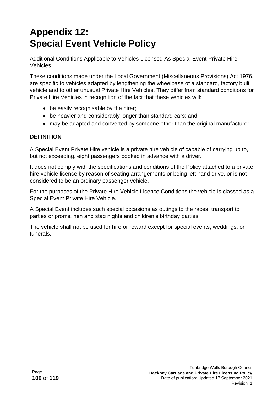# **Appendix 12: Special Event Vehicle Policy**

Additional Conditions Applicable to Vehicles Licensed As Special Event Private Hire Vehicles

These conditions made under the Local Government (Miscellaneous Provisions) Act 1976, are specific to vehicles adapted by lengthening the wheelbase of a standard, factory built vehicle and to other unusual Private Hire Vehicles. They differ from standard conditions for Private Hire Vehicles in recognition of the fact that these vehicles will:

- be easily recognisable by the hirer;
- be heavier and considerably longer than standard cars; and
- may be adapted and converted by someone other than the original manufacturer

#### **DEFINITION**

A Special Event Private Hire vehicle is a private hire vehicle of capable of carrying up to, but not exceeding, eight passengers booked in advance with a driver.

It does not comply with the specifications and conditions of the Policy attached to a private hire vehicle licence by reason of seating arrangements or being left hand drive, or is not considered to be an ordinary passenger vehicle.

For the purposes of the Private Hire Vehicle Licence Conditions the vehicle is classed as a Special Event Private Hire Vehicle.

A Special Event includes such special occasions as outings to the races, transport to parties or proms, hen and stag nights and children's birthday parties.

The vehicle shall not be used for hire or reward except for special events, weddings, or funerals.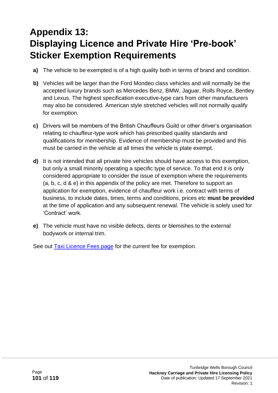# **Appendix 13: Displaying Licence and Private Hire 'Pre-book' Sticker Exemption Requirements**

- **a)** The vehicle to be exempted is of a high quality both in terms of brand and condition.
- **b)** Vehicles will be larger than the Ford Mondeo class vehicles and will normally be the accepted luxury brands such as Mercedes Benz, BMW, Jaguar, Rolls Royce, Bentley and Lexus. The highest specification executive-type cars from other manufacturers may also be considered. American style stretched vehicles will not normally qualify for exemption.
- **c)** Drivers will be members of the British Chauffeurs Guild or other driver's organisation relating to chauffeur-type work which has prescribed quality standards and qualifications for membership. Evidence of membership must be provided and this must be carried in the vehicle at all times the vehicle is plate exempt.
- **d)** It is not intended that all private hire vehicles should have access to this exemption, but only a small minority operating a specific type of service. To that end it is only considered appropriate to consider the issue of exemption where the requirements (a, b, c, d & e) in this appendix of the policy are met. Therefore to support an application for exemption, evidence of chauffeur work i.e. contract with terms of business, to include dates, times, terms and conditions, prices etc **must be provided** at the time of application and any subsequent renewal. The vehicle is solely used for 'Contract' work.
- **e)** The vehicle must have no visible defects, dents or blemishes to the external bodywork or internal trim.

See out [Taxi Licence Fees page](http://www.tunbridgewells.gov.uk/business/licences-and-permits/taxis-and-private-hire/taxi-licence-fees) for the current fee for exemption.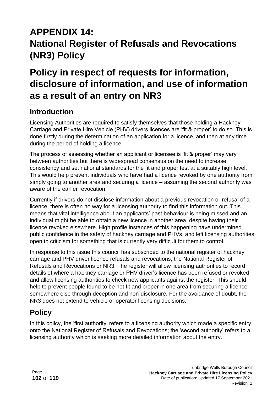# **APPENDIX 14: National Register of Refusals and Revocations (NR3) Policy**

# **Policy in respect of requests for information, disclosure of information, and use of information as a result of an entry on NR3**

### **Introduction**

Licensing Authorities are required to satisfy themselves that those holding a Hackney Carriage and Private Hire Vehicle (PHV) drivers licences are 'fit & proper' to do so. This is done firstly during the determination of an application for a licence, and then at any time during the period of holding a licence.

The process of assessing whether an applicant or licensee is 'fit & proper' may vary between authorities but there is widespread consensus on the need to increase consistency and set national standards for the fit and proper test at a suitably high level. This would help prevent individuals who have had a licence revoked by one authority from simply going to another area and securing a licence – assuming the second authority was aware of the earlier revocation.

Currently if drivers do not disclose information about a previous revocation or refusal of a licence, there is often no way for a licensing authority to find this information out. This means that vital intelligence about an applicants' past behaviour is being missed and an individual might be able to obtain a new licence in another area, despite having their licence revoked elsewhere. High profile instances of this happening have undermined public confidence in the safety of hackney carriage and PHVs, and left licensing authorities open to criticism for something that is currently very difficult for them to control.

In response to this issue this council has subscribed to the national register of hackney carriage and PHV driver licence refusals and revocations, the National Register of Refusals and Revocations or NR3. The register will allow licensing authorities to record details of where a hackney carriage or PHV driver's licence has been refused or revoked and allow licensing authorities to check new applicants against the register. This should help to prevent people found to be not fit and proper in one area from securing a licence somewhere else through deception and non-disclosure. For the avoidance of doubt, the NR3 does not extend to vehicle or operator licensing decisions.

# **Policy**

In this policy, the 'first authority' refers to a licensing authority which made a specific entry onto the National Register of Refusals and Revocations; the 'second authority' refers to a licensing authority which is seeking more detailed information about the entry.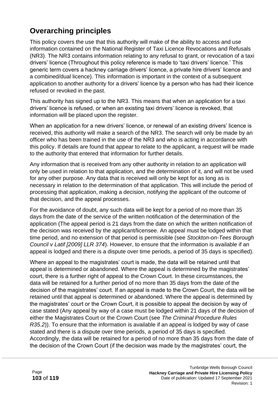# **Overarching principles**

This policy covers the use that this authority will make of the ability to access and use information contained on the National Register of Taxi Licence Revocations and Refusals (NR3). The NR3 contains information relating to any refusal to grant, or revocation of a taxi drivers' licence (Throughout this policy reference is made to 'taxi drivers' licence.' This generic term covers a hackney carriage drivers' licence, a private hire drivers' licence and a combined/dual licence). This information is important in the context of a subsequent application to another authority for a drivers' licence by a person who has had their licence refused or revoked in the past.

This authority has signed up to the NR3. This means that when an application for a taxi drivers' licence is refused, or when an existing taxi drivers' licence is revoked, that information will be placed upon the register.

When an application for a new drivers' licence, or renewal of an existing drivers' licence is received, this authority will make a search of the NR3. The search will only be made by an officer who has been trained in the use of the NR3 and who is acting in accordance with this policy. If details are found that appear to relate to the applicant, a request will be made to the authority that entered that information for further details.

Any information that is received from any other authority in relation to an application will only be used in relation to that application, and the determination of it, and will not be used for any other purpose. Any data that is received will only be kept for as long as is necessary in relation to the determination of that application. This will include the period of processing that application, making a decision, notifying the applicant of the outcome of that decision, and the appeal processes.

For the avoidance of doubt, any such data will be kept for a period of no more than 35 days from the date of the service of the written notification of the determination of the application (The appeal period is 21 days from the date on which the written notification of the decision was received by the applicant/licensee. An appeal must be lodged within that time period, and no extension of that period is permissible (see *Stockton-on-Tees Borough Council v Latif [2009] LLR 374*). However, to ensure that the information is available if an appeal is lodged and there is a dispute over time periods, a period of 35 days is specified).

Where an appeal to the magistrates' court is made, the data will be retained until that appeal is determined or abandoned. Where the appeal is determined by the magistrates' court, there is a further right of appeal to the Crown Court. In these circumstances, the data will be retained for a further period of no more than 35 days from the date of the decision of the magistrates' court. If an appeal is made to the Crown Court, the data will be retained until that appeal is determined or abandoned. Where the appeal is determined by the magistrates' court or the Crown Court, it is possible to appeal the decision by way of case stated (Any appeal by way of a case must be lodged within 21 days of the decision of either the Magistrates Court or the Crown Court (see *The Criminal Procedure Rules R35.2*)). To ensure that the information is available if an appeal is lodged by way of case stated and there is a dispute over time periods, a period of 35 days is specified. Accordingly, the data will be retained for a period of no more than 35 days from the date of the decision of the Crown Court (if the decision was made by the magistrates' court, the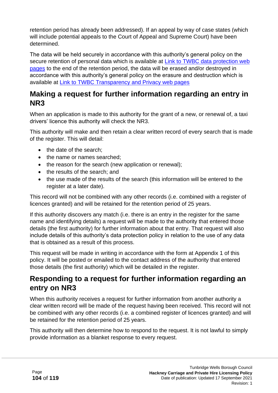retention period has already been addressed). If an appeal by way of case states (which will include potential appeals to the Court of Appeal and Supreme Court) have been determined.

The data will be held securely in accordance with this authority's general policy on the secure retention of personal data which is available at [Link to TWBC data protection web](https://www.tunbridgewells.gov.uk/council/freedom-of-information-and-transparency/transparency-and-privacy#section3)  [pages](https://www.tunbridgewells.gov.uk/council/freedom-of-information-and-transparency/transparency-and-privacy#section3) to the end of the retention period, the data will be erased and/or destroyed in accordance with this authority's general policy on the erasure and destruction which is available at [Link to TWBC Transparency and Privacy web pages](https://www.tunbridgewells.gov.uk/council/freedom-of-information-and-transparency/transparency-and-privacy#section3)

### **Making a request for further information regarding an entry in NR3**

When an application is made to this authority for the grant of a new, or renewal of, a taxi drivers' licence this authority will check the NR3.

This authority will make and then retain a clear written record of every search that is made of the register. This will detail:

- the date of the search;
- the name or names searched;
- the reason for the search (new application or renewal);
- the results of the search; and
- the use made of the results of the search (this information will be entered to the register at a later date).

This record will not be combined with any other records (i.e. combined with a register of licences granted) and will be retained for the retention period of 25 years.

If this authority discovers any match (i.e. there is an entry in the register for the same name and identifying details) a request will be made to the authority that entered those details (the first authority) for further information about that entry. That request will also include details of this authority's data protection policy in relation to the use of any data that is obtained as a result of this process.

This request will be made in writing in accordance with the form at Appendix 1 of this policy. It will be posted or emailed to the contact address of the authority that entered those details (the first authority) which will be detailed in the register.

# **Responding to a request for further information regarding an entry on NR3**

When this authority receives a request for further information from another authority a clear written record will be made of the request having been received. This record will not be combined with any other records (i.e. a combined register of licences granted) and will be retained for the retention period of 25 years.

This authority will then determine how to respond to the request. It is not lawful to simply provide information as a blanket response to every request.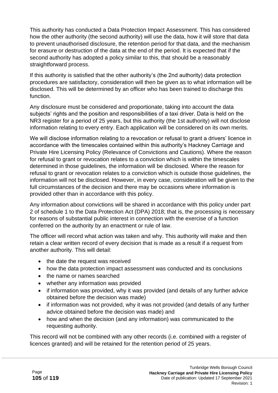This authority has conducted a Data Protection Impact Assessment. This has considered how the other authority (the second authority) will use the data, how it will store that data to prevent unauthorised disclosure, the retention period for that data, and the mechanism for erasure or destruction of the data at the end of the period. It is expected that if the second authority has adopted a policy similar to this, that should be a reasonably straightforward process.

If this authority is satisfied that the other authority's (the 2nd authority) data protection procedures are satisfactory, consideration will then be given as to what information will be disclosed. This will be determined by an officer who has been trained to discharge this function.

Any disclosure must be considered and proportionate, taking into account the data subjects' rights and the position and responsibilities of a taxi driver. Data is held on the NR3 register for a period of 25 years, but this authority (the 1st authority) will not disclose information relating to every entry. Each application will be considered on its own merits.

We will disclose information relating to a revocation or refusal to grant a drivers' licence in accordance with the timescales contained within this authority's Hackney Carriage and Private Hire Licensing Policy (Relevance of Convictions and Cautions). Where the reason for refusal to grant or revocation relates to a conviction which is within the timescales determined in those guidelines, the information will be disclosed. Where the reason for refusal to grant or revocation relates to a conviction which is outside those guidelines, the information will not be disclosed. However, in every case, consideration will be given to the full circumstances of the decision and there may be occasions where information is provided other than in accordance with this policy.

Any information about convictions will be shared in accordance with this policy under part 2 of schedule 1 to the Data Protection Act (DPA) 2018; that is, the processing is necessary for reasons of substantial public interest in connection with the exercise of a function conferred on the authority by an enactment or rule of law.

The officer will record what action was taken and why. This authority will make and then retain a clear written record of every decision that is made as a result if a request from another authority. This will detail:

- the date the request was received
- how the data protection impact assessment was conducted and its conclusions
- the name or names searched
- whether any information was provided
- if information was provided, why it was provided (and details of any further advice obtained before the decision was made)
- if information was not provided, why it was not provided (and details of any further advice obtained before the decision was made) and
- how and when the decision (and any information) was communicated to the requesting authority.

This record will not be combined with any other records (i.e. combined with a register of licences granted) and will be retained for the retention period of 25 years.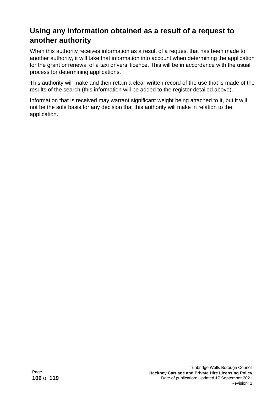## **Using any information obtained as a result of a request to another authority**

When this authority receives information as a result of a request that has been made to another authority, it will take that information into account when determining the application for the grant or renewal of a taxi drivers' licence. This will be in accordance with the usual process for determining applications.

This authority will make and then retain a clear written record of the use that is made of the results of the search (this information will be added to the register detailed above).

Information that is received may warrant significant weight being attached to it, but it will not be the sole basis for any decision that this authority will make in relation to the application.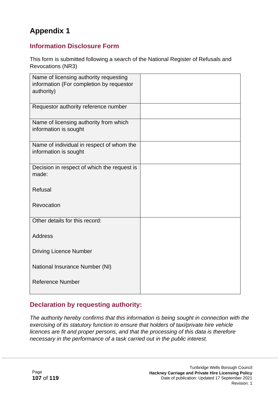# **Appendix 1**

#### **Information Disclosure Form**

This form is submitted following a search of the National Register of Refusals and Revocations (NR3)

| Name of licensing authority requesting<br>information (For completion by requestor<br>authority) |  |
|--------------------------------------------------------------------------------------------------|--|
| Requestor authority reference number                                                             |  |
| Name of licensing authority from which<br>information is sought                                  |  |
| Name of individual in respect of whom the<br>information is sought                               |  |
| Decision in respect of which the request is<br>made:                                             |  |
| Refusal                                                                                          |  |
| Revocation                                                                                       |  |
| Other details for this record:                                                                   |  |
| <b>Address</b>                                                                                   |  |
| <b>Driving Licence Number</b>                                                                    |  |
| National Insurance Number (NI)                                                                   |  |
| <b>Reference Number</b>                                                                          |  |

#### **Declaration by requesting authority:**

*The authority hereby confirms that this information is being sought in connection with the exercising of its statutory function to ensure that holders of taxi/private hire vehicle licences are fit and proper persons, and that the processing of this data is therefore necessary in the performance of a task carried out in the public interest.*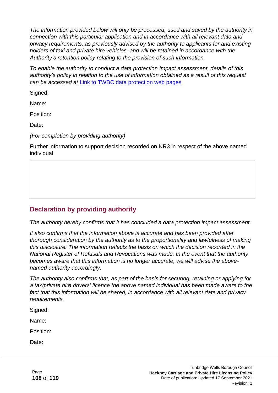*The information provided below will only be processed, used and saved by the authority in connection with this particular application and in accordance with all relevant data and privacy requirements, as previously advised by the authority to applicants for and existing holders of taxi and private hire vehicles, and will be retained in accordance with the Authority's retention policy relating to the provision of such information.*

*To enable the authority to conduct a data protection impact assessment, details of this authority's policy in relation to the use of information obtained as a result of this request can be accessed at* [Link to TWBC data protection web pages](https://www.tunbridgewells.gov.uk/council/freedom-of-information-and-transparency/transparency-and-privacy#section3)

Signed:

Name:

Position:

Date:

*(For completion by providing authority)*

Further information to support decision recorded on NR3 in respect of the above named individual

#### **Declaration by providing authority**

*The authority hereby confirms that it has concluded a data protection impact assessment.*

*It also confirms that the information above is accurate and has been provided after thorough consideration by the authority as to the proportionality and lawfulness of making this disclosure. The information reflects the basis on which the decision recorded in the National Register of Refusals and Revocations was made. In the event that the authority becomes aware that this information is no longer accurate, we will advise the abovenamed authority accordingly.*

*The authority also confirms that, as part of the basis for securing, retaining or applying for a tax/private hire drivers' licence the above named individual has been made aware to the fact that this information will be shared, in accordance with all relevant date and privacy requirements.*

Signed:

Name:

Position:

Date: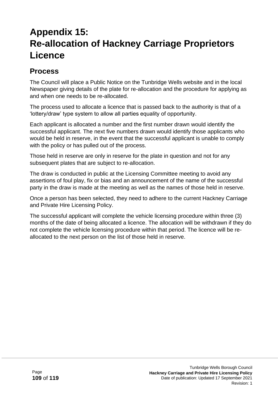# **Appendix 15: Re-allocation of Hackney Carriage Proprietors Licence**

## **Process**

The Council will place a Public Notice on the Tunbridge Wells website and in the local Newspaper giving details of the plate for re-allocation and the procedure for applying as and when one needs to be re-allocated.

The process used to allocate a licence that is passed back to the authority is that of a 'lottery/draw' type system to allow all parties equality of opportunity.

Each applicant is allocated a number and the first number drawn would identify the successful applicant. The next five numbers drawn would identify those applicants who would be held in reserve, in the event that the successful applicant is unable to comply with the policy or has pulled out of the process.

Those held in reserve are only in reserve for the plate in question and not for any subsequent plates that are subject to re-allocation.

The draw is conducted in public at the Licensing Committee meeting to avoid any assertions of foul play, fix or bias and an announcement of the name of the successful party in the draw is made at the meeting as well as the names of those held in reserve.

Once a person has been selected, they need to adhere to the current Hackney Carriage and Private Hire Licensing Policy.

The successful applicant will complete the vehicle licensing procedure within three (3) months of the date of being allocated a licence. The allocation will be withdrawn if they do not complete the vehicle licensing procedure within that period. The licence will be reallocated to the next person on the list of those held in reserve.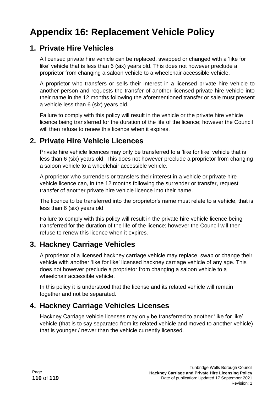# **Appendix 16: Replacement Vehicle Policy**

### **1. Private Hire Vehicles**

A licensed private hire vehicle can be replaced, swapped or changed with a 'like for like' vehicle that is less than 6 (six) years old. This does not however preclude a proprietor from changing a saloon vehicle to a wheelchair accessible vehicle.

A proprietor who transfers or sells their interest in a licensed private hire vehicle to another person and requests the transfer of another licensed private hire vehicle into their name in the 12 months following the aforementioned transfer or sale must present a vehicle less than 6 (six) years old.

Failure to comply with this policy will result in the vehicle or the private hire vehicle licence being transferred for the duration of the life of the licence; however the Council will then refuse to renew this licence when it expires.

## **2. Private Hire Vehicle Licences**

Private hire vehicle licences may only be transferred to a 'like for like' vehicle that is less than 6 (six) years old. This does not however preclude a proprietor from changing a saloon vehicle to a wheelchair accessible vehicle.

A proprietor who surrenders or transfers their interest in a vehicle or private hire vehicle licence can, in the 12 months following the surrender or transfer, request transfer of another private hire vehicle licence into their name.

The licence to be transferred into the proprietor's name must relate to a vehicle, that is less than 6 (six) years old.

Failure to comply with this policy will result in the private hire vehicle licence being transferred for the duration of the life of the licence; however the Council will then refuse to renew this licence when it expires.

## **3. Hackney Carriage Vehicles**

A proprietor of a licensed hackney carriage vehicle may replace, swap or change their vehicle with another 'like for like' licensed hackney carriage vehicle of any age. This does not however preclude a proprietor from changing a saloon vehicle to a wheelchair accessible vehicle.

In this policy it is understood that the license and its related vehicle will remain together and not be separated.

## **4. Hackney Carriage Vehicles Licenses**

Hackney Carriage vehicle licenses may only be transferred to another 'like for like' vehicle (that is to say separated from its related vehicle and moved to another vehicle) that is younger / newer than the vehicle currently licensed.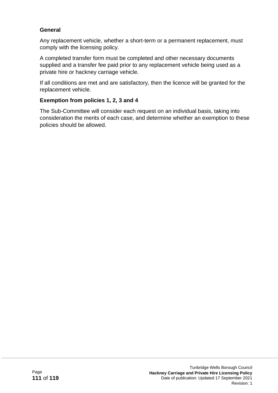#### **General**

Any replacement vehicle, whether a short-term or a permanent replacement, must comply with the licensing policy.

A completed transfer form must be completed and other necessary documents supplied and a transfer fee paid prior to any replacement vehicle being used as a private hire or hackney carriage vehicle.

If all conditions are met and are satisfactory, then the licence will be granted for the replacement vehicle.

#### **Exemption from policies 1, 2, 3 and 4**

The Sub-Committee will consider each request on an individual basis, taking into consideration the merits of each case, and determine whether an exemption to these policies should be allowed.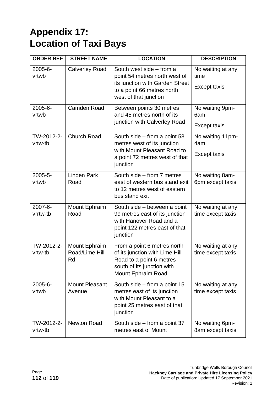# **Appendix 17: Location of Taxi Bays**

| <b>ORDER REF</b>      | <b>STREET NAME</b>                    | <b>LOCATION</b>                                                                                                                                     | <b>DESCRIPTION</b>                               |
|-----------------------|---------------------------------------|-----------------------------------------------------------------------------------------------------------------------------------------------------|--------------------------------------------------|
| 2005-6-<br>vrtwb      | <b>Calverley Road</b>                 | South west side - from a<br>point 54 metres north west of<br>its junction with Garden Street<br>to a point 66 metres north<br>west of that junction | No waiting at any<br>time<br><b>Except taxis</b> |
| 2005-6-<br>vrtwb      | <b>Camden Road</b>                    | Between points 30 metres<br>and 45 metres north of its<br>junction with Calverley Road                                                              | No waiting 9pm-<br>6am<br>Except taxis           |
| TW-2012-2-<br>vrtw-tb | <b>Church Road</b>                    | South side $-$ from a point 58<br>metres west of its junction<br>with Mount Pleasant Road to<br>a point 72 metres west of that<br>junction          | No waiting 11pm-<br>4am<br><b>Except taxis</b>   |
| 2005-5-<br>vrtwb      | <b>Linden Park</b><br>Road            | South side - from 7 metres<br>east of western bus stand exit<br>to 12 metres west of eastern<br>bus stand exit                                      | No waiting 8am-<br>6pm except taxis              |
| 2007-6-<br>vrrtw-tb   | Mount Ephraim<br>Road                 | South side – between a point<br>99 metres east of its junction<br>with Hanover Road and a<br>point 122 metres east of that<br>junction              | No waiting at any<br>time except taxis           |
| TW-2012-2-<br>vrtw-tb | Mount Ephraim<br>Road/Lime Hill<br>Rd | From a point 6 metres north<br>of its junction with Lime Hill<br>Road to a point 6 metres<br>south of its junction with<br>Mount Ephraim Road       | No waiting at any<br>time except taxis           |
| $2005 - 6 -$<br>vrtwb | <b>Mount Pleasant</b><br>Avenue       | South side $-$ from a point 15<br>metres east of its junction<br>with Mount Pleasant to a<br>point 25 metres east of that<br>junction               | No waiting at any<br>time except taxis           |
| TW-2012-2-<br>vrtw-tb | <b>Newton Road</b>                    | South side - from a point 37<br>metres east of Mount                                                                                                | No waiting 6pm-<br>8am except taxis              |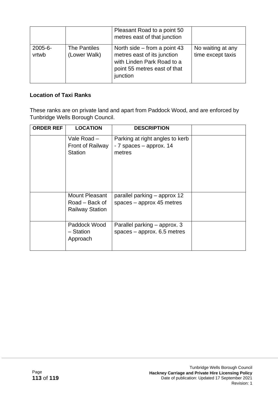|                       |                              | Pleasant Road to a point 50<br>metres east of that junction                                                                             |                                        |
|-----------------------|------------------------------|-----------------------------------------------------------------------------------------------------------------------------------------|----------------------------------------|
| $2005 - 6 -$<br>vrtwb | The Pantiles<br>(Lower Walk) | North side $-$ from a point 43<br>metres east of its junction<br>with Linden Park Road to a<br>point 55 metres east of that<br>junction | No waiting at any<br>time except taxis |

#### **Location of Taxi Ranks**

These ranks are on private land and apart from Paddock Wood, and are enforced by Tunbridge Wells Borough Council.

| <b>ORDER REF</b> | <b>LOCATION</b>                                                   | <b>DESCRIPTION</b>                                                   |  |
|------------------|-------------------------------------------------------------------|----------------------------------------------------------------------|--|
|                  | Vale $Road -$<br>Front of Railway<br><b>Station</b>               | Parking at right angles to kerb<br>- 7 spaces - approx. 14<br>metres |  |
|                  | <b>Mount Pleasant</b><br>Road – Back of<br><b>Railway Station</b> | parallel parking – approx 12<br>spaces $-$ approx 45 metres          |  |
|                  | Paddock Wood<br>- Station<br>Approach                             | Parallel parking – approx. 3<br>spaces $-$ approx. 6.5 metres        |  |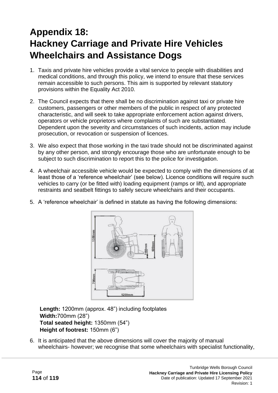## **Appendix 18: Hackney Carriage and Private Hire Vehicles Wheelchairs and Assistance Dogs**

- 1. Taxis and private hire vehicles provide a vital service to people with disabilities and medical conditions, and through this policy, we intend to ensure that these services remain accessible to such persons. This aim is supported by relevant statutory provisions within the Equality Act 2010.
- 2. The Council expects that there shall be no discrimination against taxi or private hire customers, passengers or other members of the public in respect of any protected characteristic, and will seek to take appropriate enforcement action against drivers, operators or vehicle proprietors where complaints of such are substantiated. Dependent upon the severity and circumstances of such incidents, action may include prosecution, or revocation or suspension of licences.
- 3. We also expect that those working in the taxi trade should not be discriminated against by any other person, and strongly encourage those who are unfortunate enough to be subject to such discrimination to report this to the police for investigation.
- 4. A wheelchair accessible vehicle would be expected to comply with the dimensions of at least those of a 'reference wheelchair' (see below). Licence conditions will require such vehicles to carry (or be fitted with) loading equipment (ramps or lift), and appropriate restraints and seatbelt fittings to safely secure wheelchairs and their occupants.
- 5. A 'reference wheelchair' is defined in statute as having the following dimensions:



**Length:** 1200mm (approx. 48") including footplates **Width:**700mm (28") **Total seated height:** 1350mm (54") **Height of footrest:** 150mm (6")

6. It is anticipated that the above dimensions will cover the majority of manual wheelchairs- however; we recognise that some wheelchairs with specialist functionality,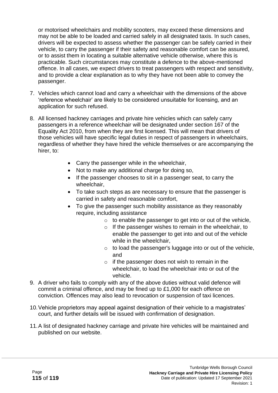or motorised wheelchairs and mobility scooters, may exceed these dimensions and may not be able to be loaded and carried safely in all designated taxis. In such cases, drivers will be expected to assess whether the passenger can be safely carried in their vehicle, to carry the passenger if their safety and reasonable comfort can be assured, or to assist them in locating a suitable alternative vehicle otherwise, where this is practicable. Such circumstances may constitute a defence to the above-mentioned offence. In all cases, we expect drivers to treat passengers with respect and sensitivity, and to provide a clear explanation as to why they have not been able to convey the passenger.

- 7. Vehicles which cannot load and carry a wheelchair with the dimensions of the above 'reference wheelchair' are likely to be considered unsuitable for licensing, and an application for such refused.
- 8. All licensed hackney carriages and private hire vehicles which can safely carry passengers in a reference wheelchair will be designated under section 167 of the Equality Act 2010, from when they are first licensed. This will mean that drivers of those vehicles will have specific legal duties in respect of passengers in wheelchairs, regardless of whether they have hired the vehicle themselves or are accompanying the hirer, to:
	- Carry the passenger while in the wheelchair,
	- Not to make any additional charge for doing so,
	- If the passenger chooses to sit in a passenger seat, to carry the wheelchair,
	- To take such steps as are necessary to ensure that the passenger is carried in safety and reasonable comfort,
	- To give the passenger such mobility assistance as they reasonably require, including assistance
		- $\circ$  to enable the passenger to get into or out of the vehicle,
		- o If the passenger wishes to remain in the wheelchair, to enable the passenger to get into and out of the vehicle while in the wheelchair,
		- o to load the passenger's luggage into or out of the vehicle, and
		- $\circ$  if the passenger does not wish to remain in the wheelchair, to load the wheelchair into or out of the vehicle.
- 9. A driver who fails to comply with any of the above duties without valid defence will commit a criminal offence, and may be fined up to £1,000 for each offence on conviction. Offences may also lead to revocation or suspension of taxi licences.
- 10.Vehicle proprietors may appeal against designation of their vehicle to a magistrates' court, and further details will be issued with confirmation of designation.
- 11.A list of designated hackney carriage and private hire vehicles will be maintained and published on our website.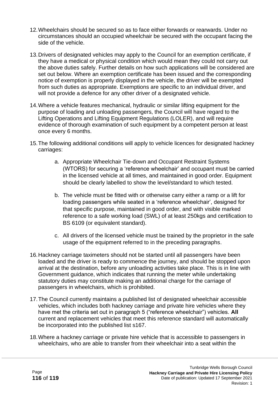- 12.Wheelchairs should be secured so as to face either forwards or rearwards. Under no circumstances should an occupied wheelchair be secured with the occupant facing the side of the vehicle.
- 13.Drivers of designated vehicles may apply to the Council for an exemption certificate, if they have a medical or physical condition which would mean they could not carry out the above duties safely. Further details on how such applications will be considered are set out below. Where an exemption certificate has been issued and the corresponding notice of exemption is properly displayed in the vehicle, the driver will be exempted from such duties as appropriate. Exemptions are specific to an individual driver, and will not provide a defence for any other driver of a designated vehicle.
- 14.Where a vehicle features mechanical, hydraulic or similar lifting equipment for the purpose of loading and unloading passengers, the Council will have regard to the Lifting Operations and Lifting Equipment Regulations (LOLER), and will require evidence of thorough examination of such equipment by a competent person at least once every 6 months.
- 15.The following additional conditions will apply to vehicle licences for designated hackney carriages:
	- a. Appropriate Wheelchair Tie-down and Occupant Restraint Systems (WTORS) for securing a 'reference wheelchair' and occupant must be carried in the licensed vehicle at all times, and maintained in good order. Equipment should be clearly labelled to show the level/standard to which tested.
	- b. The vehicle must be fitted with or otherwise carry either a ramp or a lift for loading passengers while seated in a 'reference wheelchair', designed for that specific purpose, maintained in good order, and with visible marked reference to a safe working load (SWL) of at least 250kgs and certification to BS 6109 (or equivalent standard).
	- c. All drivers of the licensed vehicle must be trained by the proprietor in the safe usage of the equipment referred to in the preceding paragraphs.
- 16.Hackney carriage taximeters should not be started until all passengers have been loaded and the driver is ready to commence the journey, and should be stopped upon arrival at the destination, before any unloading activities take place. This is in line with Government guidance, which indicates that running the meter while undertaking statutory duties may constitute making an additional charge for the carriage of passengers in wheelchairs, which is prohibited.
- 17.The Council currently maintains a published list of designated wheelchair accessible vehicles, which includes both hackney carriage and private hire vehicles where they have met the criteria set out in paragraph 5 ("reference wheelchair") vehicles. **All**  current and replacement vehicles that meet this reference standard will automatically be incorporated into the published list s167.
- 18.Where a hackney carriage or private hire vehicle that is accessible to passengers in wheelchairs, who are able to transfer from their wheelchair into a seat within the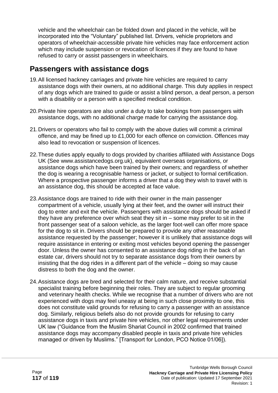vehicle and the wheelchair can be folded down and placed in the vehicle, will be incorporated into the "Voluntary" published list. Drivers, vehicle proprietors and operators of wheelchair-accessible private hire vehicles may face enforcement action which may include suspension or revocation of licences if they are found to have refused to carry or assist passengers in wheelchairs.

### **Passengers with assistance dogs**

- 19.All licensed hackney carriages and private hire vehicles are required to carry assistance dogs with their owners, at no additional charge. This duty applies in respect of any dogs which are trained to guide or assist a blind person, a deaf person, a person with a disability or a person with a specified medical condition.
- 20.Private hire operators are also under a duty to take bookings from passengers with assistance dogs, with no additional charge made for carrying the assistance dog.
- 21.Drivers or operators who fail to comply with the above duties will commit a criminal offence, and may be fined up to £1,000 for each offence on conviction. Offences may also lead to revocation or suspension of licences.
- 22.These duties apply equally to dogs provided by charities affiliated with Assistance Dogs UK (See www.assistancedogs.org.uk), equivalent overseas organisations, or assistance dogs which have been trained by their owners; and regardless of whether the dog is wearing a recognisable harness or jacket, or subject to formal certification. Where a prospective passenger informs a driver that a dog they wish to travel with is an assistance dog, this should be accepted at face value.
- 23.Assistance dogs are trained to ride with their owner in the main passenger compartment of a vehicle, usually lying at their feet, and the owner will instruct their dog to enter and exit the vehicle. Passengers with assistance dogs should be asked if they have any preference over which seat they sit in – some may prefer to sit in the front passenger seat of a saloon vehicle, as the larger foot-well can offer more space for the dog to sit in. Drivers should be prepared to provide any other reasonable assistance requested by the passenger; however it is unlikely that assistance dogs will require assistance in entering or exiting most vehicles beyond opening the passenger door. Unless the owner has consented to an assistance dog riding in the back of an estate car, drivers should not try to separate assistance dogs from their owners by insisting that the dog rides in a different part of the vehicle – doing so may cause distress to both the dog and the owner.
- 24.Assistance dogs are bred and selected for their calm nature, and receive substantial specialist training before beginning their roles. They are subject to regular grooming and veterinary health checks. While we recognise that a number of drivers who are not experienced with dogs may feel uneasy at being in such close proximity to one, this does not constitute valid grounds for refusing to carry a passenger with an assistance dog. Similarly, religious beliefs also do not provide grounds for refusing to carry assistance dogs in taxis and private hire vehicles, nor other legal requirements under UK law ("Guidance from the Muslim Shariat Council in 2002 confirmed that trained assistance dogs may accompany disabled people in taxis and private hire vehicles managed or driven by Muslims." [Transport for London, PCO Notice 01/06]).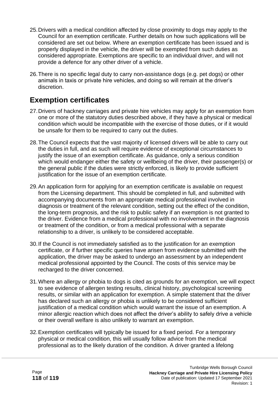- 25.Drivers with a medical condition affected by close proximity to dogs may apply to the Council for an exemption certificate. Further details on how such applications will be considered are set out below. Where an exemption certificate has been issued and is properly displayed in the vehicle, the driver will be exempted from such duties as considered appropriate. Exemptions are specific to an individual driver, and will not provide a defence for any other driver of a vehicle.
- 26.There is no specific legal duty to carry non-assistance dogs (e.g. pet dogs) or other animals in taxis or private hire vehicles, and doing so will remain at the driver's discretion.

## **Exemption certificates**

- 27.Drivers of hackney carriages and private hire vehicles may apply for an exemption from one or more of the statutory duties described above, if they have a physical or medical condition which would be incompatible with the exercise of those duties, or if it would be unsafe for them to be required to carry out the duties.
- 28.The Council expects that the vast majority of licensed drivers will be able to carry out the duties in full, and as such will require evidence of exceptional circumstances to justify the issue of an exemption certificate. As guidance, only a serious condition which would endanger either the safety or wellbeing of the driver, their passenger(s) or the general public if the duties were strictly enforced, is likely to provide sufficient justification for the issue of an exemption certificate.
- 29.An application form for applying for an exemption certificate is available on request from the Licensing department. This should be completed in full, and submitted with accompanying documents from an appropriate medical professional involved in diagnosis or treatment of the relevant condition, setting out the effect of the condition, the long-term prognosis, and the risk to public safety if an exemption is not granted to the driver. Evidence from a medical professional with no involvement in the diagnosis or treatment of the condition, or from a medical professional with a separate relationship to a driver, is unlikely to be considered acceptable.
- 30.If the Council is not immediately satisfied as to the justification for an exemption certificate, or if further specific queries have arisen from evidence submitted with the application, the driver may be asked to undergo an assessment by an independent medical professional appointed by the Council. The costs of this service may be recharged to the driver concerned.
- 31.Where an allergy or phobia to dogs is cited as grounds for an exemption, we will expect to see evidence of allergen testing results, clinical history, psychological screening results, or similar with an application for exemption. A simple statement that the driver has declared such an allergy or phobia is unlikely to be considered sufficient justification of a medical condition which would warrant the issue of an exemption. A minor allergic reaction which does not affect the driver's ability to safely drive a vehicle or their overall welfare is also unlikely to warrant an exemption.
- 32.Exemption certificates will typically be issued for a fixed period. For a temporary physical or medical condition, this will usually follow advice from the medical professional as to the likely duration of the condition. A driver granted a lifelong